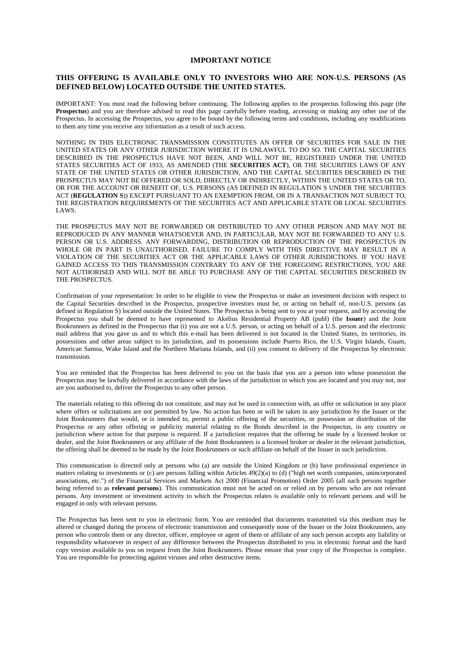#### **IMPORTANT NOTICE**

#### **THIS OFFERING IS AVAILABLE ONLY TO INVESTORS WHO ARE NON-U.S. PERSONS (AS DEFINED BELOW) LOCATED OUTSIDE THE UNITED STATES.**

IMPORTANT: You must read the following before continuing. The following applies to the prospectus following this page (the **Prospectus**) and you are therefore advised to read this page carefully before reading, accessing or making any other use of the Prospectus. In accessing the Prospectus, you agree to be bound by the following terms and conditions, including any modifications to them any time you receive any information as a result of such access.

NOTHING IN THIS ELECTRONIC TRANSMISSION CONSTITUTES AN OFFER OF SECURITIES FOR SALE IN THE UNITED STATES OR ANY OTHER JURISDICTION WHERE IT IS UNLAWFUL TO DO SO. THE CAPITAL SECURITIES DESCRIBED IN THE PROSPECTUS HAVE NOT BEEN, AND WILL NOT BE, REGISTERED UNDER THE UNITED STATES SECURITIES ACT OF 1933, AS AMENDED (THE **SECURITIES ACT**), OR THE SECURITIES LAWS OF ANY STATE OF THE UNITED STATES OR OTHER JURISDICTION, AND THE CAPITAL SECURITIES DESCRIBED IN THE PROSPECTUS MAY NOT BE OFFERED OR SOLD, DIRECTLY OR INDIRECTLY, WITHIN THE UNITED STATES OR TO, OR FOR THE ACCOUNT OR BENEFIT OF, U.S. PERSONS (AS DEFINED IN REGULATION S UNDER THE SECURITIES ACT (**REGULATION S**)) EXCEPT PURSUANT TO AN EXEMPTION FROM, OR IN A TRANSACTION NOT SUBJECT TO, THE REGISTRATION REQUIREMENTS OF THE SECURITIES ACT AND APPLICABLE STATE OR LOCAL SECURITIES LAWS.

THE PROSPECTUS MAY NOT BE FORWARDED OR DISTRIBUTED TO ANY OTHER PERSON AND MAY NOT BE REPRODUCED IN ANY MANNER WHATSOEVER AND, IN PARTICULAR, MAY NOT BE FORWARDED TO ANY U.S. PERSON OR U.S. ADDRESS. ANY FORWARDING, DISTRIBUTION OR REPRODUCTION OF THE PROSPECTUS IN WHOLE OR IN PART IS UNAUTHORISED. FAILURE TO COMPLY WITH THIS DIRECTIVE MAY RESULT IN A VIOLATION OF THE SECURITIES ACT OR THE APPLICABLE LAWS OF OTHER JURISDICTIONS. IF YOU HAVE GAINED ACCESS TO THIS TRANSMISSION CONTRARY TO ANY OF THE FOREGOING RESTRICTIONS, YOU ARE NOT AUTHORISED AND WILL NOT BE ABLE TO PURCHASE ANY OF THE CAPITAL SECURITIES DESCRIBED IN THE PROSPECTUS.

Confirmation of your representation: In order to be eligible to view the Prospectus or make an investment decision with respect to the Capital Securities described in the Prospectus, prospective investors must be, or acting on behalf of, non-U.S. persons (as defined in Regulation S) located outside the United States. The Prospectus is being sent to you at your request, and by accessing the Prospectus you shall be deemed to have represented to Akelius Residential Property AB (publ) (the **Issuer**) and the Joint Bookrunners as defined in the Prospectus that (i) you are not a U.S. person, or acting on behalf of a U.S. person and the electronic mail address that you gave us and to which this e-mail has been delivered is not located in the United States, its territories, its possessions and other areas subject to its jurisdiction, and its possessions include Puerto Rico, the U.S. Virgin Islands, Guam, American Samoa, Wake Island and the Northern Mariana Islands, and (ii) you consent to delivery of the Prospectus by electronic transmission.

You are reminded that the Prospectus has been delivered to you on the basis that you are a person into whose possession the Prospectus may be lawfully delivered in accordance with the laws of the jurisdiction in which you are located and you may not, nor are you authorised to, deliver the Prospectus to any other person.

The materials relating to this offering do not constitute, and may not be used in connection with, an offer or solicitation in any place where offers or solicitations are not permitted by law. No action has been or will be taken in any jurisdiction by the Issuer or the Joint Bookrunners that would, or is intended to, permit a public offering of the securities, or possession or distribution of the Prospectus or any other offering or publicity material relating to the Bonds described in the Prospectus, in any country or jurisdiction where action for that purpose is required. If a jurisdiction requires that the offering be made by a licensed broker or dealer, and the Joint Bookrunners or any affiliate of the Joint Bookrunners is a licensed broker or dealer in the relevant jurisdiction, the offering shall be deemed to be made by the Joint Bookrunners or such affiliate on behalf of the Issuer in such jurisdiction.

This communication is directed only at persons who (a) are outside the United Kingdom or (b) have professional experience in matters relating to investments or (c) are persons falling within Articles 49(2)(a) to (d) ("high net worth companies, unincorporated associations, etc.") of the Financial Services and Markets Act 2000 (Financial Promotion) Order 2005 (all such persons together being referred to as **relevant persons**). This communication must not be acted on or relied on by persons who are not relevant persons. Any investment or investment activity to which the Prospectus relates is available only to relevant persons and will be engaged in only with relevant persons.

The Prospectus has been sent to you in electronic form. You are reminded that documents transmitted via this medium may be altered or changed during the process of electronic transmission and consequently none of the Issuer or the Joint Bookrunners, any person who controls them or any director, officer, employee or agent of them or affiliate of any such person accepts any liability or responsibility whatsoever in respect of any difference between the Prospectus distributed to you in electronic format and the hard copy version available to you on request from the Joint Bookrunners. Please ensure that your copy of the Prospectus is complete. You are responsible for protecting against viruses and other destructive items.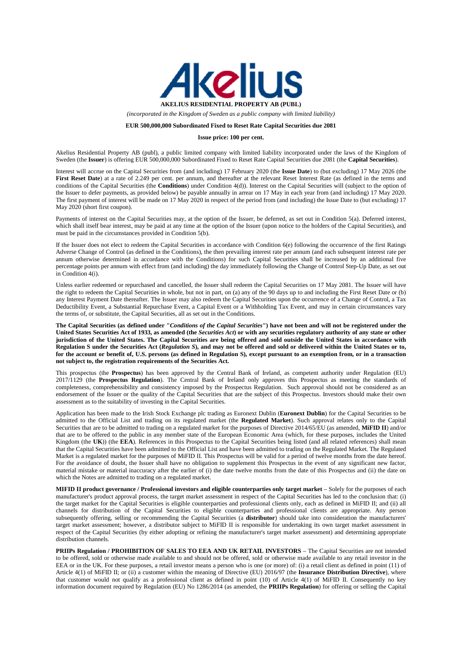

*(incorporated in the Kingdom of Sweden as a public company with limited liability)* 

#### **EUR 500,000,000 Subordinated Fixed to Reset Rate Capital Securities due 2081**

#### **Issue price: 100 per cent.**

Akelius Residential Property AB (publ), a public limited company with limited liability incorporated under the laws of the Kingdom of Sweden (the **Issuer**) is offering EUR 500,000,000 Subordinated Fixed to Reset Rate Capital Securities due 2081 (the **Capital Securities**).

Interest will accrue on the Capital Securities from (and including) 17 February 2020 (the **Issue Date**) to (but excluding) 17 May 2026 (the First Reset Date) at a rate of 2.249 per cent. per annum, and thereafter at the relevant Reset Interest Rate (as defined in the terms and conditions of the Capital Securities (the **Conditions**) under Condition 4(d)). Interest on the Capital Securities will (subject to the option of the Issuer to defer payments, as provided below) be payable annually in arrear on 17 May in each year from (and including) 17 May 2020. The first payment of interest will be made on 17 May 2020 in respect of the period from (and including) the Issue Date to (but excluding) 17 May 2020 (short first coupon).

Payments of interest on the Capital Securities may, at the option of the Issuer, be deferred, as set out in Condition 5(a). Deferred interest, which shall itself bear interest, may be paid at any time at the option of the Issuer (upon notice to the holders of the Capital Securities), and must be paid in the circumstances provided in Condition 5(b).

If the Issuer does not elect to redeem the Capital Securities in accordance with Condition 6(e) following the occurrence of the first Ratings Adverse Change of Control (as defined in the Conditions), the then prevailing interest rate per annum (and each subsequent interest rate per annum otherwise determined in accordance with the Conditions) for such Capital Securities shall be increased by an additional five percentage points per annum with effect from (and including) the day immediately following the Change of Control Step-Up Date, as set out in Condition 4(i).

Unless earlier redeemed or repurchased and cancelled, the Issuer shall redeem the Capital Securities on 17 May 2081. The Issuer will have the right to redeem the Capital Securities in whole, but not in part, on (a) any of the 90 days up to and including the First Reset Date or (b) any Interest Payment Date thereafter. The Issuer may also redeem the Capital Securities upon the occurrence of a Change of Control, a Tax Deductibility Event, a Substantial Repurchase Event, a Capital Event or a Withholding Tax Event, and may in certain circumstances vary the terms of, or substitute, the Capital Securities, all as set out in the Conditions.

**The Capital Securities (as defined under "***Conditions of the Capital Securities***") have not been and will not be registered under the United States Securities Act of 1933, as amended (the** *Securities Act***) or with any securities regulatory authority of any state or other jurisdiction of the United States. The Capital Securities are being offered and sold outside the United States in accordance with Regulation S under the Securities Act (***Regulation S***), and may not be offered and sold or delivered within the United States or to, for the account or benefit of, U.S. persons (as defined in Regulation S), except pursuant to an exemption from, or in a transaction not subject to, the registration requirements of the Securities Act.** 

This prospectus (the **Prospectus**) has been approved by the Central Bank of Ireland, as competent authority under Regulation (EU) 2017/1129 (the **Prospectus Regulation**). The Central Bank of Ireland only approves this Prospectus as meeting the standards of completeness, comprehensibility and consistency imposed by the Prospectus Regulation. Such approval should not be considered as an endorsement of the Issuer or the quality of the Capital Securities that are the subject of this Prospectus. Investors should make their own assessment as to the suitability of investing in the Capital Securities.

Application has been made to the Irish Stock Exchange plc trading as Euronext Dublin (**Euronext Dublin**) for the Capital Securities to be admitted to the Official List and trading on its regulated market (the **Regulated Market**). Such approval relates only to the Capital Securities that are to be admitted to trading on a regulated market for the purposes of Directive 2014/65/EU (as amended, **MiFID II**) and/or that are to be offered to the public in any member state of the European Economic Area (which, for these purposes, includes the United Kingdom (the **UK**)) (the **EEA**). References in this Prospectus to the Capital Securities being listed (and all related references) shall mean that the Capital Securities have been admitted to the Official List and have been admitted to trading on the Regulated Market. The Regulated Market is a regulated market for the purposes of MiFID II. This Prospectus will be valid for a period of twelve months from the date hereof. For the avoidance of doubt, the Issuer shall have no obligation to supplement this Prospectus in the event of any significant new factor, material mistake or material inaccuracy after the earlier of (i) the date twelve months from the date of this Prospectus and (ii) the date on which the Notes are admitted to trading on a regulated market.

**MIFID II product governance / Professional investors and eligible counterparties only target market** – Solely for the purposes of each manufacturer's product approval process, the target market assessment in respect of the Capital Securities has led to the conclusion that: (i) the target market for the Capital Securities is eligible counterparties and professional clients only, each as defined in MiFID II; and (ii) all channels for distribution of the Capital Securities to eligible counterparties and professional clients are appropriate. Any person subsequently offering, selling or recommending the Capital Securities (a **distributor**) should take into consideration the manufacturers' target market assessment; however, a distributor subject to MiFID II is responsible for undertaking its own target market assessment in respect of the Capital Securities (by either adopting or refining the manufacturer's target market assessment) and determining appropriate distribution channels.

**PRIIPs Regulation / PROHIBITION OF SALES TO EEA AND UK RETAIL INVESTORS** – The Capital Securities are not intended to be offered, sold or otherwise made available to and should not be offered, sold or otherwise made available to any retail investor in the EEA or in the UK. For these purposes, a retail investor means a person who is one (or more) of: (i) a retail client as defined in point (11) of Article 4(1) of MiFID II; or (ii) a customer within the meaning of Directive (EU) 2016/97 (the **Insurance Distribution Directive**), where that customer would not qualify as a professional client as defined in point (10) of Article 4(1) of MiFID II. Consequently no key information document required by Regulation (EU) No 1286/2014 (as amended, the **PRIIPs Regulation**) for offering or selling the Capital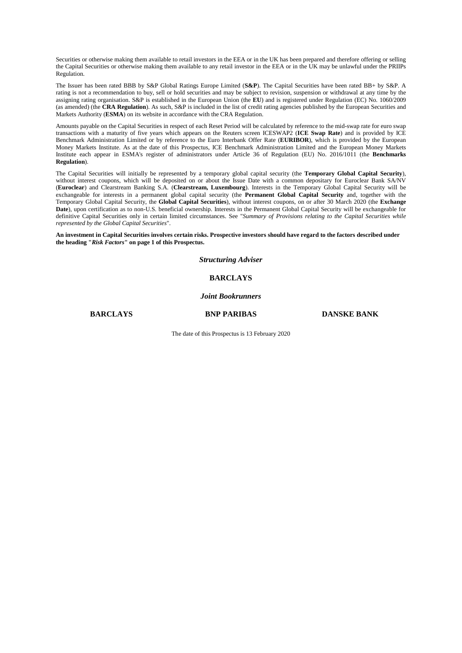Securities or otherwise making them available to retail investors in the EEA or in the UK has been prepared and therefore offering or selling the Capital Securities or otherwise making them available to any retail investor in the EEA or in the UK may be unlawful under the PRIIPs Regulation.

The Issuer has been rated BBB by S&P Global Ratings Europe Limited (**S&P**). The Capital Securities have been rated BB+ by S&P. A rating is not a recommendation to buy, sell or hold securities and may be subject to revision, suspension or withdrawal at any time by the assigning rating organisation. S&P is established in the European Union (the **EU**) and is registered under Regulation (EC) No. 1060/2009 (as amended) (the **CRA Regulation**). As such, S&P is included in the list of credit rating agencies published by the European Securities and Markets Authority (**ESMA**) on its website in accordance with the CRA Regulation.

Amounts payable on the Capital Securities in respect of each Reset Period will be calculated by reference to the mid-swap rate for euro swap transactions with a maturity of five years which appears on the Reuters screen ICESWAP2 (**ICE Swap Rate**) and is provided by ICE Benchmark Administration Limited or by reference to the Euro Interbank Offer Rate (**EURIBOR**), which is provided by the European Money Markets Institute. As at the date of this Prospectus, ICE Benchmark Administration Limited and the European Money Markets Institute each appear in ESMA's register of administrators under Article 36 of Regulation (EU) No. 2016/1011 (the **Benchmarks Regulation**).

The Capital Securities will initially be represented by a temporary global capital security (the **Temporary Global Capital Security**), without interest coupons, which will be deposited on or about the Issue Date with a common depositary for Euroclear Bank SA/NV (**Euroclear**) and Clearstream Banking S.A. (**Clearstream, Luxembourg**). Interests in the Temporary Global Capital Security will be exchangeable for interests in a permanent global capital security (the **Permanent Global Capital Security** and, together with the Temporary Global Capital Security, the **Global Capital Securities**), without interest coupons, on or after 30 March 2020 (the **Exchange Date**), upon certification as to non-U.S. beneficial ownership. Interests in the Permanent Global Capital Security will be exchangeable for definitive Capital Securities only in certain limited circumstances. See "*Summary of Provisions relating to the Capital Securities while represented by the Global Capital Securities*".

**An investment in Capital Securities involves certain risks. Prospective investors should have regard to the factors described under the heading "***Risk Factors***" on page 1 of this Prospectus.** 

*Structuring Adviser* 

#### **BARCLAYS**

#### *Joint Bookrunners*

**BARCLAYS BNP PARIBAS DANSKE BANK**

The date of this Prospectus is 13 February 2020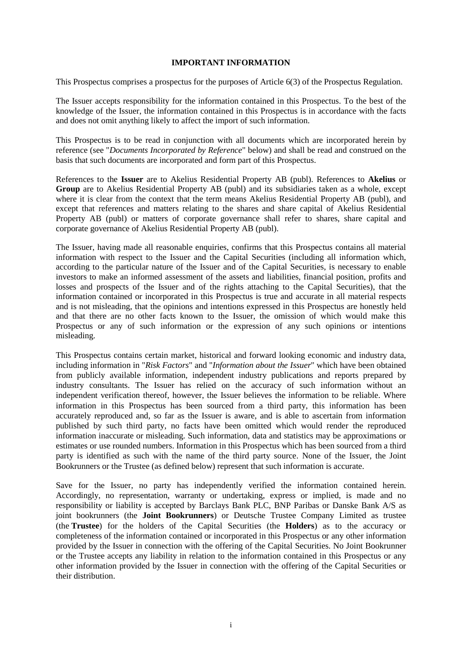#### **IMPORTANT INFORMATION**

This Prospectus comprises a prospectus for the purposes of Article 6(3) of the Prospectus Regulation.

The Issuer accepts responsibility for the information contained in this Prospectus. To the best of the knowledge of the Issuer, the information contained in this Prospectus is in accordance with the facts and does not omit anything likely to affect the import of such information.

This Prospectus is to be read in conjunction with all documents which are incorporated herein by reference (see "*Documents Incorporated by Reference*" below) and shall be read and construed on the basis that such documents are incorporated and form part of this Prospectus.

References to the **Issuer** are to Akelius Residential Property AB (publ). References to **Akelius** or **Group** are to Akelius Residential Property AB (publ) and its subsidiaries taken as a whole, except where it is clear from the context that the term means Akelius Residential Property AB (publ), and except that references and matters relating to the shares and share capital of Akelius Residential Property AB (publ) or matters of corporate governance shall refer to shares, share capital and corporate governance of Akelius Residential Property AB (publ).

The Issuer, having made all reasonable enquiries, confirms that this Prospectus contains all material information with respect to the Issuer and the Capital Securities (including all information which, according to the particular nature of the Issuer and of the Capital Securities, is necessary to enable investors to make an informed assessment of the assets and liabilities, financial position, profits and losses and prospects of the Issuer and of the rights attaching to the Capital Securities), that the information contained or incorporated in this Prospectus is true and accurate in all material respects and is not misleading, that the opinions and intentions expressed in this Prospectus are honestly held and that there are no other facts known to the Issuer, the omission of which would make this Prospectus or any of such information or the expression of any such opinions or intentions misleading.

This Prospectus contains certain market, historical and forward looking economic and industry data, including information in "*Risk Factors*" and "*Information about the Issuer*" which have been obtained from publicly available information, independent industry publications and reports prepared by industry consultants. The Issuer has relied on the accuracy of such information without an independent verification thereof, however, the Issuer believes the information to be reliable. Where information in this Prospectus has been sourced from a third party, this information has been accurately reproduced and, so far as the Issuer is aware, and is able to ascertain from information published by such third party, no facts have been omitted which would render the reproduced information inaccurate or misleading. Such information, data and statistics may be approximations or estimates or use rounded numbers. Information in this Prospectus which has been sourced from a third party is identified as such with the name of the third party source. None of the Issuer, the Joint Bookrunners or the Trustee (as defined below) represent that such information is accurate.

Save for the Issuer, no party has independently verified the information contained herein. Accordingly, no representation, warranty or undertaking, express or implied, is made and no responsibility or liability is accepted by Barclays Bank PLC, BNP Paribas or Danske Bank A/S as joint bookrunners (the **Joint Bookrunners**) or Deutsche Trustee Company Limited as trustee (the **Trustee**) for the holders of the Capital Securities (the **Holders**) as to the accuracy or completeness of the information contained or incorporated in this Prospectus or any other information provided by the Issuer in connection with the offering of the Capital Securities. No Joint Bookrunner or the Trustee accepts any liability in relation to the information contained in this Prospectus or any other information provided by the Issuer in connection with the offering of the Capital Securities or their distribution.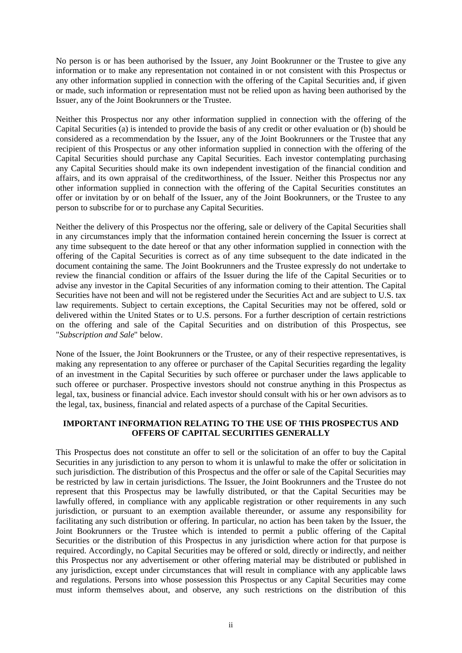No person is or has been authorised by the Issuer, any Joint Bookrunner or the Trustee to give any information or to make any representation not contained in or not consistent with this Prospectus or any other information supplied in connection with the offering of the Capital Securities and, if given or made, such information or representation must not be relied upon as having been authorised by the Issuer, any of the Joint Bookrunners or the Trustee.

Neither this Prospectus nor any other information supplied in connection with the offering of the Capital Securities (a) is intended to provide the basis of any credit or other evaluation or (b) should be considered as a recommendation by the Issuer, any of the Joint Bookrunners or the Trustee that any recipient of this Prospectus or any other information supplied in connection with the offering of the Capital Securities should purchase any Capital Securities. Each investor contemplating purchasing any Capital Securities should make its own independent investigation of the financial condition and affairs, and its own appraisal of the creditworthiness, of the Issuer. Neither this Prospectus nor any other information supplied in connection with the offering of the Capital Securities constitutes an offer or invitation by or on behalf of the Issuer, any of the Joint Bookrunners, or the Trustee to any person to subscribe for or to purchase any Capital Securities.

Neither the delivery of this Prospectus nor the offering, sale or delivery of the Capital Securities shall in any circumstances imply that the information contained herein concerning the Issuer is correct at any time subsequent to the date hereof or that any other information supplied in connection with the offering of the Capital Securities is correct as of any time subsequent to the date indicated in the document containing the same. The Joint Bookrunners and the Trustee expressly do not undertake to review the financial condition or affairs of the Issuer during the life of the Capital Securities or to advise any investor in the Capital Securities of any information coming to their attention. The Capital Securities have not been and will not be registered under the Securities Act and are subject to U.S. tax law requirements. Subject to certain exceptions, the Capital Securities may not be offered, sold or delivered within the United States or to U.S. persons. For a further description of certain restrictions on the offering and sale of the Capital Securities and on distribution of this Prospectus, see "*Subscription and Sale*" below.

None of the Issuer, the Joint Bookrunners or the Trustee, or any of their respective representatives, is making any representation to any offeree or purchaser of the Capital Securities regarding the legality of an investment in the Capital Securities by such offeree or purchaser under the laws applicable to such offeree or purchaser. Prospective investors should not construe anything in this Prospectus as legal, tax, business or financial advice. Each investor should consult with his or her own advisors as to the legal, tax, business, financial and related aspects of a purchase of the Capital Securities.

# **IMPORTANT INFORMATION RELATING TO THE USE OF THIS PROSPECTUS AND OFFERS OF CAPITAL SECURITIES GENERALLY**

This Prospectus does not constitute an offer to sell or the solicitation of an offer to buy the Capital Securities in any jurisdiction to any person to whom it is unlawful to make the offer or solicitation in such jurisdiction. The distribution of this Prospectus and the offer or sale of the Capital Securities may be restricted by law in certain jurisdictions. The Issuer, the Joint Bookrunners and the Trustee do not represent that this Prospectus may be lawfully distributed, or that the Capital Securities may be lawfully offered, in compliance with any applicable registration or other requirements in any such jurisdiction, or pursuant to an exemption available thereunder, or assume any responsibility for facilitating any such distribution or offering. In particular, no action has been taken by the Issuer, the Joint Bookrunners or the Trustee which is intended to permit a public offering of the Capital Securities or the distribution of this Prospectus in any jurisdiction where action for that purpose is required. Accordingly, no Capital Securities may be offered or sold, directly or indirectly, and neither this Prospectus nor any advertisement or other offering material may be distributed or published in any jurisdiction, except under circumstances that will result in compliance with any applicable laws and regulations. Persons into whose possession this Prospectus or any Capital Securities may come must inform themselves about, and observe, any such restrictions on the distribution of this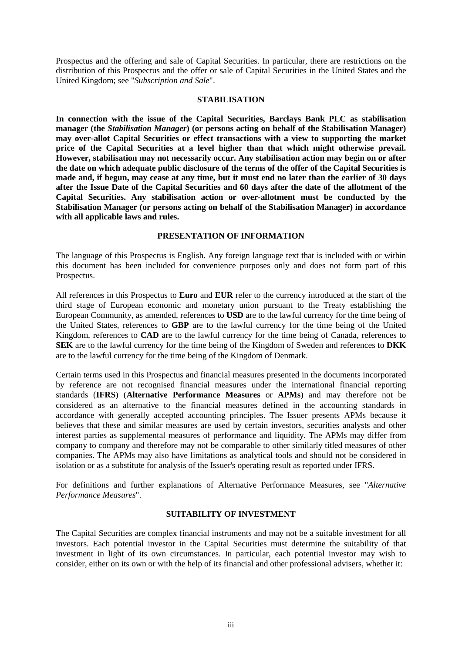Prospectus and the offering and sale of Capital Securities. In particular, there are restrictions on the distribution of this Prospectus and the offer or sale of Capital Securities in the United States and the United Kingdom; see "*Subscription and Sale*".

#### **STABILISATION**

**In connection with the issue of the Capital Securities, Barclays Bank PLC as stabilisation manager (the** *Stabilisation Manager***) (or persons acting on behalf of the Stabilisation Manager) may over-allot Capital Securities or effect transactions with a view to supporting the market price of the Capital Securities at a level higher than that which might otherwise prevail. However, stabilisation may not necessarily occur. Any stabilisation action may begin on or after the date on which adequate public disclosure of the terms of the offer of the Capital Securities is made and, if begun, may cease at any time, but it must end no later than the earlier of 30 days after the Issue Date of the Capital Securities and 60 days after the date of the allotment of the Capital Securities. Any stabilisation action or over-allotment must be conducted by the Stabilisation Manager (or persons acting on behalf of the Stabilisation Manager) in accordance with all applicable laws and rules.** 

#### **PRESENTATION OF INFORMATION**

The language of this Prospectus is English. Any foreign language text that is included with or within this document has been included for convenience purposes only and does not form part of this Prospectus.

All references in this Prospectus to **Euro** and **EUR** refer to the currency introduced at the start of the third stage of European economic and monetary union pursuant to the Treaty establishing the European Community, as amended, references to **USD** are to the lawful currency for the time being of the United States, references to **GBP** are to the lawful currency for the time being of the United Kingdom, references to **CAD** are to the lawful currency for the time being of Canada, references to **SEK** are to the lawful currency for the time being of the Kingdom of Sweden and references to **DKK** are to the lawful currency for the time being of the Kingdom of Denmark.

Certain terms used in this Prospectus and financial measures presented in the documents incorporated by reference are not recognised financial measures under the international financial reporting standards (**IFRS**) (**Alternative Performance Measures** or **APMs**) and may therefore not be considered as an alternative to the financial measures defined in the accounting standards in accordance with generally accepted accounting principles. The Issuer presents APMs because it believes that these and similar measures are used by certain investors, securities analysts and other interest parties as supplemental measures of performance and liquidity. The APMs may differ from company to company and therefore may not be comparable to other similarly titled measures of other companies. The APMs may also have limitations as analytical tools and should not be considered in isolation or as a substitute for analysis of the Issuer's operating result as reported under IFRS.

For definitions and further explanations of Alternative Performance Measures, see "*Alternative Performance Measures*".

#### **SUITABILITY OF INVESTMENT**

The Capital Securities are complex financial instruments and may not be a suitable investment for all investors. Each potential investor in the Capital Securities must determine the suitability of that investment in light of its own circumstances. In particular, each potential investor may wish to consider, either on its own or with the help of its financial and other professional advisers, whether it: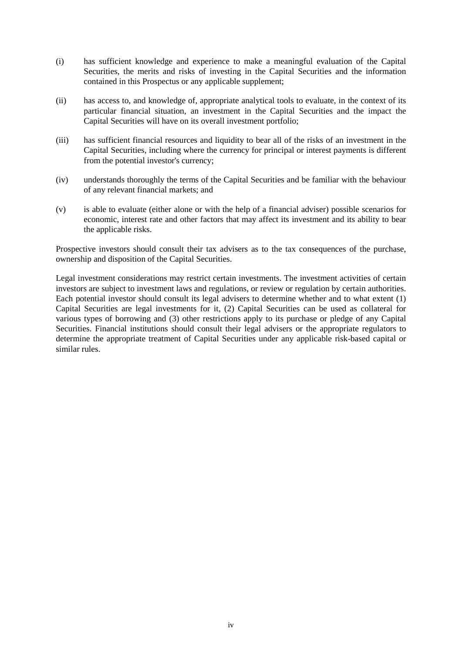- (i) has sufficient knowledge and experience to make a meaningful evaluation of the Capital Securities, the merits and risks of investing in the Capital Securities and the information contained in this Prospectus or any applicable supplement;
- (ii) has access to, and knowledge of, appropriate analytical tools to evaluate, in the context of its particular financial situation, an investment in the Capital Securities and the impact the Capital Securities will have on its overall investment portfolio;
- (iii) has sufficient financial resources and liquidity to bear all of the risks of an investment in the Capital Securities, including where the currency for principal or interest payments is different from the potential investor's currency;
- (iv) understands thoroughly the terms of the Capital Securities and be familiar with the behaviour of any relevant financial markets; and
- (v) is able to evaluate (either alone or with the help of a financial adviser) possible scenarios for economic, interest rate and other factors that may affect its investment and its ability to bear the applicable risks.

Prospective investors should consult their tax advisers as to the tax consequences of the purchase, ownership and disposition of the Capital Securities.

Legal investment considerations may restrict certain investments. The investment activities of certain investors are subject to investment laws and regulations, or review or regulation by certain authorities. Each potential investor should consult its legal advisers to determine whether and to what extent (1) Capital Securities are legal investments for it, (2) Capital Securities can be used as collateral for various types of borrowing and (3) other restrictions apply to its purchase or pledge of any Capital Securities. Financial institutions should consult their legal advisers or the appropriate regulators to determine the appropriate treatment of Capital Securities under any applicable risk-based capital or similar rules.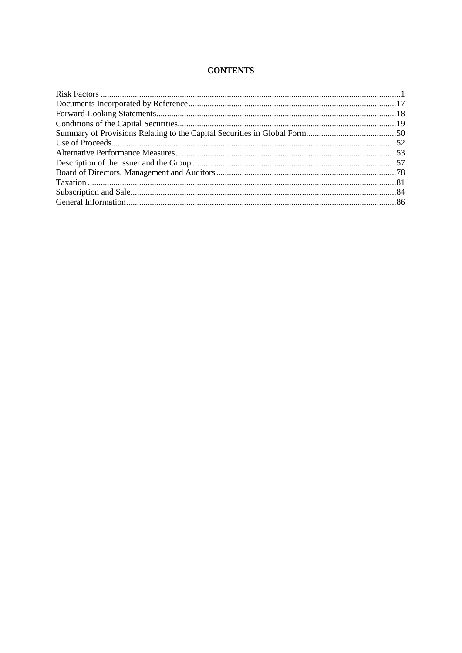## **CONTENTS**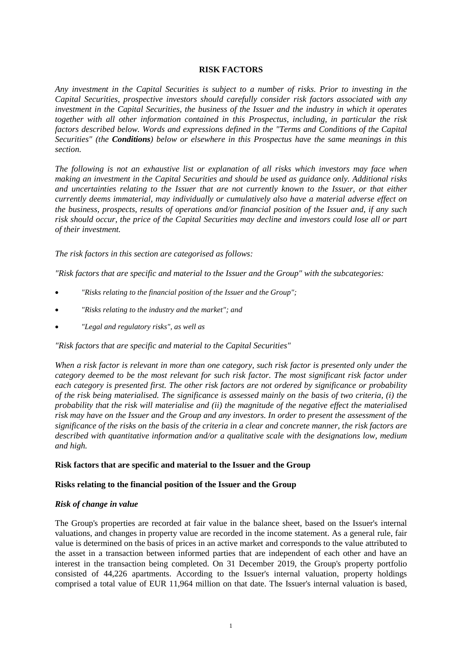## **RISK FACTORS**

*Any investment in the Capital Securities is subject to a number of risks. Prior to investing in the Capital Securities, prospective investors should carefully consider risk factors associated with any investment in the Capital Securities, the business of the Issuer and the industry in which it operates together with all other information contained in this Prospectus, including, in particular the risk factors described below. Words and expressions defined in the "Terms and Conditions of the Capital Securities" (the Conditions) below or elsewhere in this Prospectus have the same meanings in this section.* 

*The following is not an exhaustive list or explanation of all risks which investors may face when making an investment in the Capital Securities and should be used as guidance only. Additional risks and uncertainties relating to the Issuer that are not currently known to the Issuer, or that either currently deems immaterial, may individually or cumulatively also have a material adverse effect on the business, prospects, results of operations and/or financial position of the Issuer and, if any such risk should occur, the price of the Capital Securities may decline and investors could lose all or part of their investment.* 

*The risk factors in this section are categorised as follows:* 

*"Risk factors that are specific and material to the Issuer and the Group" with the subcategories:* 

- *"Risks relating to the financial position of the Issuer and the Group";*
- *"Risks relating to the industry and the market"; and*
- *"Legal and regulatory risks", as well as*

*"Risk factors that are specific and material to the Capital Securities"* 

*When a risk factor is relevant in more than one category, such risk factor is presented only under the category deemed to be the most relevant for such risk factor. The most significant risk factor under each category is presented first. The other risk factors are not ordered by significance or probability of the risk being materialised. The significance is assessed mainly on the basis of two criteria, (i) the probability that the risk will materialise and (ii) the magnitude of the negative effect the materialised risk may have on the Issuer and the Group and any investors. In order to present the assessment of the significance of the risks on the basis of the criteria in a clear and concrete manner, the risk factors are described with quantitative information and/or a qualitative scale with the designations low, medium and high.* 

## **Risk factors that are specific and material to the Issuer and the Group**

## **Risks relating to the financial position of the Issuer and the Group**

## *Risk of change in value*

The Group's properties are recorded at fair value in the balance sheet, based on the Issuer's internal valuations, and changes in property value are recorded in the income statement. As a general rule, fair value is determined on the basis of prices in an active market and corresponds to the value attributed to the asset in a transaction between informed parties that are independent of each other and have an interest in the transaction being completed. On 31 December 2019, the Group's property portfolio consisted of 44,226 apartments. According to the Issuer's internal valuation, property holdings comprised a total value of EUR 11,964 million on that date. The Issuer's internal valuation is based,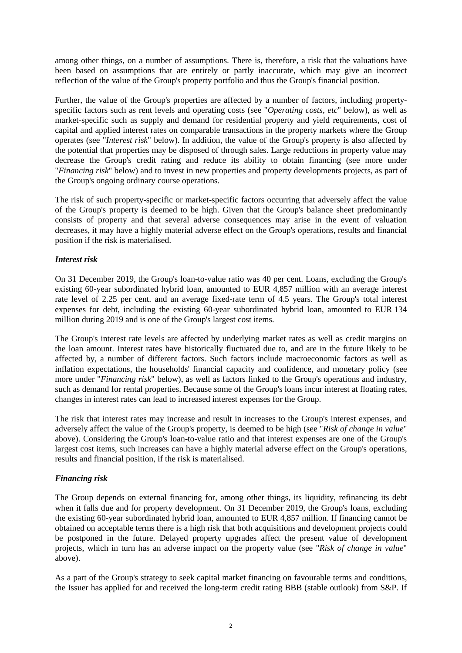among other things, on a number of assumptions. There is, therefore, a risk that the valuations have been based on assumptions that are entirely or partly inaccurate, which may give an incorrect reflection of the value of the Group's property portfolio and thus the Group's financial position.

Further, the value of the Group's properties are affected by a number of factors, including propertyspecific factors such as rent levels and operating costs (see "*Operating costs, etc*" below), as well as market-specific such as supply and demand for residential property and yield requirements, cost of capital and applied interest rates on comparable transactions in the property markets where the Group operates (see "*Interest risk*" below). In addition, the value of the Group's property is also affected by the potential that properties may be disposed of through sales. Large reductions in property value may decrease the Group's credit rating and reduce its ability to obtain financing (see more under "*Financing risk*" below) and to invest in new properties and property developments projects, as part of the Group's ongoing ordinary course operations.

The risk of such property-specific or market-specific factors occurring that adversely affect the value of the Group's property is deemed to be high. Given that the Group's balance sheet predominantly consists of property and that several adverse consequences may arise in the event of valuation decreases, it may have a highly material adverse effect on the Group's operations, results and financial position if the risk is materialised.

# *Interest risk*

On 31 December 2019, the Group's loan-to-value ratio was 40 per cent. Loans, excluding the Group's existing 60-year subordinated hybrid loan, amounted to EUR 4,857 million with an average interest rate level of 2.25 per cent. and an average fixed-rate term of 4.5 years. The Group's total interest expenses for debt, including the existing 60-year subordinated hybrid loan, amounted to EUR 134 million during 2019 and is one of the Group's largest cost items.

The Group's interest rate levels are affected by underlying market rates as well as credit margins on the loan amount. Interest rates have historically fluctuated due to, and are in the future likely to be affected by, a number of different factors. Such factors include macroeconomic factors as well as inflation expectations, the households' financial capacity and confidence, and monetary policy (see more under "*Financing risk*" below), as well as factors linked to the Group's operations and industry, such as demand for rental properties. Because some of the Group's loans incur interest at floating rates, changes in interest rates can lead to increased interest expenses for the Group.

The risk that interest rates may increase and result in increases to the Group's interest expenses, and adversely affect the value of the Group's property, is deemed to be high (see "*Risk of change in value*" above). Considering the Group's loan-to-value ratio and that interest expenses are one of the Group's largest cost items, such increases can have a highly material adverse effect on the Group's operations, results and financial position, if the risk is materialised.

# *Financing risk*

The Group depends on external financing for, among other things, its liquidity, refinancing its debt when it falls due and for property development. On 31 December 2019, the Group's loans, excluding the existing 60-year subordinated hybrid loan, amounted to EUR 4,857 million. If financing cannot be obtained on acceptable terms there is a high risk that both acquisitions and development projects could be postponed in the future. Delayed property upgrades affect the present value of development projects, which in turn has an adverse impact on the property value (see "*Risk of change in value*" above).

As a part of the Group's strategy to seek capital market financing on favourable terms and conditions, the Issuer has applied for and received the long-term credit rating BBB (stable outlook) from S&P. If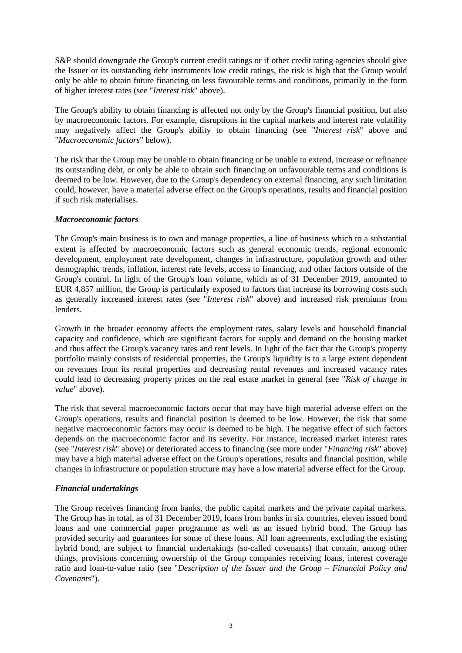S&P should downgrade the Group's current credit ratings or if other credit rating agencies should give the Issuer or its outstanding debt instruments low credit ratings, the risk is high that the Group would only be able to obtain future financing on less favourable terms and conditions, primarily in the form of higher interest rates (see "*Interest risk*" above).

The Group's ability to obtain financing is affected not only by the Group's financial position, but also by macroeconomic factors. For example, disruptions in the capital markets and interest rate volatility may negatively affect the Group's ability to obtain financing (see "*Interest risk*" above and "*Macroeconomic factors*" below).

The risk that the Group may be unable to obtain financing or be unable to extend, increase or refinance its outstanding debt, or only be able to obtain such financing on unfavourable terms and conditions is deemed to be low. However, due to the Group's dependency on external financing, any such limitation could, however, have a material adverse effect on the Group's operations, results and financial position if such risk materialises.

## *Macroeconomic factors*

The Group's main business is to own and manage properties, a line of business which to a substantial extent is affected by macroeconomic factors such as general economic trends, regional economic development, employment rate development, changes in infrastructure, population growth and other demographic trends, inflation, interest rate levels, access to financing, and other factors outside of the Group's control. In light of the Group's loan volume, which as of 31 December 2019, amounted to EUR 4,857 million, the Group is particularly exposed to factors that increase its borrowing costs such as generally increased interest rates (see "*Interest risk*" above) and increased risk premiums from lenders.

Growth in the broader economy affects the employment rates, salary levels and household financial capacity and confidence, which are significant factors for supply and demand on the housing market and thus affect the Group's vacancy rates and rent levels. In light of the fact that the Group's property portfolio mainly consists of residential properties, the Group's liquidity is to a large extent dependent on revenues from its rental properties and decreasing rental revenues and increased vacancy rates could lead to decreasing property prices on the real estate market in general (see "*Risk of change in value*" above).

The risk that several macroeconomic factors occur that may have high material adverse effect on the Group's operations, results and financial position is deemed to be low. However, the risk that some negative macroeconomic factors may occur is deemed to be high. The negative effect of such factors depends on the macroeconomic factor and its severity. For instance, increased market interest rates (see "*Interest risk*" above) or deteriorated access to financing (see more under "*Financing risk*" above) may have a high material adverse effect on the Group's operations, results and financial position, while changes in infrastructure or population structure may have a low material adverse effect for the Group.

# *Financial undertakings*

The Group receives financing from banks, the public capital markets and the private capital markets. The Group has in total, as of 31 December 2019, loans from banks in six countries, eleven issued bond loans and one commercial paper programme as well as an issued hybrid bond. The Group has provided security and guarantees for some of these loans. All loan agreements, excluding the existing hybrid bond, are subject to financial undertakings (so-called covenants) that contain, among other things, provisions concerning ownership of the Group companies receiving loans, interest coverage ratio and loan-to-value ratio (see "*Description of the Issuer and the Group – Financial Policy and Covenants*").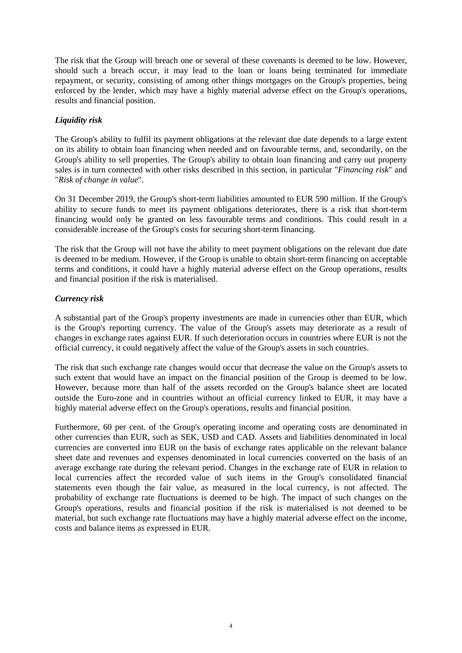The risk that the Group will breach one or several of these covenants is deemed to be low. However, should such a breach occur, it may lead to the loan or loans being terminated for immediate repayment, or security, consisting of among other things mortgages on the Group's properties, being enforced by the lender, which may have a highly material adverse effect on the Group's operations, results and financial position.

# *Liquidity risk*

The Group's ability to fulfil its payment obligations at the relevant due date depends to a large extent on its ability to obtain loan financing when needed and on favourable terms, and, secondarily, on the Group's ability to sell properties. The Group's ability to obtain loan financing and carry out property sales is in turn connected with other risks described in this section, in particular "*Financing risk*" and "*Risk of change in value*".

On 31 December 2019, the Group's short-term liabilities amounted to EUR 590 million. If the Group's ability to secure funds to meet its payment obligations deteriorates, there is a risk that short-term financing would only be granted on less favourable terms and conditions. This could result in a considerable increase of the Group's costs for securing short-term financing.

The risk that the Group will not have the ability to meet payment obligations on the relevant due date is deemed to be medium. However, if the Group is unable to obtain short-term financing on acceptable terms and conditions, it could have a highly material adverse effect on the Group operations, results and financial position if the risk is materialised.

# *Currency risk*

A substantial part of the Group's property investments are made in currencies other than EUR, which is the Group's reporting currency. The value of the Group's assets may deteriorate as a result of changes in exchange rates against EUR. If such deterioration occurs in countries where EUR is not the official currency, it could negatively affect the value of the Group's assets in such countries.

The risk that such exchange rate changes would occur that decrease the value on the Group's assets to such extent that would have an impact on the financial position of the Group is deemed to be low. However, because more than half of the assets recorded on the Group's balance sheet are located outside the Euro-zone and in countries without an official currency linked to EUR, it may have a highly material adverse effect on the Group's operations, results and financial position.

Furthermore, 60 per cent. of the Group's operating income and operating costs are denominated in other currencies than EUR, such as SEK, USD and CAD. Assets and liabilities denominated in local currencies are converted into EUR on the basis of exchange rates applicable on the relevant balance sheet date and revenues and expenses denominated in local currencies converted on the basis of an average exchange rate during the relevant period. Changes in the exchange rate of EUR in relation to local currencies affect the recorded value of such items in the Group's consolidated financial statements even though the fair value, as measured in the local currency, is not affected. The probability of exchange rate fluctuations is deemed to be high. The impact of such changes on the Group's operations, results and financial position if the risk is materialised is not deemed to be material, but such exchange rate fluctuations may have a highly material adverse effect on the income, costs and balance items as expressed in EUR.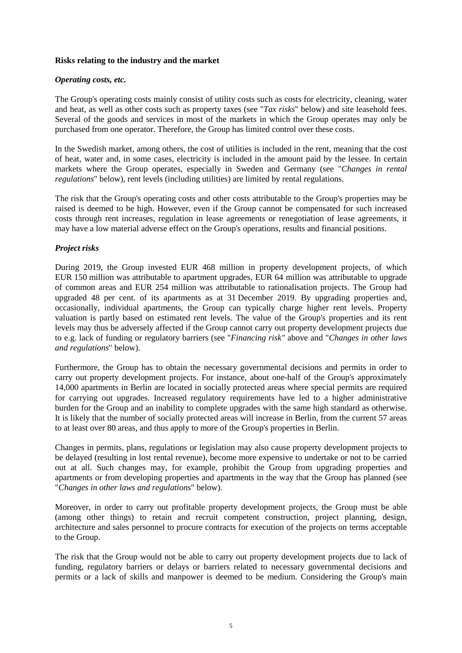## **Risks relating to the industry and the market**

## *Operating costs, etc.*

The Group's operating costs mainly consist of utility costs such as costs for electricity, cleaning, water and heat, as well as other costs such as property taxes (see "*Tax risks*" below) and site leasehold fees. Several of the goods and services in most of the markets in which the Group operates may only be purchased from one operator. Therefore, the Group has limited control over these costs.

In the Swedish market, among others, the cost of utilities is included in the rent, meaning that the cost of heat, water and, in some cases, electricity is included in the amount paid by the lessee. In certain markets where the Group operates, especially in Sweden and Germany (see "*Changes in rental regulations*" below), rent levels (including utilities) are limited by rental regulations.

The risk that the Group's operating costs and other costs attributable to the Group's properties may be raised is deemed to be high. However, even if the Group cannot be compensated for such increased costs through rent increases, regulation in lease agreements or renegotiation of lease agreements, it may have a low material adverse effect on the Group's operations, results and financial positions.

## *Project risks*

During 2019, the Group invested EUR 468 million in property development projects, of which EUR 150 million was attributable to apartment upgrades, EUR 64 million was attributable to upgrade of common areas and EUR 254 million was attributable to rationalisation projects. The Group had upgraded 48 per cent. of its apartments as at 31 December 2019. By upgrading properties and, occasionally, individual apartments, the Group can typically charge higher rent levels. Property valuation is partly based on estimated rent levels. The value of the Group's properties and its rent levels may thus be adversely affected if the Group cannot carry out property development projects due to e.g. lack of funding or regulatory barriers (see "*Financing risk"* above and "*Changes in other laws and regulations*" below).

Furthermore, the Group has to obtain the necessary governmental decisions and permits in order to carry out property development projects. For instance, about one-half of the Group's approximately 14,000 apartments in Berlin are located in socially protected areas where special permits are required for carrying out upgrades. Increased regulatory requirements have led to a higher administrative burden for the Group and an inability to complete upgrades with the same high standard as otherwise. It is likely that the number of socially protected areas will increase in Berlin, from the current 57 areas to at least over 80 areas, and thus apply to more of the Group's properties in Berlin.

Changes in permits, plans, regulations or legislation may also cause property development projects to be delayed (resulting in lost rental revenue), become more expensive to undertake or not to be carried out at all. Such changes may, for example, prohibit the Group from upgrading properties and apartments or from developing properties and apartments in the way that the Group has planned (see "*Changes in other laws and regulations*" below).

Moreover, in order to carry out profitable property development projects, the Group must be able (among other things) to retain and recruit competent construction, project planning, design, architecture and sales personnel to procure contracts for execution of the projects on terms acceptable to the Group.

The risk that the Group would not be able to carry out property development projects due to lack of funding, regulatory barriers or delays or barriers related to necessary governmental decisions and permits or a lack of skills and manpower is deemed to be medium. Considering the Group's main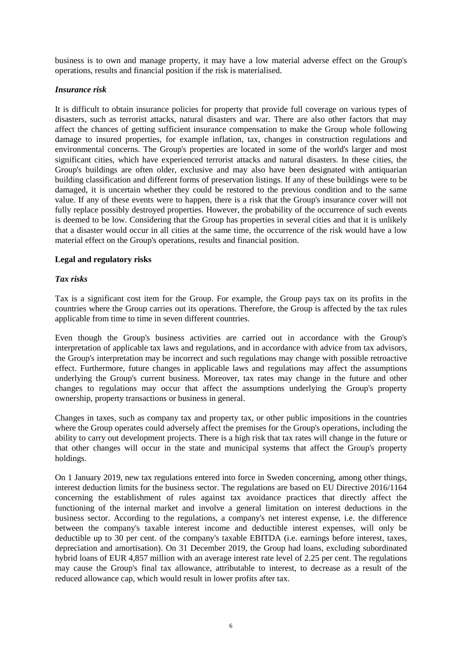business is to own and manage property, it may have a low material adverse effect on the Group's operations, results and financial position if the risk is materialised.

## *Insurance risk*

It is difficult to obtain insurance policies for property that provide full coverage on various types of disasters, such as terrorist attacks, natural disasters and war. There are also other factors that may affect the chances of getting sufficient insurance compensation to make the Group whole following damage to insured properties, for example inflation, tax, changes in construction regulations and environmental concerns. The Group's properties are located in some of the world's larger and most significant cities, which have experienced terrorist attacks and natural disasters. In these cities, the Group's buildings are often older, exclusive and may also have been designated with antiquarian building classification and different forms of preservation listings. If any of these buildings were to be damaged, it is uncertain whether they could be restored to the previous condition and to the same value. If any of these events were to happen, there is a risk that the Group's insurance cover will not fully replace possibly destroyed properties. However, the probability of the occurrence of such events is deemed to be low. Considering that the Group has properties in several cities and that it is unlikely that a disaster would occur in all cities at the same time, the occurrence of the risk would have a low material effect on the Group's operations, results and financial position.

## **Legal and regulatory risks**

## *Tax risks*

Tax is a significant cost item for the Group. For example, the Group pays tax on its profits in the countries where the Group carries out its operations. Therefore, the Group is affected by the tax rules applicable from time to time in seven different countries.

Even though the Group's business activities are carried out in accordance with the Group's interpretation of applicable tax laws and regulations, and in accordance with advice from tax advisors, the Group's interpretation may be incorrect and such regulations may change with possible retroactive effect. Furthermore, future changes in applicable laws and regulations may affect the assumptions underlying the Group's current business. Moreover, tax rates may change in the future and other changes to regulations may occur that affect the assumptions underlying the Group's property ownership, property transactions or business in general.

Changes in taxes, such as company tax and property tax, or other public impositions in the countries where the Group operates could adversely affect the premises for the Group's operations, including the ability to carry out development projects. There is a high risk that tax rates will change in the future or that other changes will occur in the state and municipal systems that affect the Group's property holdings.

On 1 January 2019, new tax regulations entered into force in Sweden concerning, among other things, interest deduction limits for the business sector. The regulations are based on EU Directive 2016/1164 concerning the establishment of rules against tax avoidance practices that directly affect the functioning of the internal market and involve a general limitation on interest deductions in the business sector. According to the regulations, a company's net interest expense, i.e. the difference between the company's taxable interest income and deductible interest expenses, will only be deductible up to 30 per cent. of the company's taxable EBITDA (i.e. earnings before interest, taxes, depreciation and amortisation). On 31 December 2019, the Group had loans, excluding subordinated hybrid loans of EUR 4,857 million with an average interest rate level of 2.25 per cent. The regulations may cause the Group's final tax allowance, attributable to interest, to decrease as a result of the reduced allowance cap, which would result in lower profits after tax.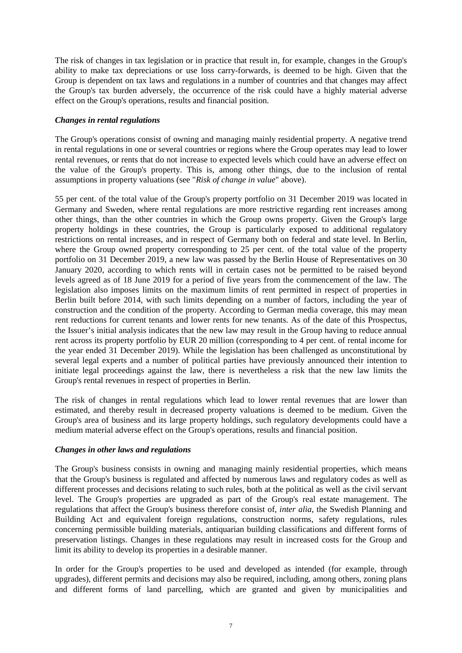The risk of changes in tax legislation or in practice that result in, for example, changes in the Group's ability to make tax depreciations or use loss carry-forwards, is deemed to be high. Given that the Group is dependent on tax laws and regulations in a number of countries and that changes may affect the Group's tax burden adversely, the occurrence of the risk could have a highly material adverse effect on the Group's operations, results and financial position.

## *Changes in rental regulations*

The Group's operations consist of owning and managing mainly residential property. A negative trend in rental regulations in one or several countries or regions where the Group operates may lead to lower rental revenues, or rents that do not increase to expected levels which could have an adverse effect on the value of the Group's property. This is, among other things, due to the inclusion of rental assumptions in property valuations (see "*Risk of change in value*" above).

55 per cent. of the total value of the Group's property portfolio on 31 December 2019 was located in Germany and Sweden, where rental regulations are more restrictive regarding rent increases among other things, than the other countries in which the Group owns property. Given the Group's large property holdings in these countries, the Group is particularly exposed to additional regulatory restrictions on rental increases, and in respect of Germany both on federal and state level. In Berlin, where the Group owned property corresponding to 25 per cent. of the total value of the property portfolio on 31 December 2019, a new law was passed by the Berlin House of Representatives on 30 January 2020, according to which rents will in certain cases not be permitted to be raised beyond levels agreed as of 18 June 2019 for a period of five years from the commencement of the law. The legislation also imposes limits on the maximum limits of rent permitted in respect of properties in Berlin built before 2014, with such limits depending on a number of factors, including the year of construction and the condition of the property. According to German media coverage, this may mean rent reductions for current tenants and lower rents for new tenants. As of the date of this Prospectus, the Issuer's initial analysis indicates that the new law may result in the Group having to reduce annual rent across its property portfolio by EUR 20 million (corresponding to 4 per cent. of rental income for the year ended 31 December 2019). While the legislation has been challenged as unconstitutional by several legal experts and a number of political parties have previously announced their intention to initiate legal proceedings against the law, there is nevertheless a risk that the new law limits the Group's rental revenues in respect of properties in Berlin.

The risk of changes in rental regulations which lead to lower rental revenues that are lower than estimated, and thereby result in decreased property valuations is deemed to be medium. Given the Group's area of business and its large property holdings, such regulatory developments could have a medium material adverse effect on the Group's operations, results and financial position.

## *Changes in other laws and regulations*

The Group's business consists in owning and managing mainly residential properties, which means that the Group's business is regulated and affected by numerous laws and regulatory codes as well as different processes and decisions relating to such rules, both at the political as well as the civil servant level. The Group's properties are upgraded as part of the Group's real estate management. The regulations that affect the Group's business therefore consist of, *inter alia*, the Swedish Planning and Building Act and equivalent foreign regulations, construction norms, safety regulations, rules concerning permissible building materials, antiquarian building classifications and different forms of preservation listings. Changes in these regulations may result in increased costs for the Group and limit its ability to develop its properties in a desirable manner.

In order for the Group's properties to be used and developed as intended (for example, through upgrades), different permits and decisions may also be required, including, among others, zoning plans and different forms of land parcelling, which are granted and given by municipalities and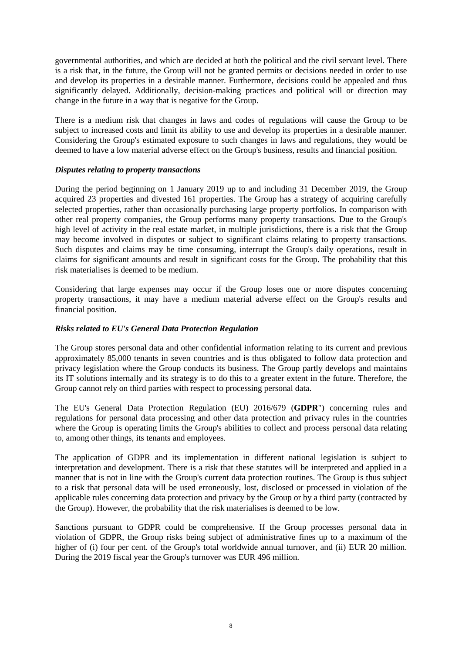governmental authorities, and which are decided at both the political and the civil servant level. There is a risk that, in the future, the Group will not be granted permits or decisions needed in order to use and develop its properties in a desirable manner. Furthermore, decisions could be appealed and thus significantly delayed. Additionally, decision-making practices and political will or direction may change in the future in a way that is negative for the Group.

There is a medium risk that changes in laws and codes of regulations will cause the Group to be subject to increased costs and limit its ability to use and develop its properties in a desirable manner. Considering the Group's estimated exposure to such changes in laws and regulations, they would be deemed to have a low material adverse effect on the Group's business, results and financial position.

## *Disputes relating to property transactions*

During the period beginning on 1 January 2019 up to and including 31 December 2019, the Group acquired 23 properties and divested 161 properties. The Group has a strategy of acquiring carefully selected properties, rather than occasionally purchasing large property portfolios. In comparison with other real property companies, the Group performs many property transactions. Due to the Group's high level of activity in the real estate market, in multiple jurisdictions, there is a risk that the Group may become involved in disputes or subject to significant claims relating to property transactions. Such disputes and claims may be time consuming, interrupt the Group's daily operations, result in claims for significant amounts and result in significant costs for the Group. The probability that this risk materialises is deemed to be medium.

Considering that large expenses may occur if the Group loses one or more disputes concerning property transactions, it may have a medium material adverse effect on the Group's results and financial position.

## *Risks related to EU's General Data Protection Regulation*

The Group stores personal data and other confidential information relating to its current and previous approximately 85,000 tenants in seven countries and is thus obligated to follow data protection and privacy legislation where the Group conducts its business. The Group partly develops and maintains its IT solutions internally and its strategy is to do this to a greater extent in the future. Therefore, the Group cannot rely on third parties with respect to processing personal data.

The EU's General Data Protection Regulation (EU) 2016/679 (**GDPR**") concerning rules and regulations for personal data processing and other data protection and privacy rules in the countries where the Group is operating limits the Group's abilities to collect and process personal data relating to, among other things, its tenants and employees.

The application of GDPR and its implementation in different national legislation is subject to interpretation and development. There is a risk that these statutes will be interpreted and applied in a manner that is not in line with the Group's current data protection routines. The Group is thus subject to a risk that personal data will be used erroneously, lost, disclosed or processed in violation of the applicable rules concerning data protection and privacy by the Group or by a third party (contracted by the Group). However, the probability that the risk materialises is deemed to be low.

Sanctions pursuant to GDPR could be comprehensive. If the Group processes personal data in violation of GDPR, the Group risks being subject of administrative fines up to a maximum of the higher of (i) four per cent. of the Group's total worldwide annual turnover, and (ii) EUR 20 million. During the 2019 fiscal year the Group's turnover was EUR 496 million.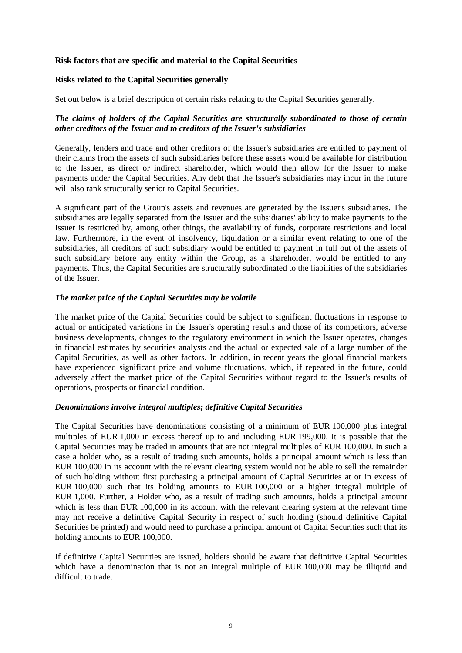## **Risk factors that are specific and material to the Capital Securities**

## **Risks related to the Capital Securities generally**

Set out below is a brief description of certain risks relating to the Capital Securities generally.

## *The claims of holders of the Capital Securities are structurally subordinated to those of certain other creditors of the Issuer and to creditors of the Issuer's subsidiaries*

Generally, lenders and trade and other creditors of the Issuer's subsidiaries are entitled to payment of their claims from the assets of such subsidiaries before these assets would be available for distribution to the Issuer, as direct or indirect shareholder, which would then allow for the Issuer to make payments under the Capital Securities. Any debt that the Issuer's subsidiaries may incur in the future will also rank structurally senior to Capital Securities.

A significant part of the Group's assets and revenues are generated by the Issuer's subsidiaries. The subsidiaries are legally separated from the Issuer and the subsidiaries' ability to make payments to the Issuer is restricted by, among other things, the availability of funds, corporate restrictions and local law. Furthermore, in the event of insolvency, liquidation or a similar event relating to one of the subsidiaries, all creditors of such subsidiary would be entitled to payment in full out of the assets of such subsidiary before any entity within the Group, as a shareholder, would be entitled to any payments. Thus, the Capital Securities are structurally subordinated to the liabilities of the subsidiaries of the Issuer.

## *The market price of the Capital Securities may be volatile*

The market price of the Capital Securities could be subject to significant fluctuations in response to actual or anticipated variations in the Issuer's operating results and those of its competitors, adverse business developments, changes to the regulatory environment in which the Issuer operates, changes in financial estimates by securities analysts and the actual or expected sale of a large number of the Capital Securities, as well as other factors. In addition, in recent years the global financial markets have experienced significant price and volume fluctuations, which, if repeated in the future, could adversely affect the market price of the Capital Securities without regard to the Issuer's results of operations, prospects or financial condition.

## *Denominations involve integral multiples; definitive Capital Securities*

The Capital Securities have denominations consisting of a minimum of EUR 100,000 plus integral multiples of EUR 1,000 in excess thereof up to and including EUR 199,000. It is possible that the Capital Securities may be traded in amounts that are not integral multiples of EUR 100,000. In such a case a holder who, as a result of trading such amounts, holds a principal amount which is less than EUR 100,000 in its account with the relevant clearing system would not be able to sell the remainder of such holding without first purchasing a principal amount of Capital Securities at or in excess of EUR 100,000 such that its holding amounts to EUR 100,000 or a higher integral multiple of EUR 1,000. Further, a Holder who, as a result of trading such amounts, holds a principal amount which is less than EUR 100,000 in its account with the relevant clearing system at the relevant time may not receive a definitive Capital Security in respect of such holding (should definitive Capital Securities be printed) and would need to purchase a principal amount of Capital Securities such that its holding amounts to EUR 100,000.

If definitive Capital Securities are issued, holders should be aware that definitive Capital Securities which have a denomination that is not an integral multiple of EUR 100,000 may be illiquid and difficult to trade.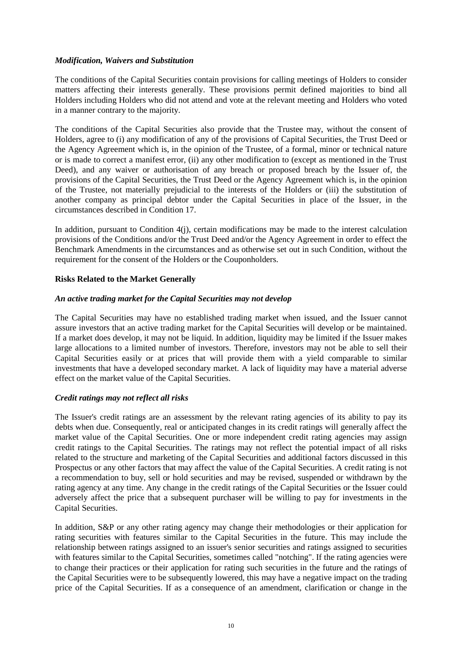## *Modification, Waivers and Substitution*

The conditions of the Capital Securities contain provisions for calling meetings of Holders to consider matters affecting their interests generally. These provisions permit defined majorities to bind all Holders including Holders who did not attend and vote at the relevant meeting and Holders who voted in a manner contrary to the majority.

The conditions of the Capital Securities also provide that the Trustee may, without the consent of Holders, agree to (i) any modification of any of the provisions of Capital Securities, the Trust Deed or the Agency Agreement which is, in the opinion of the Trustee, of a formal, minor or technical nature or is made to correct a manifest error, (ii) any other modification to (except as mentioned in the Trust Deed), and any waiver or authorisation of any breach or proposed breach by the Issuer of, the provisions of the Capital Securities, the Trust Deed or the Agency Agreement which is, in the opinion of the Trustee, not materially prejudicial to the interests of the Holders or (iii) the substitution of another company as principal debtor under the Capital Securities in place of the Issuer, in the circumstances described in Condition 17.

In addition, pursuant to Condition 4(j), certain modifications may be made to the interest calculation provisions of the Conditions and/or the Trust Deed and/or the Agency Agreement in order to effect the Benchmark Amendments in the circumstances and as otherwise set out in such Condition, without the requirement for the consent of the Holders or the Couponholders.

## **Risks Related to the Market Generally**

## *An active trading market for the Capital Securities may not develop*

The Capital Securities may have no established trading market when issued, and the Issuer cannot assure investors that an active trading market for the Capital Securities will develop or be maintained. If a market does develop, it may not be liquid. In addition, liquidity may be limited if the Issuer makes large allocations to a limited number of investors. Therefore, investors may not be able to sell their Capital Securities easily or at prices that will provide them with a yield comparable to similar investments that have a developed secondary market. A lack of liquidity may have a material adverse effect on the market value of the Capital Securities.

## *Credit ratings may not reflect all risks*

The Issuer's credit ratings are an assessment by the relevant rating agencies of its ability to pay its debts when due. Consequently, real or anticipated changes in its credit ratings will generally affect the market value of the Capital Securities. One or more independent credit rating agencies may assign credit ratings to the Capital Securities. The ratings may not reflect the potential impact of all risks related to the structure and marketing of the Capital Securities and additional factors discussed in this Prospectus or any other factors that may affect the value of the Capital Securities. A credit rating is not a recommendation to buy, sell or hold securities and may be revised, suspended or withdrawn by the rating agency at any time. Any change in the credit ratings of the Capital Securities or the Issuer could adversely affect the price that a subsequent purchaser will be willing to pay for investments in the Capital Securities.

In addition, S&P or any other rating agency may change their methodologies or their application for rating securities with features similar to the Capital Securities in the future. This may include the relationship between ratings assigned to an issuer's senior securities and ratings assigned to securities with features similar to the Capital Securities, sometimes called "notching". If the rating agencies were to change their practices or their application for rating such securities in the future and the ratings of the Capital Securities were to be subsequently lowered, this may have a negative impact on the trading price of the Capital Securities. If as a consequence of an amendment, clarification or change in the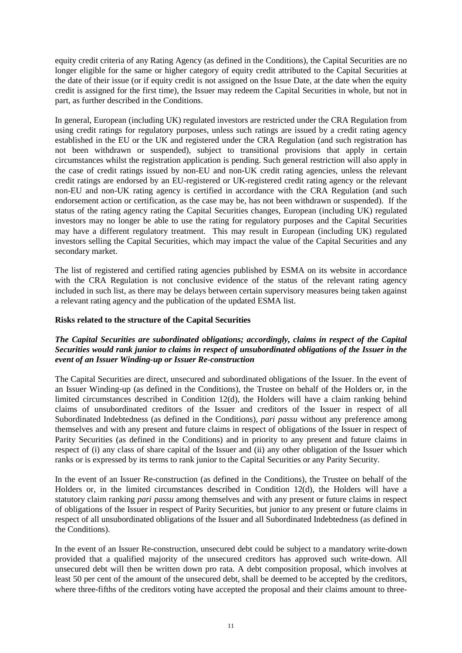equity credit criteria of any Rating Agency (as defined in the Conditions), the Capital Securities are no longer eligible for the same or higher category of equity credit attributed to the Capital Securities at the date of their issue (or if equity credit is not assigned on the Issue Date, at the date when the equity credit is assigned for the first time), the Issuer may redeem the Capital Securities in whole, but not in part, as further described in the Conditions.

In general, European (including UK) regulated investors are restricted under the CRA Regulation from using credit ratings for regulatory purposes, unless such ratings are issued by a credit rating agency established in the EU or the UK and registered under the CRA Regulation (and such registration has not been withdrawn or suspended), subject to transitional provisions that apply in certain circumstances whilst the registration application is pending. Such general restriction will also apply in the case of credit ratings issued by non-EU and non-UK credit rating agencies, unless the relevant credit ratings are endorsed by an EU-registered or UK-registered credit rating agency or the relevant non-EU and non-UK rating agency is certified in accordance with the CRA Regulation (and such endorsement action or certification, as the case may be, has not been withdrawn or suspended). If the status of the rating agency rating the Capital Securities changes, European (including UK) regulated investors may no longer be able to use the rating for regulatory purposes and the Capital Securities may have a different regulatory treatment. This may result in European (including UK) regulated investors selling the Capital Securities, which may impact the value of the Capital Securities and any secondary market.

The list of registered and certified rating agencies published by ESMA on its website in accordance with the CRA Regulation is not conclusive evidence of the status of the relevant rating agency included in such list, as there may be delays between certain supervisory measures being taken against a relevant rating agency and the publication of the updated ESMA list.

## **Risks related to the structure of the Capital Securities**

## *The Capital Securities are subordinated obligations; accordingly, claims in respect of the Capital Securities would rank junior to claims in respect of unsubordinated obligations of the Issuer in the event of an Issuer Winding-up or Issuer Re-construction*

The Capital Securities are direct, unsecured and subordinated obligations of the Issuer. In the event of an Issuer Winding-up (as defined in the Conditions), the Trustee on behalf of the Holders or, in the limited circumstances described in Condition 12(d), the Holders will have a claim ranking behind claims of unsubordinated creditors of the Issuer and creditors of the Issuer in respect of all Subordinated Indebtedness (as defined in the Conditions), *pari passu* without any preference among themselves and with any present and future claims in respect of obligations of the Issuer in respect of Parity Securities (as defined in the Conditions) and in priority to any present and future claims in respect of (i) any class of share capital of the Issuer and (ii) any other obligation of the Issuer which ranks or is expressed by its terms to rank junior to the Capital Securities or any Parity Security.

In the event of an Issuer Re-construction (as defined in the Conditions), the Trustee on behalf of the Holders or, in the limited circumstances described in Condition 12(d), the Holders will have a statutory claim ranking *pari passu* among themselves and with any present or future claims in respect of obligations of the Issuer in respect of Parity Securities, but junior to any present or future claims in respect of all unsubordinated obligations of the Issuer and all Subordinated Indebtedness (as defined in the Conditions).

In the event of an Issuer Re-construction, unsecured debt could be subject to a mandatory write-down provided that a qualified majority of the unsecured creditors has approved such write-down. All unsecured debt will then be written down pro rata. A debt composition proposal, which involves at least 50 per cent of the amount of the unsecured debt, shall be deemed to be accepted by the creditors, where three-fifths of the creditors voting have accepted the proposal and their claims amount to three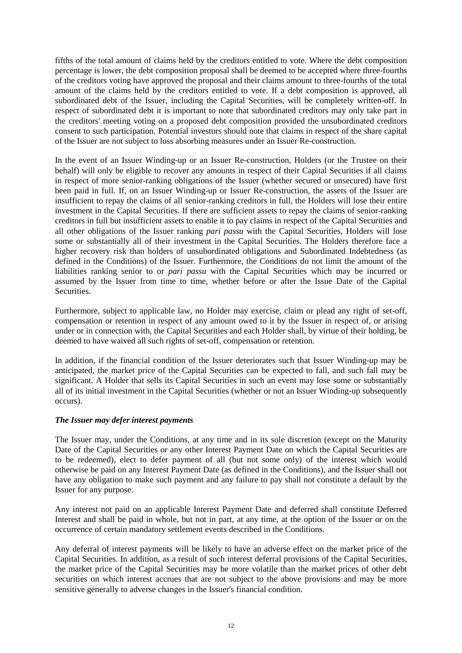fifths of the total amount of claims held by the creditors entitled to vote. Where the debt composition percentage is lower, the debt composition proposal shall be deemed to be accepted where three-fourths of the creditors voting have approved the proposal and their claims amount to three-fourths of the total amount of the claims held by the creditors entitled to vote. If a debt composition is approved, all subordinated debt of the Issuer, including the Capital Securities, will be completely written-off. In respect of subordinated debt it is important to note that subordinated creditors may only take part in the creditors' meeting voting on a proposed debt composition provided the unsubordinated creditors consent to such participation. Potential investors should note that claims in respect of the share capital of the Issuer are not subject to loss absorbing measures under an Issuer Re-construction.

In the event of an Issuer Winding-up or an Issuer Re-construction, Holders (or the Trustee on their behalf) will only be eligible to recover any amounts in respect of their Capital Securities if all claims in respect of more senior-ranking obligations of the Issuer (whether secured or unsecured) have first been paid in full. If, on an Issuer Winding-up or Issuer Re-construction, the assets of the Issuer are insufficient to repay the claims of all senior-ranking creditors in full, the Holders will lose their entire investment in the Capital Securities. If there are sufficient assets to repay the claims of senior-ranking creditors in full but insufficient assets to enable it to pay claims in respect of the Capital Securities and all other obligations of the Issuer ranking *pari passu* with the Capital Securities, Holders will lose some or substantially all of their investment in the Capital Securities. The Holders therefore face a higher recovery risk than holders of unsubordinated obligations and Subordinated Indebtedness (as defined in the Conditions) of the Issuer. Furthermore, the Conditions do not limit the amount of the liabilities ranking senior to or *pari passu* with the Capital Securities which may be incurred or assumed by the Issuer from time to time, whether before or after the Issue Date of the Capital Securities.

Furthermore, subject to applicable law, no Holder may exercise, claim or plead any right of set-off, compensation or retention in respect of any amount owed to it by the Issuer in respect of, or arising under or in connection with, the Capital Securities and each Holder shall, by virtue of their holding, be deemed to have waived all such rights of set-off, compensation or retention.

In addition, if the financial condition of the Issuer deteriorates such that Issuer Winding-up may be anticipated, the market price of the Capital Securities can be expected to fall, and such fall may be significant. A Holder that sells its Capital Securities in such an event may lose some or substantially all of its initial investment in the Capital Securities (whether or not an Issuer Winding-up subsequently occurs).

## *The Issuer may defer interest payments*

The Issuer may, under the Conditions, at any time and in its sole discretion (except on the Maturity Date of the Capital Securities or any other Interest Payment Date on which the Capital Securities are to be redeemed), elect to defer payment of all (but not some only) of the interest which would otherwise be paid on any Interest Payment Date (as defined in the Conditions), and the Issuer shall not have any obligation to make such payment and any failure to pay shall not constitute a default by the Issuer for any purpose.

Any interest not paid on an applicable Interest Payment Date and deferred shall constitute Deferred Interest and shall be paid in whole, but not in part, at any time, at the option of the Issuer or on the occurrence of certain mandatory settlement events described in the Conditions.

Any deferral of interest payments will be likely to have an adverse effect on the market price of the Capital Securities. In addition, as a result of such interest deferral provisions of the Capital Securities, the market price of the Capital Securities may be more volatile than the market prices of other debt securities on which interest accrues that are not subject to the above provisions and may be more sensitive generally to adverse changes in the Issuer's financial condition.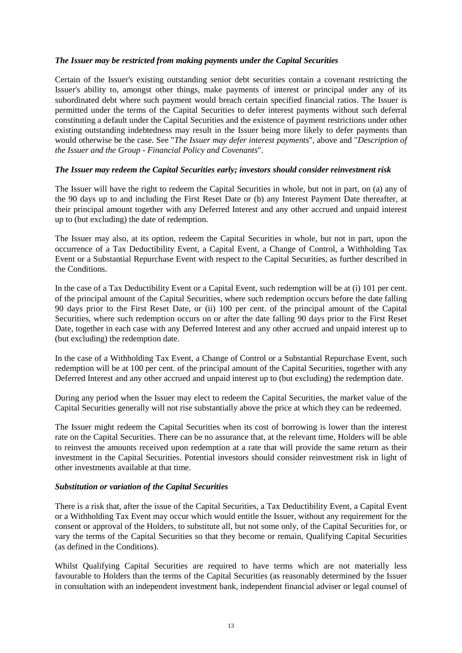## *The Issuer may be restricted from making payments under the Capital Securities*

Certain of the Issuer's existing outstanding senior debt securities contain a covenant restricting the Issuer's ability to, amongst other things, make payments of interest or principal under any of its subordinated debt where such payment would breach certain specified financial ratios. The Issuer is permitted under the terms of the Capital Securities to defer interest payments without such deferral constituting a default under the Capital Securities and the existence of payment restrictions under other existing outstanding indebtedness may result in the Issuer being more likely to defer payments than would otherwise be the case. See "*The Issuer may defer interest payments*", above and "*Description of the Issuer and the Group - Financial Policy and Covenants*".

## *The Issuer may redeem the Capital Securities early; investors should consider reinvestment risk*

The Issuer will have the right to redeem the Capital Securities in whole, but not in part, on (a) any of the 90 days up to and including the First Reset Date or (b) any Interest Payment Date thereafter, at their principal amount together with any Deferred Interest and any other accrued and unpaid interest up to (but excluding) the date of redemption.

The Issuer may also, at its option, redeem the Capital Securities in whole, but not in part, upon the occurrence of a Tax Deductibility Event, a Capital Event, a Change of Control, a Withholding Tax Event or a Substantial Repurchase Event with respect to the Capital Securities, as further described in the Conditions.

In the case of a Tax Deductibility Event or a Capital Event, such redemption will be at (i) 101 per cent. of the principal amount of the Capital Securities, where such redemption occurs before the date falling 90 days prior to the First Reset Date, or (ii) 100 per cent. of the principal amount of the Capital Securities, where such redemption occurs on or after the date falling 90 days prior to the First Reset Date, together in each case with any Deferred Interest and any other accrued and unpaid interest up to (but excluding) the redemption date.

In the case of a Withholding Tax Event, a Change of Control or a Substantial Repurchase Event, such redemption will be at 100 per cent. of the principal amount of the Capital Securities, together with any Deferred Interest and any other accrued and unpaid interest up to (but excluding) the redemption date.

During any period when the Issuer may elect to redeem the Capital Securities, the market value of the Capital Securities generally will not rise substantially above the price at which they can be redeemed.

The Issuer might redeem the Capital Securities when its cost of borrowing is lower than the interest rate on the Capital Securities. There can be no assurance that, at the relevant time, Holders will be able to reinvest the amounts received upon redemption at a rate that will provide the same return as their investment in the Capital Securities. Potential investors should consider reinvestment risk in light of other investments available at that time.

## *Substitution or variation of the Capital Securities*

There is a risk that, after the issue of the Capital Securities, a Tax Deductibility Event, a Capital Event or a Withholding Tax Event may occur which would entitle the Issuer, without any requirement for the consent or approval of the Holders, to substitute all, but not some only, of the Capital Securities for, or vary the terms of the Capital Securities so that they become or remain, Qualifying Capital Securities (as defined in the Conditions).

Whilst Qualifying Capital Securities are required to have terms which are not materially less favourable to Holders than the terms of the Capital Securities (as reasonably determined by the Issuer in consultation with an independent investment bank, independent financial adviser or legal counsel of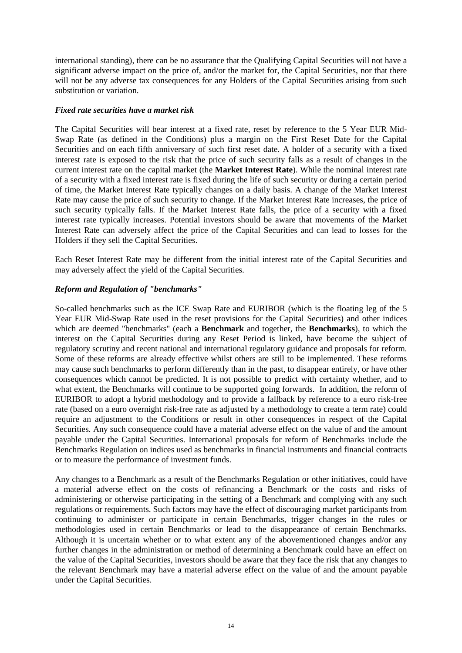international standing), there can be no assurance that the Qualifying Capital Securities will not have a significant adverse impact on the price of, and/or the market for, the Capital Securities, nor that there will not be any adverse tax consequences for any Holders of the Capital Securities arising from such substitution or variation.

## *Fixed rate securities have a market risk*

The Capital Securities will bear interest at a fixed rate, reset by reference to the 5 Year EUR Mid-Swap Rate (as defined in the Conditions) plus a margin on the First Reset Date for the Capital Securities and on each fifth anniversary of such first reset date. A holder of a security with a fixed interest rate is exposed to the risk that the price of such security falls as a result of changes in the current interest rate on the capital market (the **Market Interest Rate**). While the nominal interest rate of a security with a fixed interest rate is fixed during the life of such security or during a certain period of time, the Market Interest Rate typically changes on a daily basis. A change of the Market Interest Rate may cause the price of such security to change. If the Market Interest Rate increases, the price of such security typically falls. If the Market Interest Rate falls, the price of a security with a fixed interest rate typically increases. Potential investors should be aware that movements of the Market Interest Rate can adversely affect the price of the Capital Securities and can lead to losses for the Holders if they sell the Capital Securities.

Each Reset Interest Rate may be different from the initial interest rate of the Capital Securities and may adversely affect the yield of the Capital Securities.

## *Reform and Regulation of "benchmarks"*

So-called benchmarks such as the ICE Swap Rate and EURIBOR (which is the floating leg of the 5 Year EUR Mid-Swap Rate used in the reset provisions for the Capital Securities) and other indices which are deemed "benchmarks" (each a **Benchmark** and together, the **Benchmarks**), to which the interest on the Capital Securities during any Reset Period is linked, have become the subject of regulatory scrutiny and recent national and international regulatory guidance and proposals for reform. Some of these reforms are already effective whilst others are still to be implemented. These reforms may cause such benchmarks to perform differently than in the past, to disappear entirely, or have other consequences which cannot be predicted. It is not possible to predict with certainty whether, and to what extent, the Benchmarks will continue to be supported going forwards. In addition, the reform of EURIBOR to adopt a hybrid methodology and to provide a fallback by reference to a euro risk-free rate (based on a euro overnight risk-free rate as adjusted by a methodology to create a term rate) could require an adjustment to the Conditions or result in other consequences in respect of the Capital Securities. Any such consequence could have a material adverse effect on the value of and the amount payable under the Capital Securities. International proposals for reform of Benchmarks include the Benchmarks Regulation on indices used as benchmarks in financial instruments and financial contracts or to measure the performance of investment funds.

Any changes to a Benchmark as a result of the Benchmarks Regulation or other initiatives, could have a material adverse effect on the costs of refinancing a Benchmark or the costs and risks of administering or otherwise participating in the setting of a Benchmark and complying with any such regulations or requirements. Such factors may have the effect of discouraging market participants from continuing to administer or participate in certain Benchmarks, trigger changes in the rules or methodologies used in certain Benchmarks or lead to the disappearance of certain Benchmarks. Although it is uncertain whether or to what extent any of the abovementioned changes and/or any further changes in the administration or method of determining a Benchmark could have an effect on the value of the Capital Securities, investors should be aware that they face the risk that any changes to the relevant Benchmark may have a material adverse effect on the value of and the amount payable under the Capital Securities.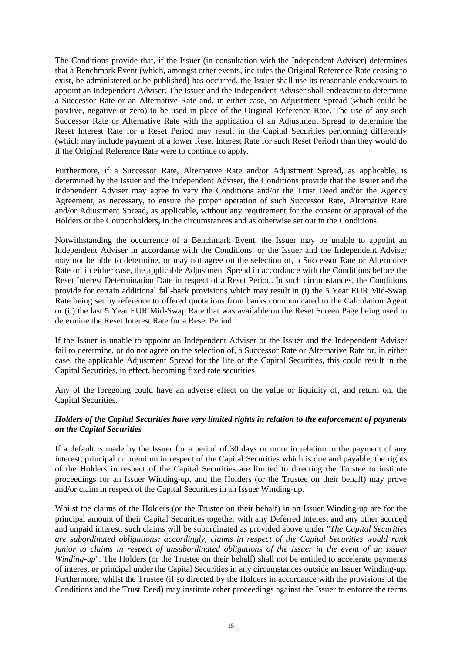The Conditions provide that, if the Issuer (in consultation with the Independent Adviser) determines that a Benchmark Event (which, amongst other events, includes the Original Reference Rate ceasing to exist, be administered or be published) has occurred, the Issuer shall use its reasonable endeavours to appoint an Independent Adviser. The Issuer and the Independent Adviser shall endeavour to determine a Successor Rate or an Alternative Rate and, in either case, an Adjustment Spread (which could be positive, negative or zero) to be used in place of the Original Reference Rate. The use of any such Successor Rate or Alternative Rate with the application of an Adjustment Spread to determine the Reset Interest Rate for a Reset Period may result in the Capital Securities performing differently (which may include payment of a lower Reset Interest Rate for such Reset Period) than they would do if the Original Reference Rate were to continue to apply.

Furthermore, if a Successor Rate, Alternative Rate and/or Adjustment Spread, as applicable, is determined by the Issuer and the Independent Adviser, the Conditions provide that the Issuer and the Independent Adviser may agree to vary the Conditions and/or the Trust Deed and/or the Agency Agreement, as necessary, to ensure the proper operation of such Successor Rate, Alternative Rate and/or Adjustment Spread, as applicable, without any requirement for the consent or approval of the Holders or the Couponholders, in the circumstances and as otherwise set out in the Conditions.

Notwithstanding the occurrence of a Benchmark Event, the Issuer may be unable to appoint an Independent Adviser in accordance with the Conditions, or the Issuer and the Independent Adviser may not be able to determine, or may not agree on the selection of, a Successor Rate or Alternative Rate or, in either case, the applicable Adjustment Spread in accordance with the Conditions before the Reset Interest Determination Date in respect of a Reset Period. In such circumstances, the Conditions provide for certain additional fall-back provisions which may result in (i) the 5 Year EUR Mid-Swap Rate being set by reference to offered quotations from banks communicated to the Calculation Agent or (ii) the last 5 Year EUR Mid-Swap Rate that was available on the Reset Screen Page being used to determine the Reset Interest Rate for a Reset Period.

If the Issuer is unable to appoint an Independent Adviser or the Issuer and the Independent Adviser fail to determine, or do not agree on the selection of, a Successor Rate or Alternative Rate or, in either case, the applicable Adjustment Spread for the life of the Capital Securities, this could result in the Capital Securities, in effect, becoming fixed rate securities.

Any of the foregoing could have an adverse effect on the value or liquidity of, and return on, the Capital Securities.

## *Holders of the Capital Securities have very limited rights in relation to the enforcement of payments on the Capital Securities*

If a default is made by the Issuer for a period of 30 days or more in relation to the payment of any interest, principal or premium in respect of the Capital Securities which is due and payable, the rights of the Holders in respect of the Capital Securities are limited to directing the Trustee to institute proceedings for an Issuer Winding-up, and the Holders (or the Trustee on their behalf) may prove and/or claim in respect of the Capital Securities in an Issuer Winding-up.

Whilst the claims of the Holders (or the Trustee on their behalf) in an Issuer Winding-up are for the principal amount of their Capital Securities together with any Deferred Interest and any other accrued and unpaid interest, such claims will be subordinated as provided above under "*The Capital Securities are subordinated obligations; accordingly, claims in respect of the Capital Securities would rank junior to claims in respect of unsubordinated obligations of the Issuer in the event of an Issuer Winding-up*". The Holders (or the Trustee on their behalf) shall not be entitled to accelerate payments of interest or principal under the Capital Securities in any circumstances outside an Issuer Winding-up. Furthermore, whilst the Trustee (if so directed by the Holders in accordance with the provisions of the Conditions and the Trust Deed) may institute other proceedings against the Issuer to enforce the terms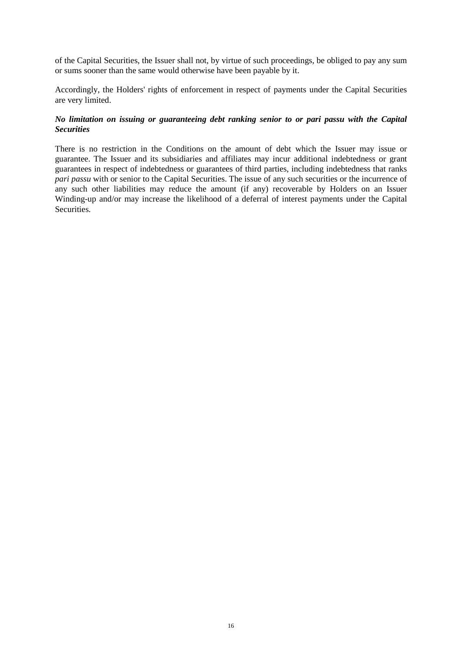of the Capital Securities, the Issuer shall not, by virtue of such proceedings, be obliged to pay any sum or sums sooner than the same would otherwise have been payable by it.

Accordingly, the Holders' rights of enforcement in respect of payments under the Capital Securities are very limited.

## *No limitation on issuing or guaranteeing debt ranking senior to or pari passu with the Capital Securities*

There is no restriction in the Conditions on the amount of debt which the Issuer may issue or guarantee. The Issuer and its subsidiaries and affiliates may incur additional indebtedness or grant guarantees in respect of indebtedness or guarantees of third parties, including indebtedness that ranks *pari passu* with or senior to the Capital Securities. The issue of any such securities or the incurrence of any such other liabilities may reduce the amount (if any) recoverable by Holders on an Issuer Winding-up and/or may increase the likelihood of a deferral of interest payments under the Capital **Securities**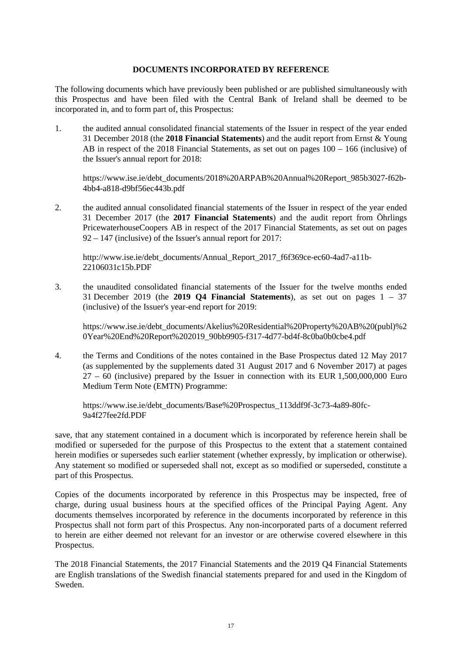## **DOCUMENTS INCORPORATED BY REFERENCE**

The following documents which have previously been published or are published simultaneously with this Prospectus and have been filed with the Central Bank of Ireland shall be deemed to be incorporated in, and to form part of, this Prospectus:

1. the audited annual consolidated financial statements of the Issuer in respect of the year ended 31 December 2018 (the **2018 Financial Statements**) and the audit report from Ernst & Young AB in respect of the 2018 Financial Statements, as set out on pages 100 – 166 (inclusive) of the Issuer's annual report for 2018:

https://www.ise.ie/debt\_documents/2018%20ARPAB%20Annual%20Report\_985b3027-f62b-4bb4-a818-d9bf56ec443b.pdf

2. the audited annual consolidated financial statements of the Issuer in respect of the year ended 31 December 2017 (the **2017 Financial Statements**) and the audit report from Öhrlings PricewaterhouseCoopers AB in respect of the 2017 Financial Statements, as set out on pages 92 – 147 (inclusive) of the Issuer's annual report for 2017:

http://www.ise.ie/debt\_documents/Annual\_Report\_2017\_f6f369ce-ec60-4ad7-a11b-22106031c15b.PDF

3. the unaudited consolidated financial statements of the Issuer for the twelve months ended 31 December 2019 (the **2019 Q4 Financial Statements**), as set out on pages 1 – 37 (inclusive) of the Issuer's year-end report for 2019:

https://www.ise.ie/debt\_documents/Akelius%20Residential%20Property%20AB%20(publ)%2 0Year%20End%20Report%202019\_90bb9905-f317-4d77-bd4f-8c0ba0b0cbe4.pdf

4. the Terms and Conditions of the notes contained in the Base Prospectus dated 12 May 2017 (as supplemented by the supplements dated 31 August 2017 and 6 November 2017) at pages 27 – 60 (inclusive) prepared by the Issuer in connection with its EUR 1,500,000,000 Euro Medium Term Note (EMTN) Programme:

https://www.ise.ie/debt\_documents/Base%20Prospectus\_113ddf9f-3c73-4a89-80fc-9a4f27fee2fd.PDF

save, that any statement contained in a document which is incorporated by reference herein shall be modified or superseded for the purpose of this Prospectus to the extent that a statement contained herein modifies or supersedes such earlier statement (whether expressly, by implication or otherwise). Any statement so modified or superseded shall not, except as so modified or superseded, constitute a part of this Prospectus.

Copies of the documents incorporated by reference in this Prospectus may be inspected, free of charge, during usual business hours at the specified offices of the Principal Paying Agent. Any documents themselves incorporated by reference in the documents incorporated by reference in this Prospectus shall not form part of this Prospectus. Any non-incorporated parts of a document referred to herein are either deemed not relevant for an investor or are otherwise covered elsewhere in this Prospectus.

The 2018 Financial Statements, the 2017 Financial Statements and the 2019 Q4 Financial Statements are English translations of the Swedish financial statements prepared for and used in the Kingdom of Sweden.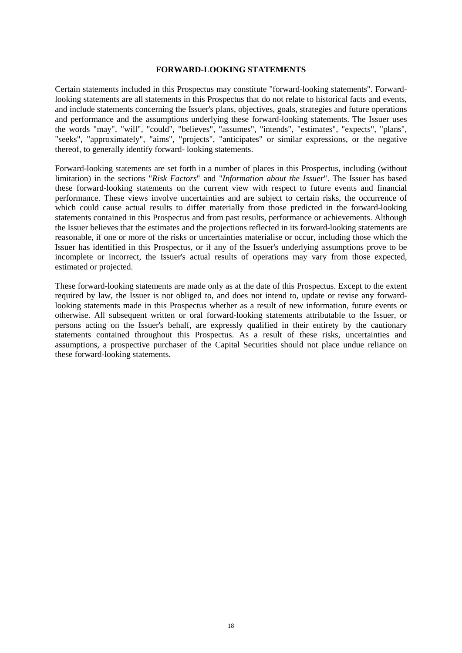#### **FORWARD-LOOKING STATEMENTS**

Certain statements included in this Prospectus may constitute "forward-looking statements". Forwardlooking statements are all statements in this Prospectus that do not relate to historical facts and events, and include statements concerning the Issuer's plans, objectives, goals, strategies and future operations and performance and the assumptions underlying these forward-looking statements. The Issuer uses the words "may", "will", "could", "believes", "assumes", "intends", "estimates", "expects", "plans", "seeks", "approximately", "aims", "projects", "anticipates" or similar expressions, or the negative thereof, to generally identify forward- looking statements.

Forward-looking statements are set forth in a number of places in this Prospectus, including (without limitation) in the sections "*Risk Factors*" and "*Information about the Issuer*". The Issuer has based these forward-looking statements on the current view with respect to future events and financial performance. These views involve uncertainties and are subject to certain risks, the occurrence of which could cause actual results to differ materially from those predicted in the forward-looking statements contained in this Prospectus and from past results, performance or achievements. Although the Issuer believes that the estimates and the projections reflected in its forward-looking statements are reasonable, if one or more of the risks or uncertainties materialise or occur, including those which the Issuer has identified in this Prospectus, or if any of the Issuer's underlying assumptions prove to be incomplete or incorrect, the Issuer's actual results of operations may vary from those expected, estimated or projected.

These forward-looking statements are made only as at the date of this Prospectus. Except to the extent required by law, the Issuer is not obliged to, and does not intend to, update or revise any forwardlooking statements made in this Prospectus whether as a result of new information, future events or otherwise. All subsequent written or oral forward-looking statements attributable to the Issuer, or persons acting on the Issuer's behalf, are expressly qualified in their entirety by the cautionary statements contained throughout this Prospectus. As a result of these risks, uncertainties and assumptions, a prospective purchaser of the Capital Securities should not place undue reliance on these forward-looking statements.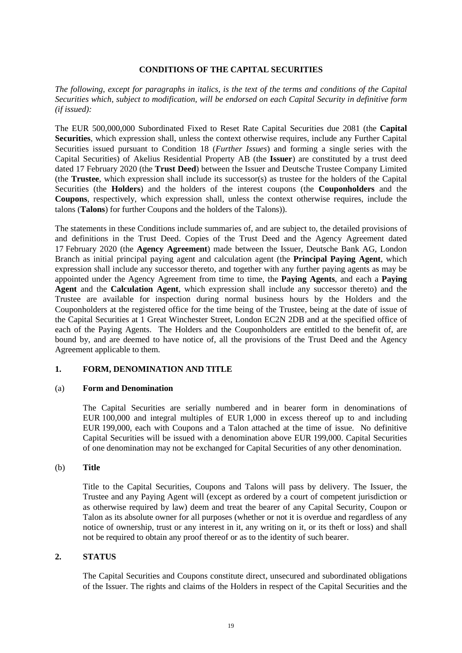## **CONDITIONS OF THE CAPITAL SECURITIES**

*The following, except for paragraphs in italics, is the text of the terms and conditions of the Capital Securities which, subject to modification, will be endorsed on each Capital Security in definitive form (if issued):*

The EUR 500,000,000 Subordinated Fixed to Reset Rate Capital Securities due 2081 (the **Capital Securities**, which expression shall, unless the context otherwise requires, include any Further Capital Securities issued pursuant to Condition 18 (*Further Issues*) and forming a single series with the Capital Securities) of Akelius Residential Property AB (the **Issuer**) are constituted by a trust deed dated 17 February 2020 (the **Trust Deed**) between the Issuer and Deutsche Trustee Company Limited (the **Trustee**, which expression shall include its successor(s) as trustee for the holders of the Capital Securities (the **Holders**) and the holders of the interest coupons (the **Couponholders** and the **Coupons**, respectively, which expression shall, unless the context otherwise requires, include the talons (**Talons**) for further Coupons and the holders of the Talons)).

The statements in these Conditions include summaries of, and are subject to, the detailed provisions of and definitions in the Trust Deed. Copies of the Trust Deed and the Agency Agreement dated 17 February 2020 (the **Agency Agreement**) made between the Issuer, Deutsche Bank AG, London Branch as initial principal paying agent and calculation agent (the **Principal Paying Agent**, which expression shall include any successor thereto, and together with any further paying agents as may be appointed under the Agency Agreement from time to time, the **Paying Agents**, and each a **Paying Agent** and the **Calculation Agent**, which expression shall include any successor thereto) and the Trustee are available for inspection during normal business hours by the Holders and the Couponholders at the registered office for the time being of the Trustee, being at the date of issue of the Capital Securities at 1 Great Winchester Street, London EC2N 2DB and at the specified office of each of the Paying Agents. The Holders and the Couponholders are entitled to the benefit of, are bound by, and are deemed to have notice of, all the provisions of the Trust Deed and the Agency Agreement applicable to them.

## **1. FORM, DENOMINATION AND TITLE**

## (a) **Form and Denomination**

The Capital Securities are serially numbered and in bearer form in denominations of EUR 100,000 and integral multiples of EUR 1,000 in excess thereof up to and including EUR 199,000, each with Coupons and a Talon attached at the time of issue. No definitive Capital Securities will be issued with a denomination above EUR 199,000. Capital Securities of one denomination may not be exchanged for Capital Securities of any other denomination.

## (b) **Title**

Title to the Capital Securities, Coupons and Talons will pass by delivery. The Issuer, the Trustee and any Paying Agent will (except as ordered by a court of competent jurisdiction or as otherwise required by law) deem and treat the bearer of any Capital Security, Coupon or Talon as its absolute owner for all purposes (whether or not it is overdue and regardless of any notice of ownership, trust or any interest in it, any writing on it, or its theft or loss) and shall not be required to obtain any proof thereof or as to the identity of such bearer.

## **2. STATUS**

The Capital Securities and Coupons constitute direct, unsecured and subordinated obligations of the Issuer. The rights and claims of the Holders in respect of the Capital Securities and the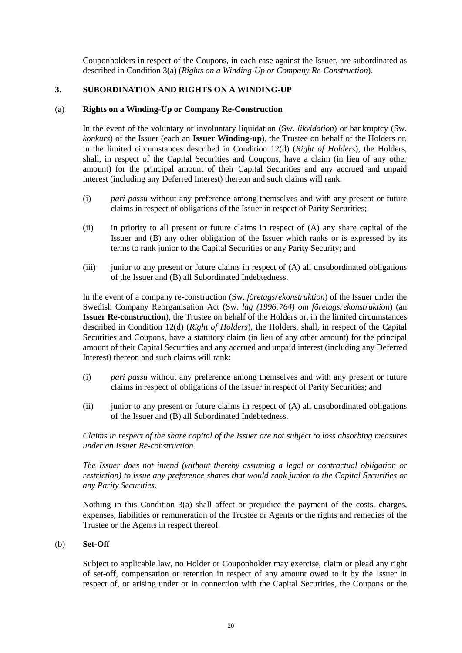Couponholders in respect of the Coupons, in each case against the Issuer, are subordinated as described in Condition 3(a) (*Rights on a Winding-Up or Company Re-Construction*).

## **3. SUBORDINATION AND RIGHTS ON A WINDING-UP**

#### (a) **Rights on a Winding-Up or Company Re-Construction**

In the event of the voluntary or involuntary liquidation (Sw. *likvidation*) or bankruptcy (Sw. *konkurs*) of the Issuer (each an **Issuer Winding-up**), the Trustee on behalf of the Holders or, in the limited circumstances described in Condition 12(d) (*Right of Holders*), the Holders, shall, in respect of the Capital Securities and Coupons, have a claim (in lieu of any other amount) for the principal amount of their Capital Securities and any accrued and unpaid interest (including any Deferred Interest) thereon and such claims will rank:

- (i) *pari passu* without any preference among themselves and with any present or future claims in respect of obligations of the Issuer in respect of Parity Securities;
- (ii) in priority to all present or future claims in respect of (A) any share capital of the Issuer and (B) any other obligation of the Issuer which ranks or is expressed by its terms to rank junior to the Capital Securities or any Parity Security; and
- $(iii)$  junior to any present or future claims in respect of  $(A)$  all unsubordinated obligations of the Issuer and (B) all Subordinated Indebtedness.

In the event of a company re-construction (Sw. *företagsrekonstruktion*) of the Issuer under the Swedish Company Reorganisation Act (Sw. *lag (1996:764) om företagsrekonstruktion*) (an **Issuer Re-construction**), the Trustee on behalf of the Holders or, in the limited circumstances described in Condition 12(d) (*Right of Holders*), the Holders, shall, in respect of the Capital Securities and Coupons, have a statutory claim (in lieu of any other amount) for the principal amount of their Capital Securities and any accrued and unpaid interest (including any Deferred Interest) thereon and such claims will rank:

- (i) *pari passu* without any preference among themselves and with any present or future claims in respect of obligations of the Issuer in respect of Parity Securities; and
- $(ii)$  junior to any present or future claims in respect of  $(A)$  all unsubordinated obligations of the Issuer and (B) all Subordinated Indebtedness.

*Claims in respect of the share capital of the Issuer are not subject to loss absorbing measures under an Issuer Re-construction.* 

*The Issuer does not intend (without thereby assuming a legal or contractual obligation or restriction) to issue any preference shares that would rank junior to the Capital Securities or any Parity Securities.* 

Nothing in this Condition 3(a) shall affect or prejudice the payment of the costs, charges, expenses, liabilities or remuneration of the Trustee or Agents or the rights and remedies of the Trustee or the Agents in respect thereof.

#### (b) **Set-Off**

Subject to applicable law, no Holder or Couponholder may exercise, claim or plead any right of set-off, compensation or retention in respect of any amount owed to it by the Issuer in respect of, or arising under or in connection with the Capital Securities, the Coupons or the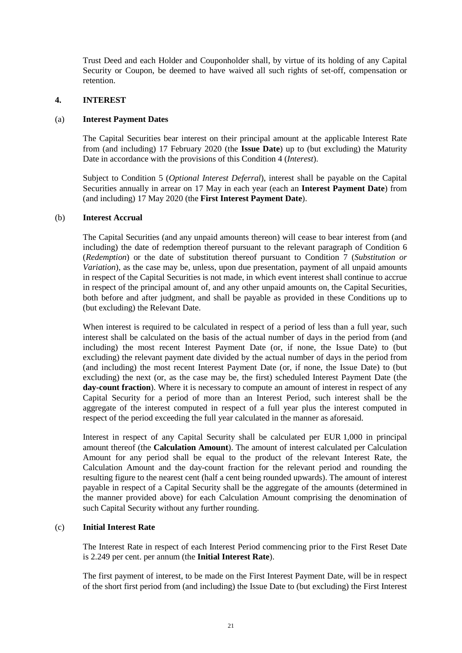Trust Deed and each Holder and Couponholder shall, by virtue of its holding of any Capital Security or Coupon, be deemed to have waived all such rights of set-off, compensation or retention.

## **4. INTEREST**

## (a) **Interest Payment Dates**

The Capital Securities bear interest on their principal amount at the applicable Interest Rate from (and including) 17 February 2020 (the **Issue Date**) up to (but excluding) the Maturity Date in accordance with the provisions of this Condition 4 (*Interest*).

Subject to Condition 5 (*Optional Interest Deferral*), interest shall be payable on the Capital Securities annually in arrear on 17 May in each year (each an **Interest Payment Date**) from (and including) 17 May 2020 (the **First Interest Payment Date**).

## (b) **Interest Accrual**

The Capital Securities (and any unpaid amounts thereon) will cease to bear interest from (and including) the date of redemption thereof pursuant to the relevant paragraph of Condition 6 (*Redemption*) or the date of substitution thereof pursuant to Condition 7 (*Substitution or Variation*), as the case may be, unless, upon due presentation, payment of all unpaid amounts in respect of the Capital Securities is not made, in which event interest shall continue to accrue in respect of the principal amount of, and any other unpaid amounts on, the Capital Securities, both before and after judgment, and shall be payable as provided in these Conditions up to (but excluding) the Relevant Date.

When interest is required to be calculated in respect of a period of less than a full year, such interest shall be calculated on the basis of the actual number of days in the period from (and including) the most recent Interest Payment Date (or, if none, the Issue Date) to (but excluding) the relevant payment date divided by the actual number of days in the period from (and including) the most recent Interest Payment Date (or, if none, the Issue Date) to (but excluding) the next (or, as the case may be, the first) scheduled Interest Payment Date (the **day-count fraction**). Where it is necessary to compute an amount of interest in respect of any Capital Security for a period of more than an Interest Period, such interest shall be the aggregate of the interest computed in respect of a full year plus the interest computed in respect of the period exceeding the full year calculated in the manner as aforesaid.

Interest in respect of any Capital Security shall be calculated per EUR 1,000 in principal amount thereof (the **Calculation Amount**). The amount of interest calculated per Calculation Amount for any period shall be equal to the product of the relevant Interest Rate, the Calculation Amount and the day-count fraction for the relevant period and rounding the resulting figure to the nearest cent (half a cent being rounded upwards). The amount of interest payable in respect of a Capital Security shall be the aggregate of the amounts (determined in the manner provided above) for each Calculation Amount comprising the denomination of such Capital Security without any further rounding.

## (c) **Initial Interest Rate**

The Interest Rate in respect of each Interest Period commencing prior to the First Reset Date is 2.249 per cent. per annum (the **Initial Interest Rate**).

The first payment of interest, to be made on the First Interest Payment Date, will be in respect of the short first period from (and including) the Issue Date to (but excluding) the First Interest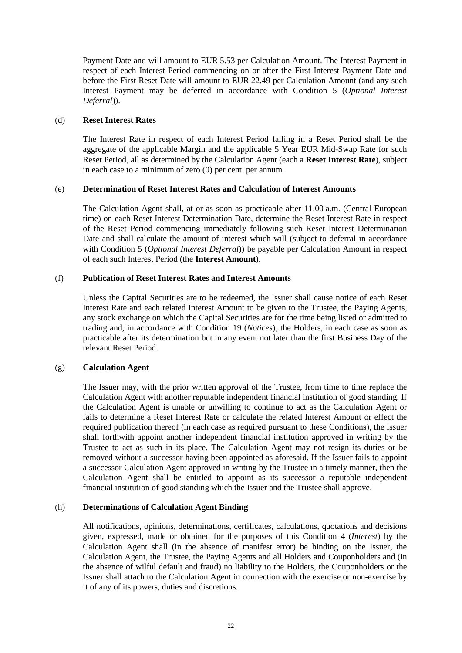Payment Date and will amount to EUR 5.53 per Calculation Amount. The Interest Payment in respect of each Interest Period commencing on or after the First Interest Payment Date and before the First Reset Date will amount to EUR 22.49 per Calculation Amount (and any such Interest Payment may be deferred in accordance with Condition 5 (*Optional Interest Deferral*)).

## (d) **Reset Interest Rates**

The Interest Rate in respect of each Interest Period falling in a Reset Period shall be the aggregate of the applicable Margin and the applicable 5 Year EUR Mid-Swap Rate for such Reset Period, all as determined by the Calculation Agent (each a **Reset Interest Rate**), subject in each case to a minimum of zero (0) per cent. per annum.

## (e) **Determination of Reset Interest Rates and Calculation of Interest Amounts**

The Calculation Agent shall, at or as soon as practicable after 11.00 a.m. (Central European time) on each Reset Interest Determination Date, determine the Reset Interest Rate in respect of the Reset Period commencing immediately following such Reset Interest Determination Date and shall calculate the amount of interest which will (subject to deferral in accordance with Condition 5 (*Optional Interest Deferral*)) be payable per Calculation Amount in respect of each such Interest Period (the **Interest Amount**).

## (f) **Publication of Reset Interest Rates and Interest Amounts**

Unless the Capital Securities are to be redeemed, the Issuer shall cause notice of each Reset Interest Rate and each related Interest Amount to be given to the Trustee, the Paying Agents, any stock exchange on which the Capital Securities are for the time being listed or admitted to trading and, in accordance with Condition 19 (*Notices*), the Holders, in each case as soon as practicable after its determination but in any event not later than the first Business Day of the relevant Reset Period.

## (g) **Calculation Agent**

The Issuer may, with the prior written approval of the Trustee, from time to time replace the Calculation Agent with another reputable independent financial institution of good standing. If the Calculation Agent is unable or unwilling to continue to act as the Calculation Agent or fails to determine a Reset Interest Rate or calculate the related Interest Amount or effect the required publication thereof (in each case as required pursuant to these Conditions), the Issuer shall forthwith appoint another independent financial institution approved in writing by the Trustee to act as such in its place. The Calculation Agent may not resign its duties or be removed without a successor having been appointed as aforesaid. If the Issuer fails to appoint a successor Calculation Agent approved in writing by the Trustee in a timely manner, then the Calculation Agent shall be entitled to appoint as its successor a reputable independent financial institution of good standing which the Issuer and the Trustee shall approve.

# (h) **Determinations of Calculation Agent Binding**

All notifications, opinions, determinations, certificates, calculations, quotations and decisions given, expressed, made or obtained for the purposes of this Condition 4 (*Interest*) by the Calculation Agent shall (in the absence of manifest error) be binding on the Issuer, the Calculation Agent, the Trustee, the Paying Agents and all Holders and Couponholders and (in the absence of wilful default and fraud) no liability to the Holders, the Couponholders or the Issuer shall attach to the Calculation Agent in connection with the exercise or non-exercise by it of any of its powers, duties and discretions.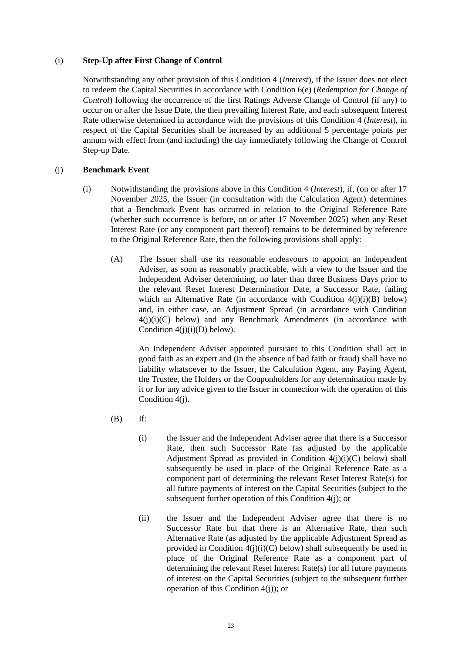## (i) **Step-Up after First Change of Control**

Notwithstanding any other provision of this Condition 4 (*Interest*), if the Issuer does not elect to redeem the Capital Securities in accordance with Condition 6(e) (*Redemption for Change of Control*) following the occurrence of the first Ratings Adverse Change of Control (if any) to occur on or after the Issue Date, the then prevailing Interest Rate, and each subsequent Interest Rate otherwise determined in accordance with the provisions of this Condition 4 (*Interest*), in respect of the Capital Securities shall be increased by an additional 5 percentage points per annum with effect from (and including) the day immediately following the Change of Control Step-up Date.

## (j) **Benchmark Event**

- (i) Notwithstanding the provisions above in this Condition 4 (*Interest*), if, (on or after 17 November 2025, the Issuer (in consultation with the Calculation Agent) determines that a Benchmark Event has occurred in relation to the Original Reference Rate (whether such occurrence is before, on or after 17 November 2025) when any Reset Interest Rate (or any component part thereof) remains to be determined by reference to the Original Reference Rate, then the following provisions shall apply:
	- (A) The Issuer shall use its reasonable endeavours to appoint an Independent Adviser, as soon as reasonably practicable, with a view to the Issuer and the Independent Adviser determining, no later than three Business Days prior to the relevant Reset Interest Determination Date, a Successor Rate, failing which an Alternative Rate (in accordance with Condition  $4(j)(i)(B)$  below) and, in either case, an Adjustment Spread (in accordance with Condition  $4(j)(i)(C)$  below) and any Benchmark Amendments (in accordance with Condition  $4(j)(i)(D)$  below).

An Independent Adviser appointed pursuant to this Condition shall act in good faith as an expert and (in the absence of bad faith or fraud) shall have no liability whatsoever to the Issuer, the Calculation Agent, any Paying Agent, the Trustee, the Holders or the Couponholders for any determination made by it or for any advice given to the Issuer in connection with the operation of this Condition 4(j).

- (B) If:
	- (i) the Issuer and the Independent Adviser agree that there is a Successor Rate, then such Successor Rate (as adjusted by the applicable Adjustment Spread as provided in Condition  $4(j)(i)(C)$  below) shall subsequently be used in place of the Original Reference Rate as a component part of determining the relevant Reset Interest Rate(s) for all future payments of interest on the Capital Securities (subject to the subsequent further operation of this Condition 4(j); or
	- (ii) the Issuer and the Independent Adviser agree that there is no Successor Rate but that there is an Alternative Rate, then such Alternative Rate (as adjusted by the applicable Adjustment Spread as provided in Condition  $4(i)(i)(C)$  below) shall subsequently be used in place of the Original Reference Rate as a component part of determining the relevant Reset Interest Rate(s) for all future payments of interest on the Capital Securities (subject to the subsequent further operation of this Condition 4(j)); or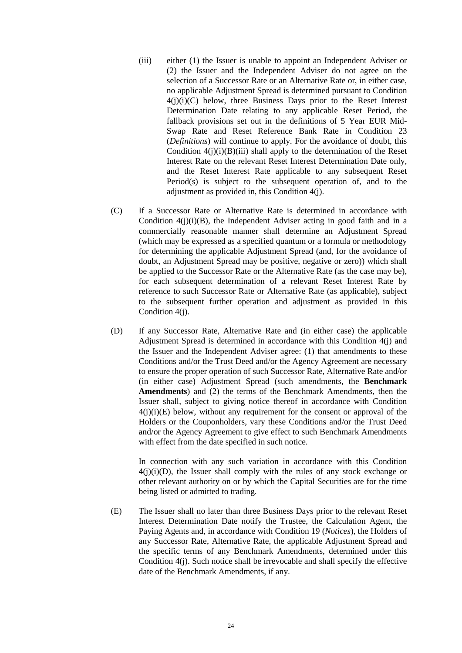- (iii) either (1) the Issuer is unable to appoint an Independent Adviser or (2) the Issuer and the Independent Adviser do not agree on the selection of a Successor Rate or an Alternative Rate or, in either case, no applicable Adjustment Spread is determined pursuant to Condition  $4(j)(i)(C)$  below, three Business Days prior to the Reset Interest Determination Date relating to any applicable Reset Period, the fallback provisions set out in the definitions of 5 Year EUR Mid-Swap Rate and Reset Reference Bank Rate in Condition 23 (*Definitions*) will continue to apply. For the avoidance of doubt, this Condition  $4(j)(i)(B)(iii)$  shall apply to the determination of the Reset Interest Rate on the relevant Reset Interest Determination Date only, and the Reset Interest Rate applicable to any subsequent Reset Period(s) is subject to the subsequent operation of, and to the adjustment as provided in, this Condition 4(j).
- (C) If a Successor Rate or Alternative Rate is determined in accordance with Condition  $4(j)(i)(B)$ , the Independent Adviser acting in good faith and in a commercially reasonable manner shall determine an Adjustment Spread (which may be expressed as a specified quantum or a formula or methodology for determining the applicable Adjustment Spread (and, for the avoidance of doubt, an Adjustment Spread may be positive, negative or zero)) which shall be applied to the Successor Rate or the Alternative Rate (as the case may be), for each subsequent determination of a relevant Reset Interest Rate by reference to such Successor Rate or Alternative Rate (as applicable), subject to the subsequent further operation and adjustment as provided in this Condition 4(j).
- (D) If any Successor Rate, Alternative Rate and (in either case) the applicable Adjustment Spread is determined in accordance with this Condition 4(j) and the Issuer and the Independent Adviser agree: (1) that amendments to these Conditions and/or the Trust Deed and/or the Agency Agreement are necessary to ensure the proper operation of such Successor Rate, Alternative Rate and/or (in either case) Adjustment Spread (such amendments, the **Benchmark Amendments**) and (2) the terms of the Benchmark Amendments, then the Issuer shall, subject to giving notice thereof in accordance with Condition  $4(i)(i)(E)$  below, without any requirement for the consent or approval of the Holders or the Couponholders, vary these Conditions and/or the Trust Deed and/or the Agency Agreement to give effect to such Benchmark Amendments with effect from the date specified in such notice.

In connection with any such variation in accordance with this Condition  $4(i)(i)(D)$ , the Issuer shall comply with the rules of any stock exchange or other relevant authority on or by which the Capital Securities are for the time being listed or admitted to trading.

(E) The Issuer shall no later than three Business Days prior to the relevant Reset Interest Determination Date notify the Trustee, the Calculation Agent, the Paying Agents and, in accordance with Condition 19 (*Notices*), the Holders of any Successor Rate, Alternative Rate, the applicable Adjustment Spread and the specific terms of any Benchmark Amendments, determined under this Condition 4(j). Such notice shall be irrevocable and shall specify the effective date of the Benchmark Amendments, if any.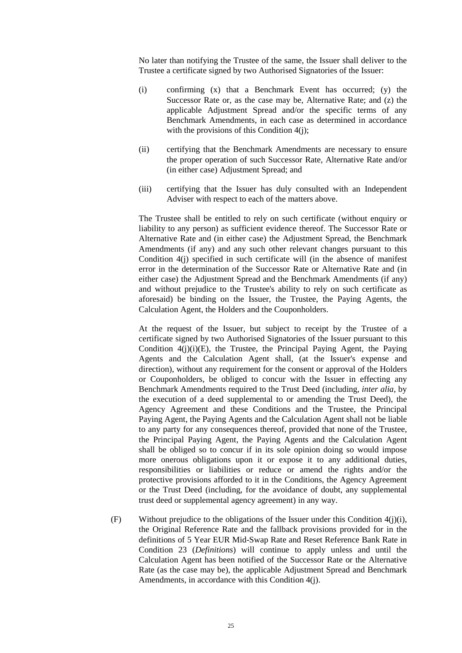No later than notifying the Trustee of the same, the Issuer shall deliver to the Trustee a certificate signed by two Authorised Signatories of the Issuer:

- (i) confirming (x) that a Benchmark Event has occurred; (y) the Successor Rate or, as the case may be, Alternative Rate; and (z) the applicable Adjustment Spread and/or the specific terms of any Benchmark Amendments, in each case as determined in accordance with the provisions of this Condition 4(j);
- (ii) certifying that the Benchmark Amendments are necessary to ensure the proper operation of such Successor Rate, Alternative Rate and/or (in either case) Adjustment Spread; and
- (iii) certifying that the Issuer has duly consulted with an Independent Adviser with respect to each of the matters above.

The Trustee shall be entitled to rely on such certificate (without enquiry or liability to any person) as sufficient evidence thereof. The Successor Rate or Alternative Rate and (in either case) the Adjustment Spread, the Benchmark Amendments (if any) and any such other relevant changes pursuant to this Condition 4(j) specified in such certificate will (in the absence of manifest error in the determination of the Successor Rate or Alternative Rate and (in either case) the Adjustment Spread and the Benchmark Amendments (if any) and without prejudice to the Trustee's ability to rely on such certificate as aforesaid) be binding on the Issuer, the Trustee, the Paying Agents, the Calculation Agent, the Holders and the Couponholders.

At the request of the Issuer, but subject to receipt by the Trustee of a certificate signed by two Authorised Signatories of the Issuer pursuant to this Condition  $4(j)(i)(E)$ , the Trustee, the Principal Paying Agent, the Paying Agents and the Calculation Agent shall, (at the Issuer's expense and direction), without any requirement for the consent or approval of the Holders or Couponholders, be obliged to concur with the Issuer in effecting any Benchmark Amendments required to the Trust Deed (including, *inter alia*, by the execution of a deed supplemental to or amending the Trust Deed), the Agency Agreement and these Conditions and the Trustee, the Principal Paying Agent, the Paying Agents and the Calculation Agent shall not be liable to any party for any consequences thereof, provided that none of the Trustee, the Principal Paying Agent, the Paying Agents and the Calculation Agent shall be obliged so to concur if in its sole opinion doing so would impose more onerous obligations upon it or expose it to any additional duties, responsibilities or liabilities or reduce or amend the rights and/or the protective provisions afforded to it in the Conditions, the Agency Agreement or the Trust Deed (including, for the avoidance of doubt, any supplemental trust deed or supplemental agency agreement) in any way.

(F) Without prejudice to the obligations of the Issuer under this Condition 4(j)(i), the Original Reference Rate and the fallback provisions provided for in the definitions of 5 Year EUR Mid-Swap Rate and Reset Reference Bank Rate in Condition 23 (*Definitions*) will continue to apply unless and until the Calculation Agent has been notified of the Successor Rate or the Alternative Rate (as the case may be), the applicable Adjustment Spread and Benchmark Amendments, in accordance with this Condition 4(j).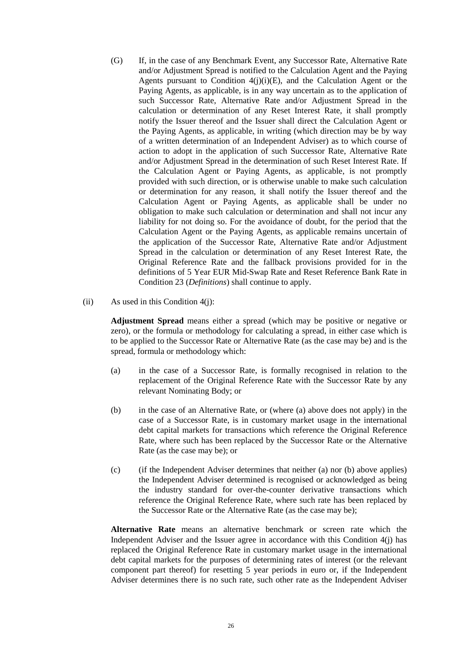- (G) If, in the case of any Benchmark Event, any Successor Rate, Alternative Rate and/or Adjustment Spread is notified to the Calculation Agent and the Paying Agents pursuant to Condition  $4(j)(i)(E)$ , and the Calculation Agent or the Paying Agents, as applicable, is in any way uncertain as to the application of such Successor Rate, Alternative Rate and/or Adjustment Spread in the calculation or determination of any Reset Interest Rate, it shall promptly notify the Issuer thereof and the Issuer shall direct the Calculation Agent or the Paying Agents, as applicable, in writing (which direction may be by way of a written determination of an Independent Adviser) as to which course of action to adopt in the application of such Successor Rate, Alternative Rate and/or Adjustment Spread in the determination of such Reset Interest Rate. If the Calculation Agent or Paying Agents, as applicable, is not promptly provided with such direction, or is otherwise unable to make such calculation or determination for any reason, it shall notify the Issuer thereof and the Calculation Agent or Paying Agents, as applicable shall be under no obligation to make such calculation or determination and shall not incur any liability for not doing so. For the avoidance of doubt, for the period that the Calculation Agent or the Paying Agents, as applicable remains uncertain of the application of the Successor Rate, Alternative Rate and/or Adjustment Spread in the calculation or determination of any Reset Interest Rate, the Original Reference Rate and the fallback provisions provided for in the definitions of 5 Year EUR Mid-Swap Rate and Reset Reference Bank Rate in Condition 23 (*Definitions*) shall continue to apply.
- (ii) As used in this Condition  $4(i)$ :

**Adjustment Spread** means either a spread (which may be positive or negative or zero), or the formula or methodology for calculating a spread, in either case which is to be applied to the Successor Rate or Alternative Rate (as the case may be) and is the spread, formula or methodology which:

- (a) in the case of a Successor Rate, is formally recognised in relation to the replacement of the Original Reference Rate with the Successor Rate by any relevant Nominating Body; or
- (b) in the case of an Alternative Rate, or (where (a) above does not apply) in the case of a Successor Rate, is in customary market usage in the international debt capital markets for transactions which reference the Original Reference Rate, where such has been replaced by the Successor Rate or the Alternative Rate (as the case may be); or
- (c) (if the Independent Adviser determines that neither (a) nor (b) above applies) the Independent Adviser determined is recognised or acknowledged as being the industry standard for over-the-counter derivative transactions which reference the Original Reference Rate, where such rate has been replaced by the Successor Rate or the Alternative Rate (as the case may be);

**Alternative Rate** means an alternative benchmark or screen rate which the Independent Adviser and the Issuer agree in accordance with this Condition 4(j) has replaced the Original Reference Rate in customary market usage in the international debt capital markets for the purposes of determining rates of interest (or the relevant component part thereof) for resetting 5 year periods in euro or, if the Independent Adviser determines there is no such rate, such other rate as the Independent Adviser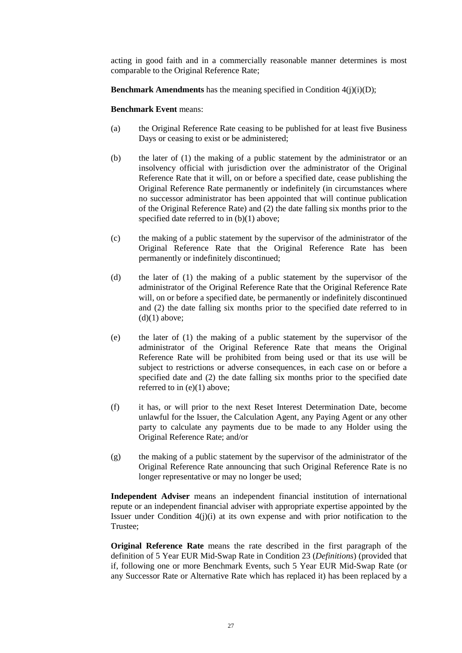acting in good faith and in a commercially reasonable manner determines is most comparable to the Original Reference Rate;

**Benchmark Amendments** has the meaning specified in Condition  $4(i)(i)(D)$ ;

#### **Benchmark Event** means:

- (a) the Original Reference Rate ceasing to be published for at least five Business Days or ceasing to exist or be administered;
- (b) the later of (1) the making of a public statement by the administrator or an insolvency official with jurisdiction over the administrator of the Original Reference Rate that it will, on or before a specified date, cease publishing the Original Reference Rate permanently or indefinitely (in circumstances where no successor administrator has been appointed that will continue publication of the Original Reference Rate) and  $(2)$  the date falling six months prior to the specified date referred to in (b)(1) above;
- (c) the making of a public statement by the supervisor of the administrator of the Original Reference Rate that the Original Reference Rate has been permanently or indefinitely discontinued;
- (d) the later of (1) the making of a public statement by the supervisor of the administrator of the Original Reference Rate that the Original Reference Rate will, on or before a specified date, be permanently or indefinitely discontinued and (2) the date falling six months prior to the specified date referred to in  $(d)(1)$  above:
- (e) the later of (1) the making of a public statement by the supervisor of the administrator of the Original Reference Rate that means the Original Reference Rate will be prohibited from being used or that its use will be subject to restrictions or adverse consequences, in each case on or before a specified date and (2) the date falling six months prior to the specified date referred to in (e)(1) above;
- (f) it has, or will prior to the next Reset Interest Determination Date, become unlawful for the Issuer, the Calculation Agent, any Paying Agent or any other party to calculate any payments due to be made to any Holder using the Original Reference Rate; and/or
- (g) the making of a public statement by the supervisor of the administrator of the Original Reference Rate announcing that such Original Reference Rate is no longer representative or may no longer be used;

**Independent Adviser** means an independent financial institution of international repute or an independent financial adviser with appropriate expertise appointed by the Issuer under Condition  $4(j)(i)$  at its own expense and with prior notification to the Trustee;

**Original Reference Rate** means the rate described in the first paragraph of the definition of 5 Year EUR Mid-Swap Rate in Condition 23 (*Definitions*) (provided that if, following one or more Benchmark Events, such 5 Year EUR Mid-Swap Rate (or any Successor Rate or Alternative Rate which has replaced it) has been replaced by a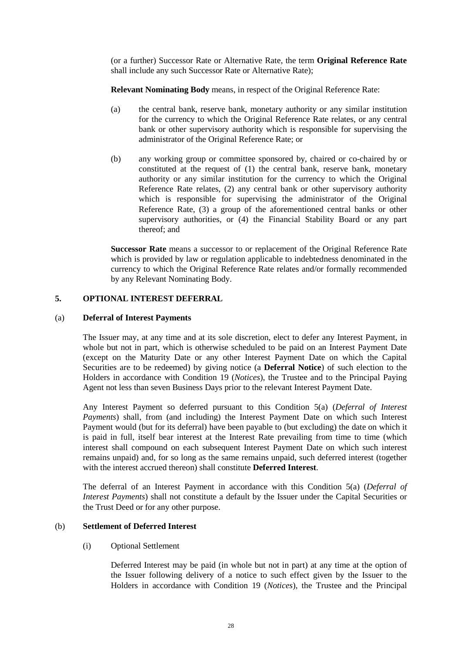(or a further) Successor Rate or Alternative Rate, the term **Original Reference Rate** shall include any such Successor Rate or Alternative Rate);

**Relevant Nominating Body** means, in respect of the Original Reference Rate:

- (a) the central bank, reserve bank, monetary authority or any similar institution for the currency to which the Original Reference Rate relates, or any central bank or other supervisory authority which is responsible for supervising the administrator of the Original Reference Rate; or
- (b) any working group or committee sponsored by, chaired or co-chaired by or constituted at the request of (1) the central bank, reserve bank, monetary authority or any similar institution for the currency to which the Original Reference Rate relates, (2) any central bank or other supervisory authority which is responsible for supervising the administrator of the Original Reference Rate, (3) a group of the aforementioned central banks or other supervisory authorities, or (4) the Financial Stability Board or any part thereof; and

**Successor Rate** means a successor to or replacement of the Original Reference Rate which is provided by law or regulation applicable to indebtedness denominated in the currency to which the Original Reference Rate relates and/or formally recommended by any Relevant Nominating Body.

# **5. OPTIONAL INTEREST DEFERRAL**

## (a) **Deferral of Interest Payments**

The Issuer may, at any time and at its sole discretion, elect to defer any Interest Payment, in whole but not in part, which is otherwise scheduled to be paid on an Interest Payment Date (except on the Maturity Date or any other Interest Payment Date on which the Capital Securities are to be redeemed) by giving notice (a **Deferral Notice**) of such election to the Holders in accordance with Condition 19 (*Notices*), the Trustee and to the Principal Paying Agent not less than seven Business Days prior to the relevant Interest Payment Date.

Any Interest Payment so deferred pursuant to this Condition 5(a) (*Deferral of Interest Payments*) shall, from (and including) the Interest Payment Date on which such Interest Payment would (but for its deferral) have been payable to (but excluding) the date on which it is paid in full, itself bear interest at the Interest Rate prevailing from time to time (which interest shall compound on each subsequent Interest Payment Date on which such interest remains unpaid) and, for so long as the same remains unpaid, such deferred interest (together with the interest accrued thereon) shall constitute **Deferred Interest**.

The deferral of an Interest Payment in accordance with this Condition 5(a) (*Deferral of Interest Payments*) shall not constitute a default by the Issuer under the Capital Securities or the Trust Deed or for any other purpose.

## (b) **Settlement of Deferred Interest**

(i) Optional Settlement

Deferred Interest may be paid (in whole but not in part) at any time at the option of the Issuer following delivery of a notice to such effect given by the Issuer to the Holders in accordance with Condition 19 (*Notices*), the Trustee and the Principal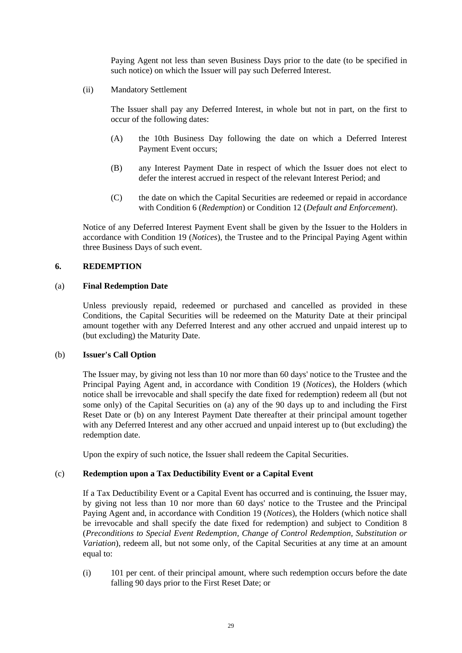Paying Agent not less than seven Business Days prior to the date (to be specified in such notice) on which the Issuer will pay such Deferred Interest.

(ii) Mandatory Settlement

The Issuer shall pay any Deferred Interest, in whole but not in part, on the first to occur of the following dates:

- (A) the 10th Business Day following the date on which a Deferred Interest Payment Event occurs;
- (B) any Interest Payment Date in respect of which the Issuer does not elect to defer the interest accrued in respect of the relevant Interest Period; and
- (C) the date on which the Capital Securities are redeemed or repaid in accordance with Condition 6 (*Redemption*) or Condition 12 (*Default and Enforcement*).

Notice of any Deferred Interest Payment Event shall be given by the Issuer to the Holders in accordance with Condition 19 (*Notices*), the Trustee and to the Principal Paying Agent within three Business Days of such event.

#### **6. REDEMPTION**

#### (a) **Final Redemption Date**

Unless previously repaid, redeemed or purchased and cancelled as provided in these Conditions, the Capital Securities will be redeemed on the Maturity Date at their principal amount together with any Deferred Interest and any other accrued and unpaid interest up to (but excluding) the Maturity Date.

#### (b) **Issuer's Call Option**

The Issuer may, by giving not less than 10 nor more than 60 days' notice to the Trustee and the Principal Paying Agent and, in accordance with Condition 19 (*Notices*), the Holders (which notice shall be irrevocable and shall specify the date fixed for redemption) redeem all (but not some only) of the Capital Securities on (a) any of the 90 days up to and including the First Reset Date or (b) on any Interest Payment Date thereafter at their principal amount together with any Deferred Interest and any other accrued and unpaid interest up to (but excluding) the redemption date.

Upon the expiry of such notice, the Issuer shall redeem the Capital Securities.

#### (c) **Redemption upon a Tax Deductibility Event or a Capital Event**

If a Tax Deductibility Event or a Capital Event has occurred and is continuing, the Issuer may, by giving not less than 10 nor more than 60 days' notice to the Trustee and the Principal Paying Agent and, in accordance with Condition 19 (*Notices*), the Holders (which notice shall be irrevocable and shall specify the date fixed for redemption) and subject to Condition 8 (*Preconditions to Special Event Redemption, Change of Control Redemption, Substitution or Variation*), redeem all, but not some only, of the Capital Securities at any time at an amount equal to:

(i) 101 per cent. of their principal amount, where such redemption occurs before the date falling 90 days prior to the First Reset Date; or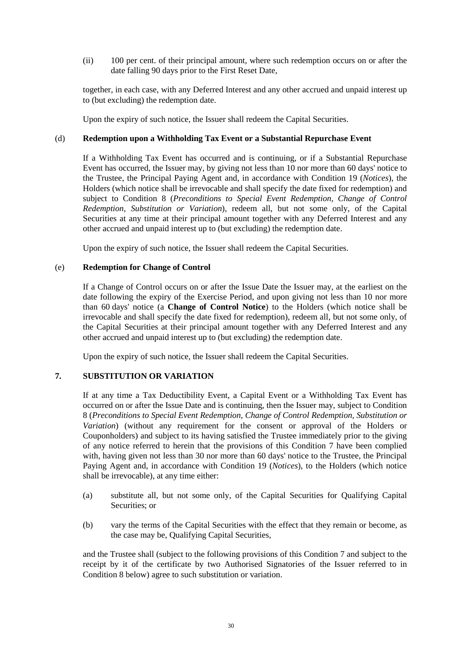(ii) 100 per cent. of their principal amount, where such redemption occurs on or after the date falling 90 days prior to the First Reset Date,

together, in each case, with any Deferred Interest and any other accrued and unpaid interest up to (but excluding) the redemption date.

Upon the expiry of such notice, the Issuer shall redeem the Capital Securities.

#### (d) **Redemption upon a Withholding Tax Event or a Substantial Repurchase Event**

If a Withholding Tax Event has occurred and is continuing, or if a Substantial Repurchase Event has occurred, the Issuer may, by giving not less than 10 nor more than 60 days' notice to the Trustee, the Principal Paying Agent and, in accordance with Condition 19 (*Notices*), the Holders (which notice shall be irrevocable and shall specify the date fixed for redemption) and subject to Condition 8 (*Preconditions to Special Event Redemption, Change of Control Redemption, Substitution or Variation*), redeem all, but not some only, of the Capital Securities at any time at their principal amount together with any Deferred Interest and any other accrued and unpaid interest up to (but excluding) the redemption date.

Upon the expiry of such notice, the Issuer shall redeem the Capital Securities.

#### (e) **Redemption for Change of Control**

If a Change of Control occurs on or after the Issue Date the Issuer may, at the earliest on the date following the expiry of the Exercise Period, and upon giving not less than 10 nor more than 60 days' notice (a **Change of Control Notice**) to the Holders (which notice shall be irrevocable and shall specify the date fixed for redemption), redeem all, but not some only, of the Capital Securities at their principal amount together with any Deferred Interest and any other accrued and unpaid interest up to (but excluding) the redemption date.

Upon the expiry of such notice, the Issuer shall redeem the Capital Securities.

# **7. SUBSTITUTION OR VARIATION**

If at any time a Tax Deductibility Event, a Capital Event or a Withholding Tax Event has occurred on or after the Issue Date and is continuing, then the Issuer may, subject to Condition 8 (*Preconditions to Special Event Redemption, Change of Control Redemption, Substitution or Variation*) (without any requirement for the consent or approval of the Holders or Couponholders) and subject to its having satisfied the Trustee immediately prior to the giving of any notice referred to herein that the provisions of this Condition 7 have been complied with, having given not less than 30 nor more than 60 days' notice to the Trustee, the Principal Paying Agent and, in accordance with Condition 19 (*Notices*), to the Holders (which notice shall be irrevocable), at any time either:

- (a) substitute all, but not some only, of the Capital Securities for Qualifying Capital Securities; or
- (b) vary the terms of the Capital Securities with the effect that they remain or become, as the case may be, Qualifying Capital Securities,

and the Trustee shall (subject to the following provisions of this Condition 7 and subject to the receipt by it of the certificate by two Authorised Signatories of the Issuer referred to in Condition 8 below) agree to such substitution or variation.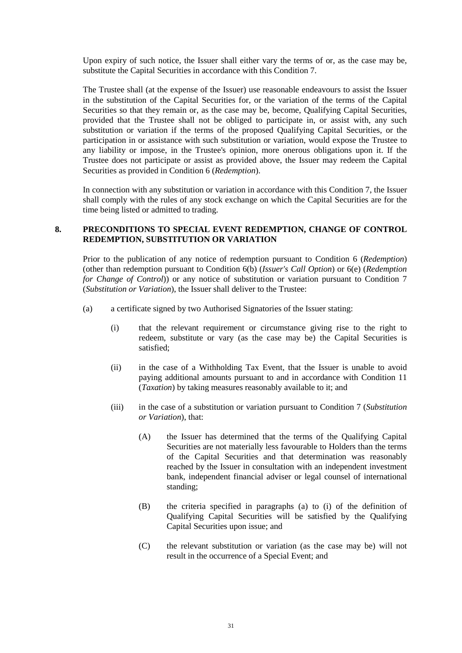Upon expiry of such notice, the Issuer shall either vary the terms of or, as the case may be, substitute the Capital Securities in accordance with this Condition 7.

The Trustee shall (at the expense of the Issuer) use reasonable endeavours to assist the Issuer in the substitution of the Capital Securities for, or the variation of the terms of the Capital Securities so that they remain or, as the case may be, become, Qualifying Capital Securities, provided that the Trustee shall not be obliged to participate in, or assist with, any such substitution or variation if the terms of the proposed Qualifying Capital Securities, or the participation in or assistance with such substitution or variation, would expose the Trustee to any liability or impose, in the Trustee's opinion, more onerous obligations upon it. If the Trustee does not participate or assist as provided above, the Issuer may redeem the Capital Securities as provided in Condition 6 (*Redemption*).

In connection with any substitution or variation in accordance with this Condition 7, the Issuer shall comply with the rules of any stock exchange on which the Capital Securities are for the time being listed or admitted to trading.

## **8. PRECONDITIONS TO SPECIAL EVENT REDEMPTION, CHANGE OF CONTROL REDEMPTION, SUBSTITUTION OR VARIATION**

Prior to the publication of any notice of redemption pursuant to Condition 6 (*Redemption*) (other than redemption pursuant to Condition 6(b) (*Issuer's Call Option*) or 6(e) (*Redemption for Change of Control*)) or any notice of substitution or variation pursuant to Condition 7 (*Substitution or Variation*), the Issuer shall deliver to the Trustee:

- (a) a certificate signed by two Authorised Signatories of the Issuer stating:
	- (i) that the relevant requirement or circumstance giving rise to the right to redeem, substitute or vary (as the case may be) the Capital Securities is satisfied;
	- (ii) in the case of a Withholding Tax Event, that the Issuer is unable to avoid paying additional amounts pursuant to and in accordance with Condition 11 (*Taxation*) by taking measures reasonably available to it; and
	- (iii) in the case of a substitution or variation pursuant to Condition 7 (*Substitution or Variation*), that:
		- (A) the Issuer has determined that the terms of the Qualifying Capital Securities are not materially less favourable to Holders than the terms of the Capital Securities and that determination was reasonably reached by the Issuer in consultation with an independent investment bank, independent financial adviser or legal counsel of international standing;
		- (B) the criteria specified in paragraphs (a) to (i) of the definition of Qualifying Capital Securities will be satisfied by the Qualifying Capital Securities upon issue; and
		- (C) the relevant substitution or variation (as the case may be) will not result in the occurrence of a Special Event; and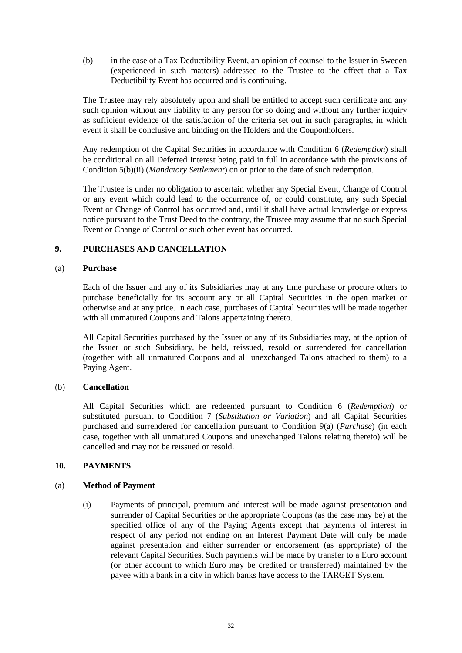(b) in the case of a Tax Deductibility Event, an opinion of counsel to the Issuer in Sweden (experienced in such matters) addressed to the Trustee to the effect that a Tax Deductibility Event has occurred and is continuing.

The Trustee may rely absolutely upon and shall be entitled to accept such certificate and any such opinion without any liability to any person for so doing and without any further inquiry as sufficient evidence of the satisfaction of the criteria set out in such paragraphs, in which event it shall be conclusive and binding on the Holders and the Couponholders.

Any redemption of the Capital Securities in accordance with Condition 6 (*Redemption*) shall be conditional on all Deferred Interest being paid in full in accordance with the provisions of Condition 5(b)(ii) (*Mandatory Settlement*) on or prior to the date of such redemption.

The Trustee is under no obligation to ascertain whether any Special Event, Change of Control or any event which could lead to the occurrence of, or could constitute, any such Special Event or Change of Control has occurred and, until it shall have actual knowledge or express notice pursuant to the Trust Deed to the contrary, the Trustee may assume that no such Special Event or Change of Control or such other event has occurred.

## **9. PURCHASES AND CANCELLATION**

#### (a) **Purchase**

Each of the Issuer and any of its Subsidiaries may at any time purchase or procure others to purchase beneficially for its account any or all Capital Securities in the open market or otherwise and at any price. In each case, purchases of Capital Securities will be made together with all unmatured Coupons and Talons appertaining thereto.

All Capital Securities purchased by the Issuer or any of its Subsidiaries may, at the option of the Issuer or such Subsidiary, be held, reissued, resold or surrendered for cancellation (together with all unmatured Coupons and all unexchanged Talons attached to them) to a Paying Agent.

#### (b) **Cancellation**

All Capital Securities which are redeemed pursuant to Condition 6 (*Redemption*) or substituted pursuant to Condition 7 (*Substitution or Variation*) and all Capital Securities purchased and surrendered for cancellation pursuant to Condition 9(a) (*Purchase*) (in each case, together with all unmatured Coupons and unexchanged Talons relating thereto) will be cancelled and may not be reissued or resold.

#### **10. PAYMENTS**

#### (a) **Method of Payment**

(i) Payments of principal, premium and interest will be made against presentation and surrender of Capital Securities or the appropriate Coupons (as the case may be) at the specified office of any of the Paying Agents except that payments of interest in respect of any period not ending on an Interest Payment Date will only be made against presentation and either surrender or endorsement (as appropriate) of the relevant Capital Securities. Such payments will be made by transfer to a Euro account (or other account to which Euro may be credited or transferred) maintained by the payee with a bank in a city in which banks have access to the TARGET System.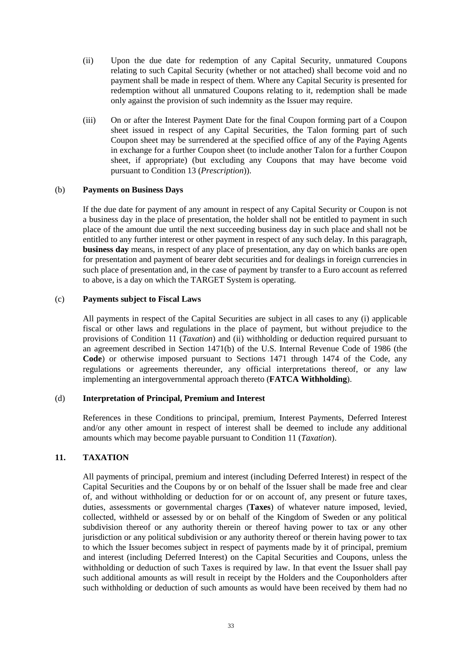- (ii) Upon the due date for redemption of any Capital Security, unmatured Coupons relating to such Capital Security (whether or not attached) shall become void and no payment shall be made in respect of them. Where any Capital Security is presented for redemption without all unmatured Coupons relating to it, redemption shall be made only against the provision of such indemnity as the Issuer may require.
- (iii) On or after the Interest Payment Date for the final Coupon forming part of a Coupon sheet issued in respect of any Capital Securities, the Talon forming part of such Coupon sheet may be surrendered at the specified office of any of the Paying Agents in exchange for a further Coupon sheet (to include another Talon for a further Coupon sheet, if appropriate) (but excluding any Coupons that may have become void pursuant to Condition 13 (*Prescription*)).

#### (b) **Payments on Business Days**

If the due date for payment of any amount in respect of any Capital Security or Coupon is not a business day in the place of presentation, the holder shall not be entitled to payment in such place of the amount due until the next succeeding business day in such place and shall not be entitled to any further interest or other payment in respect of any such delay. In this paragraph, **business day** means, in respect of any place of presentation, any day on which banks are open for presentation and payment of bearer debt securities and for dealings in foreign currencies in such place of presentation and, in the case of payment by transfer to a Euro account as referred to above, is a day on which the TARGET System is operating.

#### (c) **Payments subject to Fiscal Laws**

All payments in respect of the Capital Securities are subject in all cases to any (i) applicable fiscal or other laws and regulations in the place of payment, but without prejudice to the provisions of Condition 11 (*Taxation*) and (ii) withholding or deduction required pursuant to an agreement described in Section 1471(b) of the U.S. Internal Revenue Code of 1986 (the **Code**) or otherwise imposed pursuant to Sections 1471 through 1474 of the Code, any regulations or agreements thereunder, any official interpretations thereof, or any law implementing an intergovernmental approach thereto (**FATCA Withholding**).

#### (d) **Interpretation of Principal, Premium and Interest**

References in these Conditions to principal, premium, Interest Payments, Deferred Interest and/or any other amount in respect of interest shall be deemed to include any additional amounts which may become payable pursuant to Condition 11 (*Taxation*).

#### **11. TAXATION**

All payments of principal, premium and interest (including Deferred Interest) in respect of the Capital Securities and the Coupons by or on behalf of the Issuer shall be made free and clear of, and without withholding or deduction for or on account of, any present or future taxes, duties, assessments or governmental charges (**Taxes**) of whatever nature imposed, levied, collected, withheld or assessed by or on behalf of the Kingdom of Sweden or any political subdivision thereof or any authority therein or thereof having power to tax or any other jurisdiction or any political subdivision or any authority thereof or therein having power to tax to which the Issuer becomes subject in respect of payments made by it of principal, premium and interest (including Deferred Interest) on the Capital Securities and Coupons, unless the withholding or deduction of such Taxes is required by law. In that event the Issuer shall pay such additional amounts as will result in receipt by the Holders and the Couponholders after such withholding or deduction of such amounts as would have been received by them had no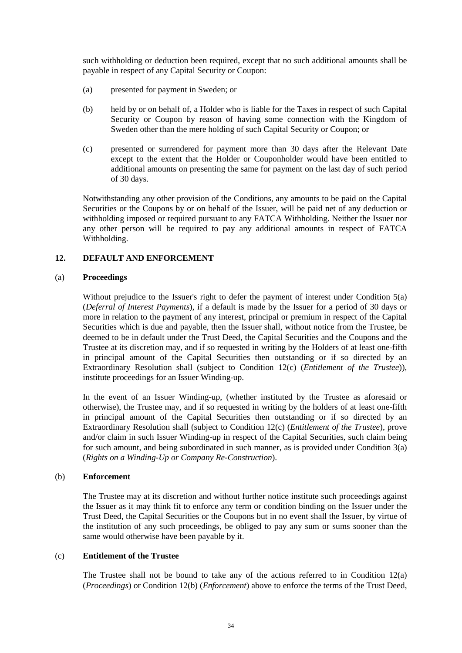such withholding or deduction been required, except that no such additional amounts shall be payable in respect of any Capital Security or Coupon:

- (a) presented for payment in Sweden; or
- (b) held by or on behalf of, a Holder who is liable for the Taxes in respect of such Capital Security or Coupon by reason of having some connection with the Kingdom of Sweden other than the mere holding of such Capital Security or Coupon; or
- (c) presented or surrendered for payment more than 30 days after the Relevant Date except to the extent that the Holder or Couponholder would have been entitled to additional amounts on presenting the same for payment on the last day of such period of 30 days.

Notwithstanding any other provision of the Conditions, any amounts to be paid on the Capital Securities or the Coupons by or on behalf of the Issuer, will be paid net of any deduction or withholding imposed or required pursuant to any FATCA Withholding. Neither the Issuer nor any other person will be required to pay any additional amounts in respect of FATCA Withholding.

#### **12. DEFAULT AND ENFORCEMENT**

#### (a) **Proceedings**

Without prejudice to the Issuer's right to defer the payment of interest under Condition 5(a) (*Deferral of Interest Payments*), if a default is made by the Issuer for a period of 30 days or more in relation to the payment of any interest, principal or premium in respect of the Capital Securities which is due and payable, then the Issuer shall, without notice from the Trustee, be deemed to be in default under the Trust Deed, the Capital Securities and the Coupons and the Trustee at its discretion may, and if so requested in writing by the Holders of at least one-fifth in principal amount of the Capital Securities then outstanding or if so directed by an Extraordinary Resolution shall (subject to Condition 12(c) (*Entitlement of the Trustee*)), institute proceedings for an Issuer Winding-up.

In the event of an Issuer Winding-up, (whether instituted by the Trustee as aforesaid or otherwise), the Trustee may, and if so requested in writing by the holders of at least one-fifth in principal amount of the Capital Securities then outstanding or if so directed by an Extraordinary Resolution shall (subject to Condition 12(c) (*Entitlement of the Trustee*), prove and/or claim in such Issuer Winding-up in respect of the Capital Securities, such claim being for such amount, and being subordinated in such manner, as is provided under Condition  $3(a)$ (*Rights on a Winding-Up or Company Re-Construction*).

#### (b) **Enforcement**

The Trustee may at its discretion and without further notice institute such proceedings against the Issuer as it may think fit to enforce any term or condition binding on the Issuer under the Trust Deed, the Capital Securities or the Coupons but in no event shall the Issuer, by virtue of the institution of any such proceedings, be obliged to pay any sum or sums sooner than the same would otherwise have been payable by it.

#### (c) **Entitlement of the Trustee**

The Trustee shall not be bound to take any of the actions referred to in Condition 12(a) (*Proceedings*) or Condition 12(b) (*Enforcement*) above to enforce the terms of the Trust Deed,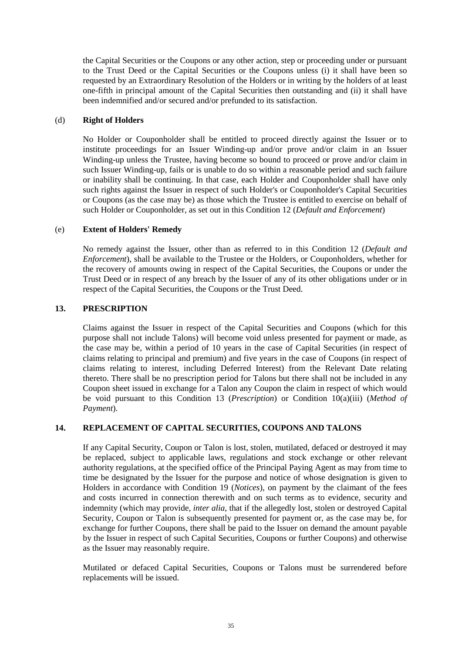the Capital Securities or the Coupons or any other action, step or proceeding under or pursuant to the Trust Deed or the Capital Securities or the Coupons unless (i) it shall have been so requested by an Extraordinary Resolution of the Holders or in writing by the holders of at least one-fifth in principal amount of the Capital Securities then outstanding and (ii) it shall have been indemnified and/or secured and/or prefunded to its satisfaction.

#### (d) **Right of Holders**

No Holder or Couponholder shall be entitled to proceed directly against the Issuer or to institute proceedings for an Issuer Winding-up and/or prove and/or claim in an Issuer Winding-up unless the Trustee, having become so bound to proceed or prove and/or claim in such Issuer Winding-up, fails or is unable to do so within a reasonable period and such failure or inability shall be continuing. In that case, each Holder and Couponholder shall have only such rights against the Issuer in respect of such Holder's or Couponholder's Capital Securities or Coupons (as the case may be) as those which the Trustee is entitled to exercise on behalf of such Holder or Couponholder, as set out in this Condition 12 (*Default and Enforcement*)

## (e) **Extent of Holders' Remedy**

No remedy against the Issuer, other than as referred to in this Condition 12 (*Default and Enforcement*), shall be available to the Trustee or the Holders, or Couponholders, whether for the recovery of amounts owing in respect of the Capital Securities, the Coupons or under the Trust Deed or in respect of any breach by the Issuer of any of its other obligations under or in respect of the Capital Securities, the Coupons or the Trust Deed.

## **13. PRESCRIPTION**

Claims against the Issuer in respect of the Capital Securities and Coupons (which for this purpose shall not include Talons) will become void unless presented for payment or made, as the case may be, within a period of 10 years in the case of Capital Securities (in respect of claims relating to principal and premium) and five years in the case of Coupons (in respect of claims relating to interest, including Deferred Interest) from the Relevant Date relating thereto. There shall be no prescription period for Talons but there shall not be included in any Coupon sheet issued in exchange for a Talon any Coupon the claim in respect of which would be void pursuant to this Condition 13 (*Prescription*) or Condition 10(a)(iii) (*Method of Payment*).

# **14. REPLACEMENT OF CAPITAL SECURITIES, COUPONS AND TALONS**

If any Capital Security, Coupon or Talon is lost, stolen, mutilated, defaced or destroyed it may be replaced, subject to applicable laws, regulations and stock exchange or other relevant authority regulations, at the specified office of the Principal Paying Agent as may from time to time be designated by the Issuer for the purpose and notice of whose designation is given to Holders in accordance with Condition 19 (*Notices*), on payment by the claimant of the fees and costs incurred in connection therewith and on such terms as to evidence, security and indemnity (which may provide, *inter alia*, that if the allegedly lost, stolen or destroyed Capital Security, Coupon or Talon is subsequently presented for payment or, as the case may be, for exchange for further Coupons, there shall be paid to the Issuer on demand the amount payable by the Issuer in respect of such Capital Securities, Coupons or further Coupons) and otherwise as the Issuer may reasonably require.

Mutilated or defaced Capital Securities, Coupons or Talons must be surrendered before replacements will be issued.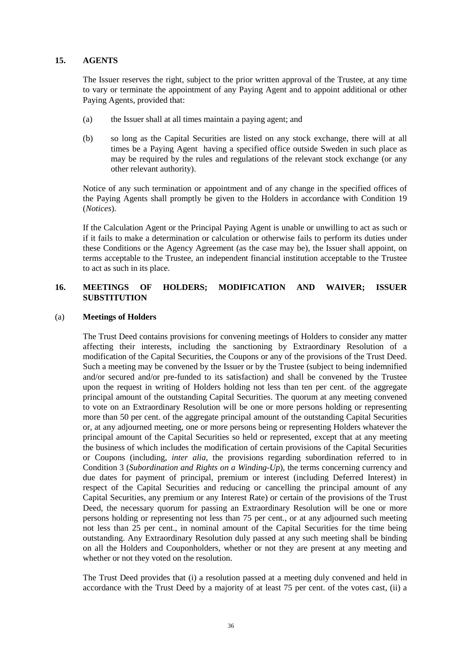#### **15. AGENTS**

The Issuer reserves the right, subject to the prior written approval of the Trustee, at any time to vary or terminate the appointment of any Paying Agent and to appoint additional or other Paying Agents, provided that:

- (a) the Issuer shall at all times maintain a paying agent; and
- (b) so long as the Capital Securities are listed on any stock exchange, there will at all times be a Paying Agent having a specified office outside Sweden in such place as may be required by the rules and regulations of the relevant stock exchange (or any other relevant authority).

Notice of any such termination or appointment and of any change in the specified offices of the Paying Agents shall promptly be given to the Holders in accordance with Condition 19 (*Notices*).

If the Calculation Agent or the Principal Paying Agent is unable or unwilling to act as such or if it fails to make a determination or calculation or otherwise fails to perform its duties under these Conditions or the Agency Agreement (as the case may be), the Issuer shall appoint, on terms acceptable to the Trustee, an independent financial institution acceptable to the Trustee to act as such in its place.

# **16. MEETINGS OF HOLDERS; MODIFICATION AND WAIVER; ISSUER SUBSTITUTION**

#### (a) **Meetings of Holders**

The Trust Deed contains provisions for convening meetings of Holders to consider any matter affecting their interests, including the sanctioning by Extraordinary Resolution of a modification of the Capital Securities, the Coupons or any of the provisions of the Trust Deed. Such a meeting may be convened by the Issuer or by the Trustee (subject to being indemnified and/or secured and/or pre-funded to its satisfaction) and shall be convened by the Trustee upon the request in writing of Holders holding not less than ten per cent. of the aggregate principal amount of the outstanding Capital Securities. The quorum at any meeting convened to vote on an Extraordinary Resolution will be one or more persons holding or representing more than 50 per cent. of the aggregate principal amount of the outstanding Capital Securities or, at any adjourned meeting, one or more persons being or representing Holders whatever the principal amount of the Capital Securities so held or represented, except that at any meeting the business of which includes the modification of certain provisions of the Capital Securities or Coupons (including, *inter alia*, the provisions regarding subordination referred to in Condition 3 (*Subordination and Rights on a Winding-Up*), the terms concerning currency and due dates for payment of principal, premium or interest (including Deferred Interest) in respect of the Capital Securities and reducing or cancelling the principal amount of any Capital Securities, any premium or any Interest Rate) or certain of the provisions of the Trust Deed, the necessary quorum for passing an Extraordinary Resolution will be one or more persons holding or representing not less than 75 per cent., or at any adjourned such meeting not less than 25 per cent., in nominal amount of the Capital Securities for the time being outstanding. Any Extraordinary Resolution duly passed at any such meeting shall be binding on all the Holders and Couponholders, whether or not they are present at any meeting and whether or not they voted on the resolution.

The Trust Deed provides that (i) a resolution passed at a meeting duly convened and held in accordance with the Trust Deed by a majority of at least 75 per cent. of the votes cast, (ii) a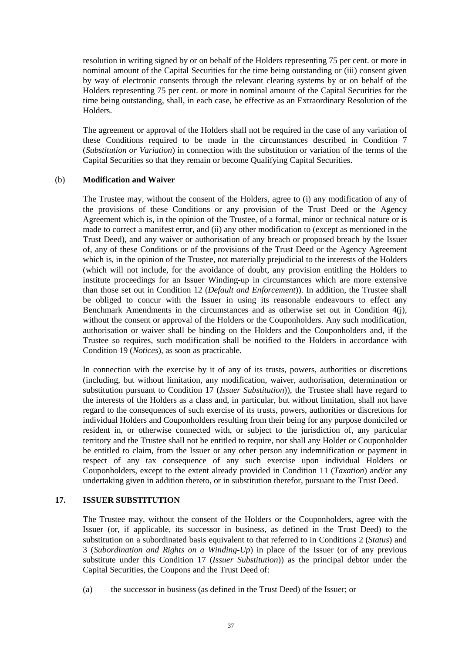resolution in writing signed by or on behalf of the Holders representing 75 per cent. or more in nominal amount of the Capital Securities for the time being outstanding or (iii) consent given by way of electronic consents through the relevant clearing systems by or on behalf of the Holders representing 75 per cent. or more in nominal amount of the Capital Securities for the time being outstanding, shall, in each case, be effective as an Extraordinary Resolution of the Holders.

The agreement or approval of the Holders shall not be required in the case of any variation of these Conditions required to be made in the circumstances described in Condition 7 (*Substitution or Variation*) in connection with the substitution or variation of the terms of the Capital Securities so that they remain or become Qualifying Capital Securities.

#### (b) **Modification and Waiver**

The Trustee may, without the consent of the Holders, agree to (i) any modification of any of the provisions of these Conditions or any provision of the Trust Deed or the Agency Agreement which is, in the opinion of the Trustee, of a formal, minor or technical nature or is made to correct a manifest error, and (ii) any other modification to (except as mentioned in the Trust Deed), and any waiver or authorisation of any breach or proposed breach by the Issuer of, any of these Conditions or of the provisions of the Trust Deed or the Agency Agreement which is, in the opinion of the Trustee, not materially prejudicial to the interests of the Holders (which will not include, for the avoidance of doubt, any provision entitling the Holders to institute proceedings for an Issuer Winding-up in circumstances which are more extensive than those set out in Condition 12 (*Default and Enforcement*)). In addition, the Trustee shall be obliged to concur with the Issuer in using its reasonable endeavours to effect any Benchmark Amendments in the circumstances and as otherwise set out in Condition 4(j), without the consent or approval of the Holders or the Couponholders. Any such modification, authorisation or waiver shall be binding on the Holders and the Couponholders and, if the Trustee so requires, such modification shall be notified to the Holders in accordance with Condition 19 (*Notices*), as soon as practicable.

In connection with the exercise by it of any of its trusts, powers, authorities or discretions (including, but without limitation, any modification, waiver, authorisation, determination or substitution pursuant to Condition 17 (*Issuer Substitution*)), the Trustee shall have regard to the interests of the Holders as a class and, in particular, but without limitation, shall not have regard to the consequences of such exercise of its trusts, powers, authorities or discretions for individual Holders and Couponholders resulting from their being for any purpose domiciled or resident in, or otherwise connected with, or subject to the jurisdiction of, any particular territory and the Trustee shall not be entitled to require, nor shall any Holder or Couponholder be entitled to claim, from the Issuer or any other person any indemnification or payment in respect of any tax consequence of any such exercise upon individual Holders or Couponholders, except to the extent already provided in Condition 11 (*Taxation*) and/or any undertaking given in addition thereto, or in substitution therefor, pursuant to the Trust Deed.

# **17. ISSUER SUBSTITUTION**

The Trustee may, without the consent of the Holders or the Couponholders, agree with the Issuer (or, if applicable, its successor in business, as defined in the Trust Deed) to the substitution on a subordinated basis equivalent to that referred to in Conditions 2 (*Status*) and 3 (*Subordination and Rights on a Winding-Up*) in place of the Issuer (or of any previous substitute under this Condition 17 (*Issuer Substitution*)) as the principal debtor under the Capital Securities, the Coupons and the Trust Deed of:

(a) the successor in business (as defined in the Trust Deed) of the Issuer; or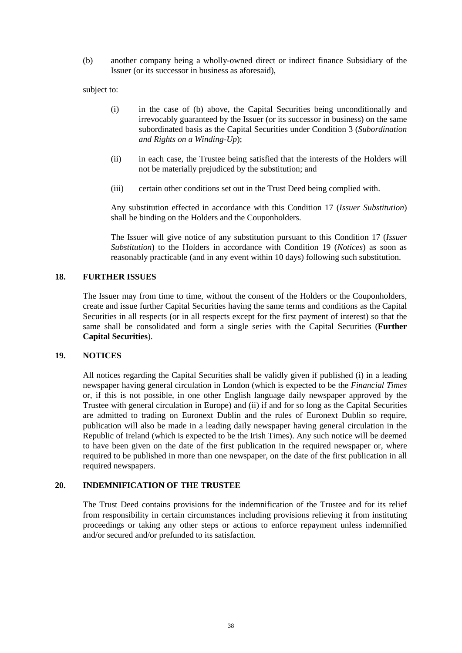(b) another company being a wholly-owned direct or indirect finance Subsidiary of the Issuer (or its successor in business as aforesaid),

subject to:

- (i) in the case of (b) above, the Capital Securities being unconditionally and irrevocably guaranteed by the Issuer (or its successor in business) on the same subordinated basis as the Capital Securities under Condition 3 (*Subordination and Rights on a Winding-Up*);
- (ii) in each case, the Trustee being satisfied that the interests of the Holders will not be materially prejudiced by the substitution; and
- (iii) certain other conditions set out in the Trust Deed being complied with.

Any substitution effected in accordance with this Condition 17 (*Issuer Substitution*) shall be binding on the Holders and the Couponholders.

The Issuer will give notice of any substitution pursuant to this Condition 17 (*Issuer Substitution*) to the Holders in accordance with Condition 19 (*Notices*) as soon as reasonably practicable (and in any event within 10 days) following such substitution.

#### **18. FURTHER ISSUES**

The Issuer may from time to time, without the consent of the Holders or the Couponholders, create and issue further Capital Securities having the same terms and conditions as the Capital Securities in all respects (or in all respects except for the first payment of interest) so that the same shall be consolidated and form a single series with the Capital Securities (**Further Capital Securities**).

#### **19. NOTICES**

All notices regarding the Capital Securities shall be validly given if published (i) in a leading newspaper having general circulation in London (which is expected to be the *Financial Times*  or, if this is not possible, in one other English language daily newspaper approved by the Trustee with general circulation in Europe) and (ii) if and for so long as the Capital Securities are admitted to trading on Euronext Dublin and the rules of Euronext Dublin so require, publication will also be made in a leading daily newspaper having general circulation in the Republic of Ireland (which is expected to be the Irish Times). Any such notice will be deemed to have been given on the date of the first publication in the required newspaper or, where required to be published in more than one newspaper, on the date of the first publication in all required newspapers.

#### **20. INDEMNIFICATION OF THE TRUSTEE**

The Trust Deed contains provisions for the indemnification of the Trustee and for its relief from responsibility in certain circumstances including provisions relieving it from instituting proceedings or taking any other steps or actions to enforce repayment unless indemnified and/or secured and/or prefunded to its satisfaction.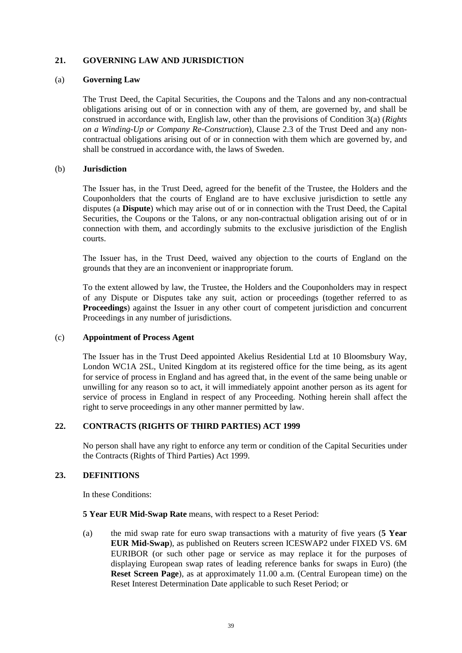## **21. GOVERNING LAW AND JURISDICTION**

#### (a) **Governing Law**

The Trust Deed, the Capital Securities, the Coupons and the Talons and any non-contractual obligations arising out of or in connection with any of them, are governed by, and shall be construed in accordance with, English law, other than the provisions of Condition 3(a) (*Rights on a Winding-Up or Company Re-Construction*), Clause 2.3 of the Trust Deed and any noncontractual obligations arising out of or in connection with them which are governed by, and shall be construed in accordance with, the laws of Sweden.

#### (b) **Jurisdiction**

The Issuer has, in the Trust Deed, agreed for the benefit of the Trustee, the Holders and the Couponholders that the courts of England are to have exclusive jurisdiction to settle any disputes (a **Dispute**) which may arise out of or in connection with the Trust Deed, the Capital Securities, the Coupons or the Talons, or any non-contractual obligation arising out of or in connection with them, and accordingly submits to the exclusive jurisdiction of the English courts.

The Issuer has, in the Trust Deed, waived any objection to the courts of England on the grounds that they are an inconvenient or inappropriate forum.

To the extent allowed by law, the Trustee, the Holders and the Couponholders may in respect of any Dispute or Disputes take any suit, action or proceedings (together referred to as **Proceedings**) against the Issuer in any other court of competent jurisdiction and concurrent Proceedings in any number of jurisdictions.

#### (c) **Appointment of Process Agent**

The Issuer has in the Trust Deed appointed Akelius Residential Ltd at 10 Bloomsbury Way, London WC1A 2SL, United Kingdom at its registered office for the time being, as its agent for service of process in England and has agreed that, in the event of the same being unable or unwilling for any reason so to act, it will immediately appoint another person as its agent for service of process in England in respect of any Proceeding. Nothing herein shall affect the right to serve proceedings in any other manner permitted by law.

#### **22. CONTRACTS (RIGHTS OF THIRD PARTIES) ACT 1999**

No person shall have any right to enforce any term or condition of the Capital Securities under the Contracts (Rights of Third Parties) Act 1999.

#### **23. DEFINITIONS**

In these Conditions:

#### **5 Year EUR Mid-Swap Rate** means, with respect to a Reset Period:

(a) the mid swap rate for euro swap transactions with a maturity of five years (**5 Year EUR Mid-Swap**), as published on Reuters screen ICESWAP2 under FIXED VS. 6M EURIBOR (or such other page or service as may replace it for the purposes of displaying European swap rates of leading reference banks for swaps in Euro) (the **Reset Screen Page**), as at approximately 11.00 a.m. (Central European time) on the Reset Interest Determination Date applicable to such Reset Period; or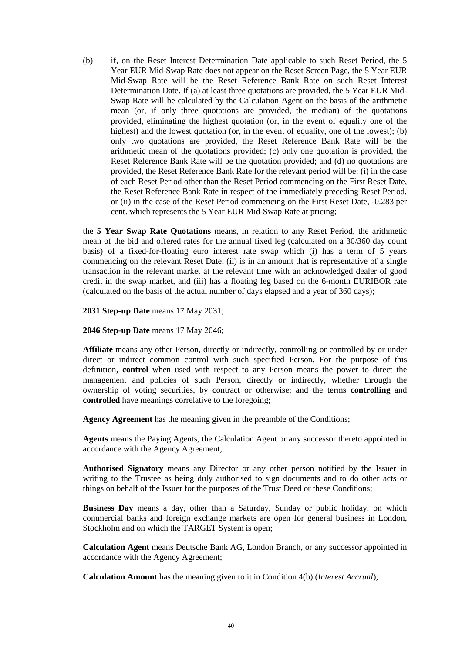(b) if, on the Reset Interest Determination Date applicable to such Reset Period, the 5 Year EUR Mid-Swap Rate does not appear on the Reset Screen Page, the 5 Year EUR Mid-Swap Rate will be the Reset Reference Bank Rate on such Reset Interest Determination Date. If (a) at least three quotations are provided, the 5 Year EUR Mid-Swap Rate will be calculated by the Calculation Agent on the basis of the arithmetic mean (or, if only three quotations are provided, the median) of the quotations provided, eliminating the highest quotation (or, in the event of equality one of the highest) and the lowest quotation (or, in the event of equality, one of the lowest); (b) only two quotations are provided, the Reset Reference Bank Rate will be the arithmetic mean of the quotations provided; (c) only one quotation is provided, the Reset Reference Bank Rate will be the quotation provided; and (d) no quotations are provided, the Reset Reference Bank Rate for the relevant period will be: (i) in the case of each Reset Period other than the Reset Period commencing on the First Reset Date, the Reset Reference Bank Rate in respect of the immediately preceding Reset Period, or (ii) in the case of the Reset Period commencing on the First Reset Date, -0.283 per cent. which represents the 5 Year EUR Mid-Swap Rate at pricing;

the **5 Year Swap Rate Quotations** means, in relation to any Reset Period, the arithmetic mean of the bid and offered rates for the annual fixed leg (calculated on a 30/360 day count basis) of a fixed-for-floating euro interest rate swap which (i) has a term of 5 years commencing on the relevant Reset Date, (ii) is in an amount that is representative of a single transaction in the relevant market at the relevant time with an acknowledged dealer of good credit in the swap market, and (iii) has a floating leg based on the 6-month EURIBOR rate (calculated on the basis of the actual number of days elapsed and a year of 360 days);

**2031 Step-up Date** means 17 May 2031;

**2046 Step-up Date** means 17 May 2046;

**Affiliate** means any other Person, directly or indirectly, controlling or controlled by or under direct or indirect common control with such specified Person. For the purpose of this definition, **control** when used with respect to any Person means the power to direct the management and policies of such Person, directly or indirectly, whether through the ownership of voting securities, by contract or otherwise; and the terms **controlling** and **controlled** have meanings correlative to the foregoing;

**Agency Agreement** has the meaning given in the preamble of the Conditions;

**Agents** means the Paying Agents, the Calculation Agent or any successor thereto appointed in accordance with the Agency Agreement;

**Authorised Signatory** means any Director or any other person notified by the Issuer in writing to the Trustee as being duly authorised to sign documents and to do other acts or things on behalf of the Issuer for the purposes of the Trust Deed or these Conditions;

**Business Day** means a day, other than a Saturday, Sunday or public holiday, on which commercial banks and foreign exchange markets are open for general business in London, Stockholm and on which the TARGET System is open;

**Calculation Agent** means Deutsche Bank AG, London Branch, or any successor appointed in accordance with the Agency Agreement;

**Calculation Amount** has the meaning given to it in Condition 4(b) (*Interest Accrual*);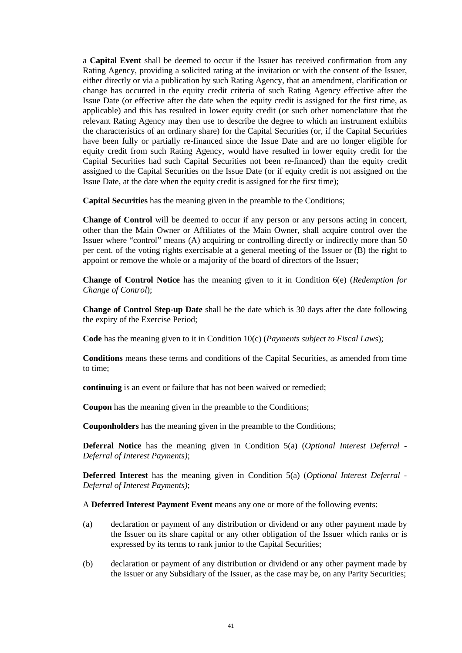a **Capital Event** shall be deemed to occur if the Issuer has received confirmation from any Rating Agency, providing a solicited rating at the invitation or with the consent of the Issuer, either directly or via a publication by such Rating Agency, that an amendment, clarification or change has occurred in the equity credit criteria of such Rating Agency effective after the Issue Date (or effective after the date when the equity credit is assigned for the first time, as applicable) and this has resulted in lower equity credit (or such other nomenclature that the relevant Rating Agency may then use to describe the degree to which an instrument exhibits the characteristics of an ordinary share) for the Capital Securities (or, if the Capital Securities have been fully or partially re-financed since the Issue Date and are no longer eligible for equity credit from such Rating Agency, would have resulted in lower equity credit for the Capital Securities had such Capital Securities not been re-financed) than the equity credit assigned to the Capital Securities on the Issue Date (or if equity credit is not assigned on the Issue Date, at the date when the equity credit is assigned for the first time);

**Capital Securities** has the meaning given in the preamble to the Conditions;

**Change of Control** will be deemed to occur if any person or any persons acting in concert, other than the Main Owner or Affiliates of the Main Owner, shall acquire control over the Issuer where "control" means (A) acquiring or controlling directly or indirectly more than 50 per cent. of the voting rights exercisable at a general meeting of the Issuer or (B) the right to appoint or remove the whole or a majority of the board of directors of the Issuer;

**Change of Control Notice** has the meaning given to it in Condition 6(e) (*Redemption for Change of Control*);

**Change of Control Step-up Date** shall be the date which is 30 days after the date following the expiry of the Exercise Period;

**Code** has the meaning given to it in Condition 10(c) (*Payments subject to Fiscal Laws*);

**Conditions** means these terms and conditions of the Capital Securities, as amended from time to time;

**continuing** is an event or failure that has not been waived or remedied;

**Coupon** has the meaning given in the preamble to the Conditions;

**Couponholders** has the meaning given in the preamble to the Conditions;

**Deferral Notice** has the meaning given in Condition 5(a) (*Optional Interest Deferral - Deferral of Interest Payments)*;

**Deferred Interest** has the meaning given in Condition 5(a) (*Optional Interest Deferral - Deferral of Interest Payments)*;

A **Deferred Interest Payment Event** means any one or more of the following events:

- (a) declaration or payment of any distribution or dividend or any other payment made by the Issuer on its share capital or any other obligation of the Issuer which ranks or is expressed by its terms to rank junior to the Capital Securities;
- (b) declaration or payment of any distribution or dividend or any other payment made by the Issuer or any Subsidiary of the Issuer, as the case may be, on any Parity Securities;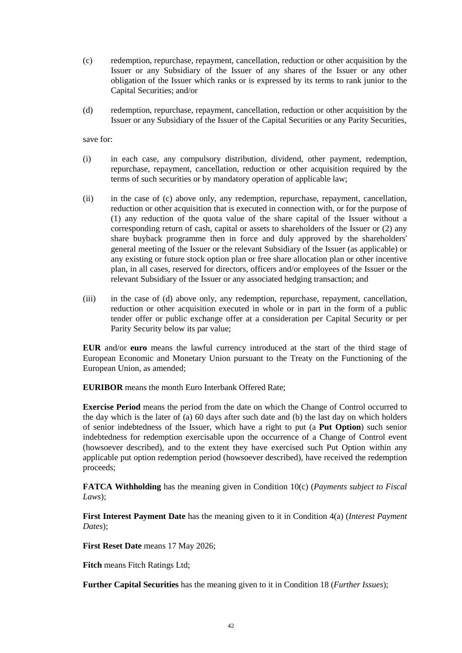- (c) redemption, repurchase, repayment, cancellation, reduction or other acquisition by the Issuer or any Subsidiary of the Issuer of any shares of the Issuer or any other obligation of the Issuer which ranks or is expressed by its terms to rank junior to the Capital Securities; and/or
- (d) redemption, repurchase, repayment, cancellation, reduction or other acquisition by the Issuer or any Subsidiary of the Issuer of the Capital Securities or any Parity Securities,

save for:

- (i) in each case, any compulsory distribution, dividend, other payment, redemption, repurchase, repayment, cancellation, reduction or other acquisition required by the terms of such securities or by mandatory operation of applicable law;
- (ii) in the case of (c) above only, any redemption, repurchase, repayment, cancellation, reduction or other acquisition that is executed in connection with, or for the purpose of (1) any reduction of the quota value of the share capital of the Issuer without a corresponding return of cash, capital or assets to shareholders of the Issuer or (2) any share buyback programme then in force and duly approved by the shareholders' general meeting of the Issuer or the relevant Subsidiary of the Issuer (as applicable) or any existing or future stock option plan or free share allocation plan or other incentive plan, in all cases, reserved for directors, officers and/or employees of the Issuer or the relevant Subsidiary of the Issuer or any associated hedging transaction; and
- (iii) in the case of (d) above only, any redemption, repurchase, repayment, cancellation, reduction or other acquisition executed in whole or in part in the form of a public tender offer or public exchange offer at a consideration per Capital Security or per Parity Security below its par value;

**EUR** and/or **euro** means the lawful currency introduced at the start of the third stage of European Economic and Monetary Union pursuant to the Treaty on the Functioning of the European Union, as amended;

**EURIBOR** means the month Euro Interbank Offered Rate;

**Exercise Period** means the period from the date on which the Change of Control occurred to the day which is the later of (a) 60 days after such date and (b) the last day on which holders of senior indebtedness of the Issuer, which have a right to put (a **Put Option**) such senior indebtedness for redemption exercisable upon the occurrence of a Change of Control event (howsoever described), and to the extent they have exercised such Put Option within any applicable put option redemption period (howsoever described), have received the redemption proceeds;

**FATCA Withholding** has the meaning given in Condition 10(c) (*Payments subject to Fiscal Laws*);

**First Interest Payment Date** has the meaning given to it in Condition 4(a) (*Interest Payment Dates*);

**First Reset Date** means 17 May 2026;

**Fitch** means Fitch Ratings Ltd;

**Further Capital Securities** has the meaning given to it in Condition 18 (*Further Issues*);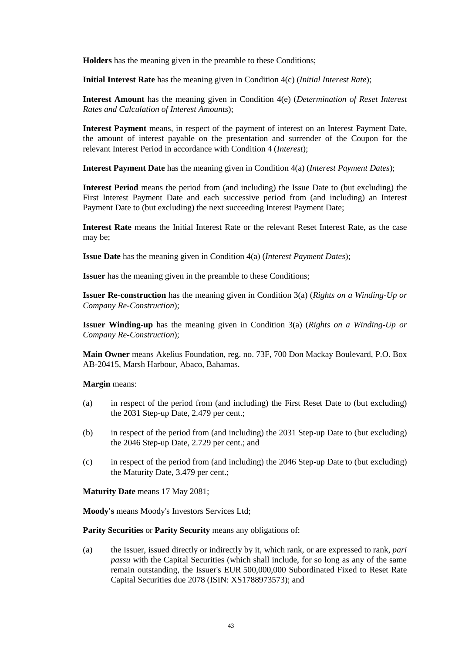**Holders** has the meaning given in the preamble to these Conditions;

**Initial Interest Rate** has the meaning given in Condition 4(c) (*Initial Interest Rate*);

**Interest Amount** has the meaning given in Condition 4(e) (*Determination of Reset Interest Rates and Calculation of Interest Amounts*);

**Interest Payment** means, in respect of the payment of interest on an Interest Payment Date, the amount of interest payable on the presentation and surrender of the Coupon for the relevant Interest Period in accordance with Condition 4 (*Interest*);

**Interest Payment Date** has the meaning given in Condition 4(a) (*Interest Payment Dates*);

**Interest Period** means the period from (and including) the Issue Date to (but excluding) the First Interest Payment Date and each successive period from (and including) an Interest Payment Date to (but excluding) the next succeeding Interest Payment Date;

**Interest Rate** means the Initial Interest Rate or the relevant Reset Interest Rate, as the case may be;

**Issue Date** has the meaning given in Condition 4(a) (*Interest Payment Dates*);

**Issuer** has the meaning given in the preamble to these Conditions;

**Issuer Re-construction** has the meaning given in Condition 3(a) (*Rights on a Winding-Up or Company Re-Construction*);

**Issuer Winding-up** has the meaning given in Condition 3(a) (*Rights on a Winding-Up or Company Re-Construction*);

**Main Owner** means Akelius Foundation, reg. no. 73F, 700 Don Mackay Boulevard, P.O. Box AB-20415, Marsh Harbour, Abaco, Bahamas.

**Margin** means:

- (a) in respect of the period from (and including) the First Reset Date to (but excluding) the 2031 Step-up Date, 2.479 per cent.;
- (b) in respect of the period from (and including) the 2031 Step-up Date to (but excluding) the 2046 Step-up Date, 2.729 per cent.; and
- (c) in respect of the period from (and including) the 2046 Step-up Date to (but excluding) the Maturity Date, 3.479 per cent.;

**Maturity Date** means 17 May 2081;

**Moody's** means Moody's Investors Services Ltd;

**Parity Securities** or **Parity Security** means any obligations of:

(a) the Issuer, issued directly or indirectly by it, which rank, or are expressed to rank, *pari passu* with the Capital Securities (which shall include, for so long as any of the same remain outstanding, the Issuer's EUR 500,000,000 Subordinated Fixed to Reset Rate Capital Securities due 2078 (ISIN: XS1788973573); and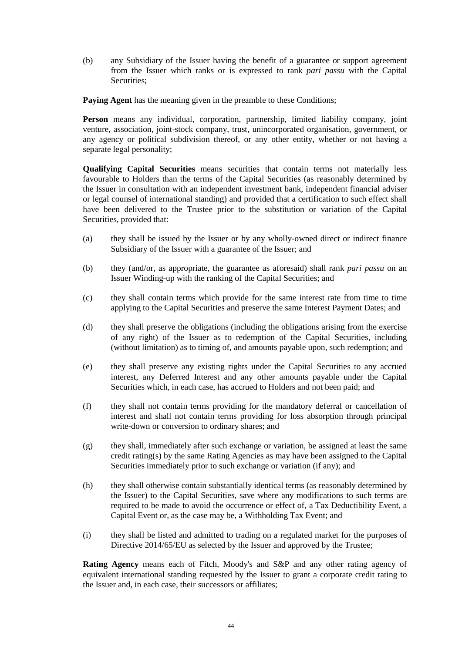(b) any Subsidiary of the Issuer having the benefit of a guarantee or support agreement from the Issuer which ranks or is expressed to rank *pari passu* with the Capital Securities;

**Paying Agent** has the meaning given in the preamble to these Conditions;

**Person** means any individual, corporation, partnership, limited liability company, joint venture, association, joint-stock company, trust, unincorporated organisation, government, or any agency or political subdivision thereof, or any other entity, whether or not having a separate legal personality;

**Qualifying Capital Securities** means securities that contain terms not materially less favourable to Holders than the terms of the Capital Securities (as reasonably determined by the Issuer in consultation with an independent investment bank, independent financial adviser or legal counsel of international standing) and provided that a certification to such effect shall have been delivered to the Trustee prior to the substitution or variation of the Capital Securities, provided that:

- (a) they shall be issued by the Issuer or by any wholly-owned direct or indirect finance Subsidiary of the Issuer with a guarantee of the Issuer; and
- (b) they (and/or, as appropriate, the guarantee as aforesaid) shall rank *pari passu* on an Issuer Winding-up with the ranking of the Capital Securities; and
- (c) they shall contain terms which provide for the same interest rate from time to time applying to the Capital Securities and preserve the same Interest Payment Dates; and
- (d) they shall preserve the obligations (including the obligations arising from the exercise of any right) of the Issuer as to redemption of the Capital Securities, including (without limitation) as to timing of, and amounts payable upon, such redemption; and
- (e) they shall preserve any existing rights under the Capital Securities to any accrued interest, any Deferred Interest and any other amounts payable under the Capital Securities which, in each case, has accrued to Holders and not been paid; and
- (f) they shall not contain terms providing for the mandatory deferral or cancellation of interest and shall not contain terms providing for loss absorption through principal write-down or conversion to ordinary shares; and
- (g) they shall, immediately after such exchange or variation, be assigned at least the same credit rating(s) by the same Rating Agencies as may have been assigned to the Capital Securities immediately prior to such exchange or variation (if any); and
- (h) they shall otherwise contain substantially identical terms (as reasonably determined by the Issuer) to the Capital Securities, save where any modifications to such terms are required to be made to avoid the occurrence or effect of, a Tax Deductibility Event, a Capital Event or, as the case may be, a Withholding Tax Event; and
- (i) they shall be listed and admitted to trading on a regulated market for the purposes of Directive 2014/65/EU as selected by the Issuer and approved by the Trustee;

**Rating Agency** means each of Fitch, Moody's and S&P and any other rating agency of equivalent international standing requested by the Issuer to grant a corporate credit rating to the Issuer and, in each case, their successors or affiliates;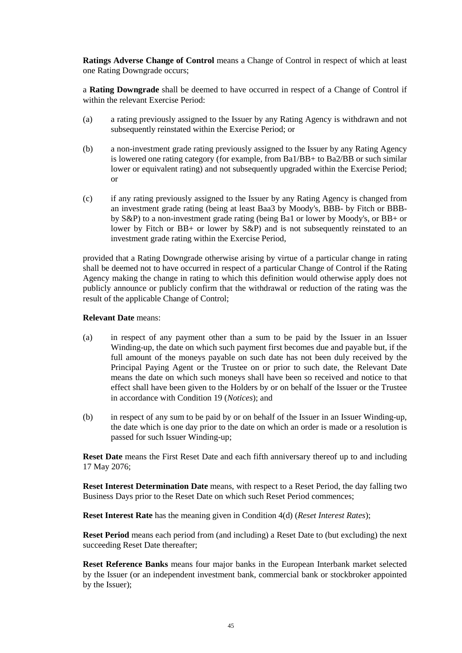**Ratings Adverse Change of Control** means a Change of Control in respect of which at least one Rating Downgrade occurs;

a **Rating Downgrade** shall be deemed to have occurred in respect of a Change of Control if within the relevant Exercise Period:

- (a) a rating previously assigned to the Issuer by any Rating Agency is withdrawn and not subsequently reinstated within the Exercise Period; or
- (b) a non-investment grade rating previously assigned to the Issuer by any Rating Agency is lowered one rating category (for example, from Ba1/BB+ to Ba2/BB or such similar lower or equivalent rating) and not subsequently upgraded within the Exercise Period; or
- (c) if any rating previously assigned to the Issuer by any Rating Agency is changed from an investment grade rating (being at least Baa3 by Moody's, BBB- by Fitch or BBBby S&P) to a non-investment grade rating (being Ba1 or lower by Moody's, or BB+ or lower by Fitch or BB+ or lower by S&P) and is not subsequently reinstated to an investment grade rating within the Exercise Period,

provided that a Rating Downgrade otherwise arising by virtue of a particular change in rating shall be deemed not to have occurred in respect of a particular Change of Control if the Rating Agency making the change in rating to which this definition would otherwise apply does not publicly announce or publicly confirm that the withdrawal or reduction of the rating was the result of the applicable Change of Control;

#### **Relevant Date** means:

- (a) in respect of any payment other than a sum to be paid by the Issuer in an Issuer Winding-up, the date on which such payment first becomes due and payable but, if the full amount of the moneys payable on such date has not been duly received by the Principal Paying Agent or the Trustee on or prior to such date, the Relevant Date means the date on which such moneys shall have been so received and notice to that effect shall have been given to the Holders by or on behalf of the Issuer or the Trustee in accordance with Condition 19 (*Notices*); and
- (b) in respect of any sum to be paid by or on behalf of the Issuer in an Issuer Winding-up, the date which is one day prior to the date on which an order is made or a resolution is passed for such Issuer Winding-up;

**Reset Date** means the First Reset Date and each fifth anniversary thereof up to and including 17 May 2076;

**Reset Interest Determination Date** means, with respect to a Reset Period, the day falling two Business Days prior to the Reset Date on which such Reset Period commences;

**Reset Interest Rate** has the meaning given in Condition 4(d) (*Reset Interest Rates*);

**Reset Period** means each period from (and including) a Reset Date to (but excluding) the next succeeding Reset Date thereafter;

**Reset Reference Banks** means four major banks in the European Interbank market selected by the Issuer (or an independent investment bank, commercial bank or stockbroker appointed by the Issuer);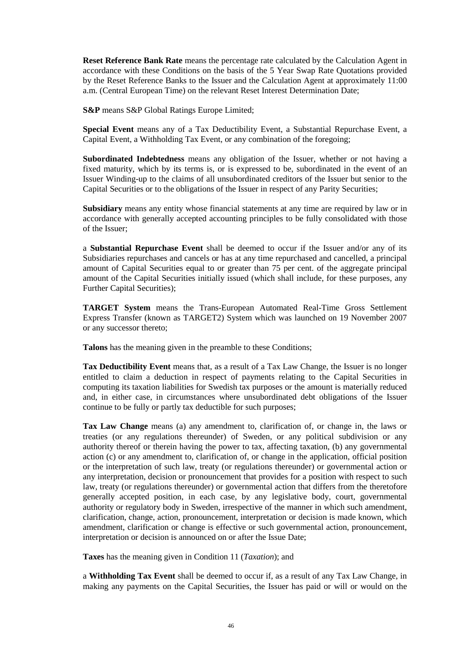**Reset Reference Bank Rate** means the percentage rate calculated by the Calculation Agent in accordance with these Conditions on the basis of the 5 Year Swap Rate Quotations provided by the Reset Reference Banks to the Issuer and the Calculation Agent at approximately 11:00 a.m. (Central European Time) on the relevant Reset Interest Determination Date;

**S&P** means S&P Global Ratings Europe Limited;

**Special Event** means any of a Tax Deductibility Event, a Substantial Repurchase Event, a Capital Event, a Withholding Tax Event, or any combination of the foregoing;

**Subordinated Indebtedness** means any obligation of the Issuer, whether or not having a fixed maturity, which by its terms is, or is expressed to be, subordinated in the event of an Issuer Winding-up to the claims of all unsubordinated creditors of the Issuer but senior to the Capital Securities or to the obligations of the Issuer in respect of any Parity Securities;

**Subsidiary** means any entity whose financial statements at any time are required by law or in accordance with generally accepted accounting principles to be fully consolidated with those of the Issuer;

a **Substantial Repurchase Event** shall be deemed to occur if the Issuer and/or any of its Subsidiaries repurchases and cancels or has at any time repurchased and cancelled, a principal amount of Capital Securities equal to or greater than 75 per cent. of the aggregate principal amount of the Capital Securities initially issued (which shall include, for these purposes, any Further Capital Securities);

**TARGET System** means the Trans-European Automated Real-Time Gross Settlement Express Transfer (known as TARGET2) System which was launched on 19 November 2007 or any successor thereto;

**Talons** has the meaning given in the preamble to these Conditions;

**Tax Deductibility Event** means that, as a result of a Tax Law Change, the Issuer is no longer entitled to claim a deduction in respect of payments relating to the Capital Securities in computing its taxation liabilities for Swedish tax purposes or the amount is materially reduced and, in either case, in circumstances where unsubordinated debt obligations of the Issuer continue to be fully or partly tax deductible for such purposes;

**Tax Law Change** means (a) any amendment to, clarification of, or change in, the laws or treaties (or any regulations thereunder) of Sweden, or any political subdivision or any authority thereof or therein having the power to tax, affecting taxation, (b) any governmental action (c) or any amendment to, clarification of, or change in the application, official position or the interpretation of such law, treaty (or regulations thereunder) or governmental action or any interpretation, decision or pronouncement that provides for a position with respect to such law, treaty (or regulations thereunder) or governmental action that differs from the theretofore generally accepted position, in each case, by any legislative body, court, governmental authority or regulatory body in Sweden, irrespective of the manner in which such amendment, clarification, change, action, pronouncement, interpretation or decision is made known, which amendment, clarification or change is effective or such governmental action, pronouncement, interpretation or decision is announced on or after the Issue Date;

**Taxes** has the meaning given in Condition 11 (*Taxation*); and

a **Withholding Tax Event** shall be deemed to occur if, as a result of any Tax Law Change, in making any payments on the Capital Securities, the Issuer has paid or will or would on the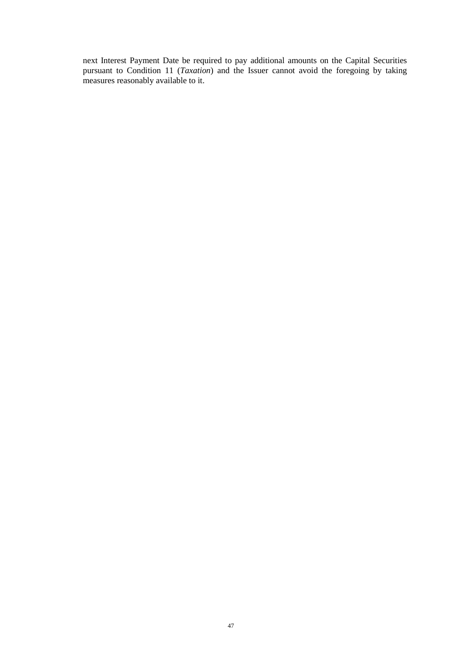next Interest Payment Date be required to pay additional amounts on the Capital Securities pursuant to Condition 11 (*Taxation*) and the Issuer cannot avoid the foregoing by taking measures reasonably available to it.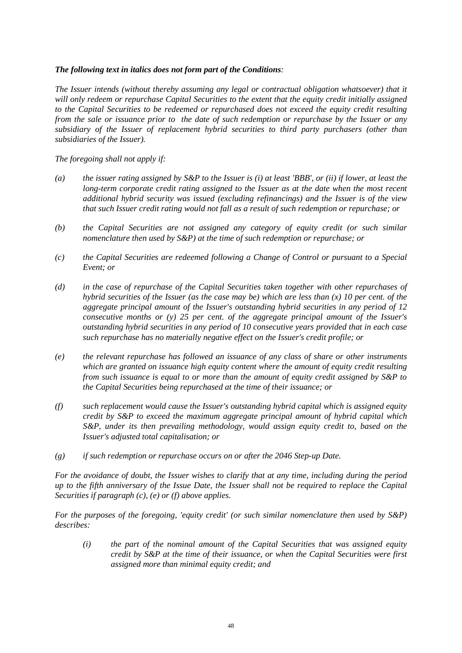## *The following text in italics does not form part of the Conditions:*

*The Issuer intends (without thereby assuming any legal or contractual obligation whatsoever) that it will only redeem or repurchase Capital Securities to the extent that the equity credit initially assigned to the Capital Securities to be redeemed or repurchased does not exceed the equity credit resulting from the sale or issuance prior to the date of such redemption or repurchase by the Issuer or any subsidiary of the Issuer of replacement hybrid securities to third party purchasers (other than subsidiaries of the Issuer).*

*The foregoing shall not apply if:* 

- *(a) the issuer rating assigned by S&P to the Issuer is (i) at least 'BBB', or (ii) if lower, at least the long-term corporate credit rating assigned to the Issuer as at the date when the most recent additional hybrid security was issued (excluding refinancings) and the Issuer is of the view that such Issuer credit rating would not fall as a result of such redemption or repurchase; or*
- *(b) the Capital Securities are not assigned any category of equity credit (or such similar nomenclature then used by S&P) at the time of such redemption or repurchase; or*
- *(c) the Capital Securities are redeemed following a Change of Control or pursuant to a Special Event; or*
- *(d) in the case of repurchase of the Capital Securities taken together with other repurchases of hybrid securities of the Issuer (as the case may be) which are less than (x) 10 per cent. of the aggregate principal amount of the Issuer's outstanding hybrid securities in any period of 12 consecutive months or (y) 25 per cent. of the aggregate principal amount of the Issuer's outstanding hybrid securities in any period of 10 consecutive years provided that in each case such repurchase has no materially negative effect on the Issuer's credit profile; or*
- *(e) the relevant repurchase has followed an issuance of any class of share or other instruments which are granted on issuance high equity content where the amount of equity credit resulting from such issuance is equal to or more than the amount of equity credit assigned by S&P to the Capital Securities being repurchased at the time of their issuance; or*
- *(f) such replacement would cause the Issuer's outstanding hybrid capital which is assigned equity credit by S&P to exceed the maximum aggregate principal amount of hybrid capital which S&P, under its then prevailing methodology, would assign equity credit to, based on the Issuer's adjusted total capitalisation; or*
- *(g) if such redemption or repurchase occurs on or after the 2046 Step-up Date.*

*For the avoidance of doubt, the Issuer wishes to clarify that at any time, including during the period up to the fifth anniversary of the Issue Date, the Issuer shall not be required to replace the Capital Securities if paragraph (c), (e) or (f) above applies.*

*For the purposes of the foregoing, 'equity credit' (or such similar nomenclature then used by S&P) describes:* 

*(i) the part of the nominal amount of the Capital Securities that was assigned equity credit by S&P at the time of their issuance, or when the Capital Securities were first assigned more than minimal equity credit; and*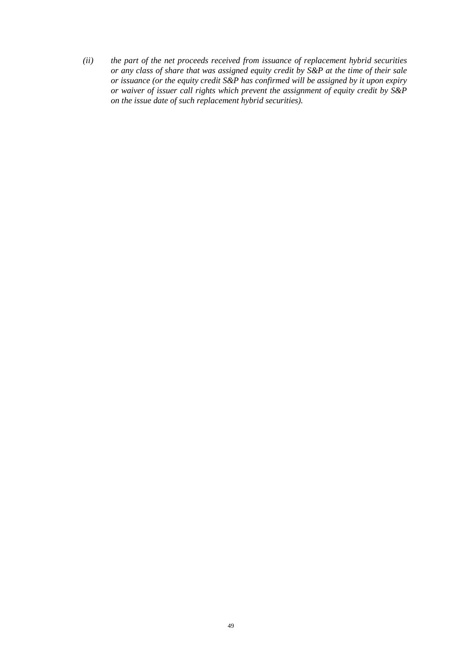*(ii) the part of the net proceeds received from issuance of replacement hybrid securities or any class of share that was assigned equity credit by S&P at the time of their sale or issuance (or the equity credit S&P has confirmed will be assigned by it upon expiry or waiver of issuer call rights which prevent the assignment of equity credit by S&P on the issue date of such replacement hybrid securities).*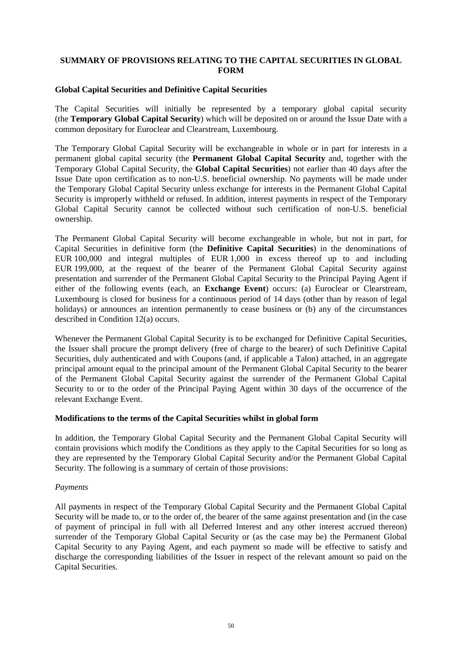#### **SUMMARY OF PROVISIONS RELATING TO THE CAPITAL SECURITIES IN GLOBAL FORM**

#### **Global Capital Securities and Definitive Capital Securities**

The Capital Securities will initially be represented by a temporary global capital security (the **Temporary Global Capital Security**) which will be deposited on or around the Issue Date with a common depositary for Euroclear and Clearstream, Luxembourg.

The Temporary Global Capital Security will be exchangeable in whole or in part for interests in a permanent global capital security (the **Permanent Global Capital Security** and, together with the Temporary Global Capital Security, the **Global Capital Securities**) not earlier than 40 days after the Issue Date upon certification as to non-U.S. beneficial ownership. No payments will be made under the Temporary Global Capital Security unless exchange for interests in the Permanent Global Capital Security is improperly withheld or refused. In addition, interest payments in respect of the Temporary Global Capital Security cannot be collected without such certification of non-U.S. beneficial ownership.

The Permanent Global Capital Security will become exchangeable in whole, but not in part, for Capital Securities in definitive form (the **Definitive Capital Securities**) in the denominations of EUR 100,000 and integral multiples of EUR 1,000 in excess thereof up to and including EUR 199,000, at the request of the bearer of the Permanent Global Capital Security against presentation and surrender of the Permanent Global Capital Security to the Principal Paying Agent if either of the following events (each, an **Exchange Event**) occurs: (a) Euroclear or Clearstream, Luxembourg is closed for business for a continuous period of 14 days (other than by reason of legal holidays) or announces an intention permanently to cease business or (b) any of the circumstances described in Condition 12(a) occurs.

Whenever the Permanent Global Capital Security is to be exchanged for Definitive Capital Securities, the Issuer shall procure the prompt delivery (free of charge to the bearer) of such Definitive Capital Securities, duly authenticated and with Coupons (and, if applicable a Talon) attached, in an aggregate principal amount equal to the principal amount of the Permanent Global Capital Security to the bearer of the Permanent Global Capital Security against the surrender of the Permanent Global Capital Security to or to the order of the Principal Paying Agent within 30 days of the occurrence of the relevant Exchange Event.

#### **Modifications to the terms of the Capital Securities whilst in global form**

In addition, the Temporary Global Capital Security and the Permanent Global Capital Security will contain provisions which modify the Conditions as they apply to the Capital Securities for so long as they are represented by the Temporary Global Capital Security and/or the Permanent Global Capital Security. The following is a summary of certain of those provisions:

#### *Payments*

All payments in respect of the Temporary Global Capital Security and the Permanent Global Capital Security will be made to, or to the order of, the bearer of the same against presentation and (in the case of payment of principal in full with all Deferred Interest and any other interest accrued thereon) surrender of the Temporary Global Capital Security or (as the case may be) the Permanent Global Capital Security to any Paying Agent, and each payment so made will be effective to satisfy and discharge the corresponding liabilities of the Issuer in respect of the relevant amount so paid on the Capital Securities.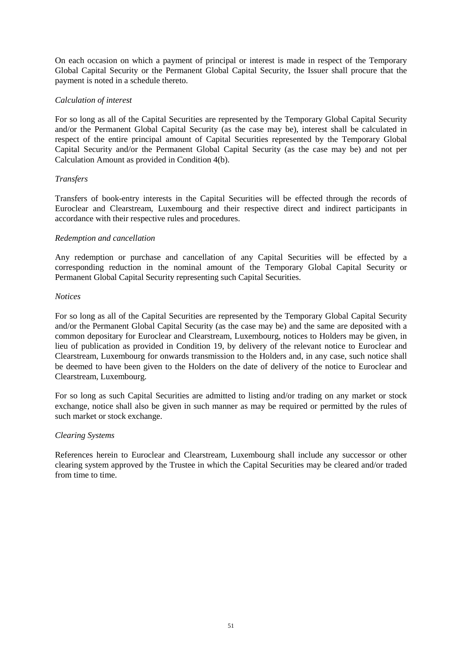On each occasion on which a payment of principal or interest is made in respect of the Temporary Global Capital Security or the Permanent Global Capital Security, the Issuer shall procure that the payment is noted in a schedule thereto.

#### *Calculation of interest*

For so long as all of the Capital Securities are represented by the Temporary Global Capital Security and/or the Permanent Global Capital Security (as the case may be), interest shall be calculated in respect of the entire principal amount of Capital Securities represented by the Temporary Global Capital Security and/or the Permanent Global Capital Security (as the case may be) and not per Calculation Amount as provided in Condition 4(b).

## *Transfers*

Transfers of book-entry interests in the Capital Securities will be effected through the records of Euroclear and Clearstream, Luxembourg and their respective direct and indirect participants in accordance with their respective rules and procedures.

## *Redemption and cancellation*

Any redemption or purchase and cancellation of any Capital Securities will be effected by a corresponding reduction in the nominal amount of the Temporary Global Capital Security or Permanent Global Capital Security representing such Capital Securities.

#### *Notices*

For so long as all of the Capital Securities are represented by the Temporary Global Capital Security and/or the Permanent Global Capital Security (as the case may be) and the same are deposited with a common depositary for Euroclear and Clearstream, Luxembourg, notices to Holders may be given, in lieu of publication as provided in Condition 19, by delivery of the relevant notice to Euroclear and Clearstream, Luxembourg for onwards transmission to the Holders and, in any case, such notice shall be deemed to have been given to the Holders on the date of delivery of the notice to Euroclear and Clearstream, Luxembourg.

For so long as such Capital Securities are admitted to listing and/or trading on any market or stock exchange, notice shall also be given in such manner as may be required or permitted by the rules of such market or stock exchange.

#### *Clearing Systems*

References herein to Euroclear and Clearstream, Luxembourg shall include any successor or other clearing system approved by the Trustee in which the Capital Securities may be cleared and/or traded from time to time.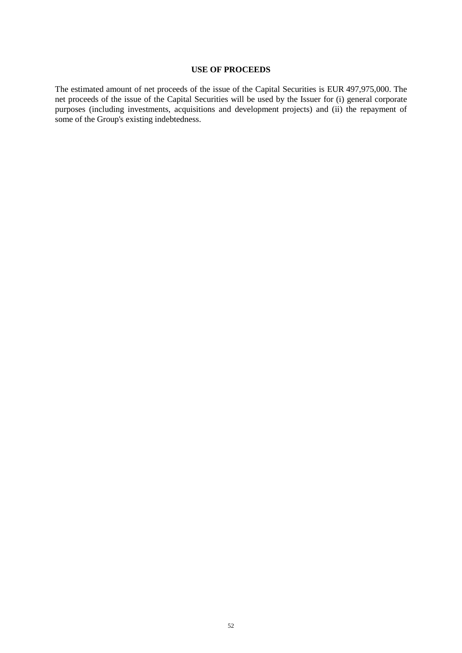#### **USE OF PROCEEDS**

The estimated amount of net proceeds of the issue of the Capital Securities is EUR 497,975,000. The net proceeds of the issue of the Capital Securities will be used by the Issuer for (i) general corporate purposes (including investments, acquisitions and development projects) and (ii) the repayment of some of the Group's existing indebtedness.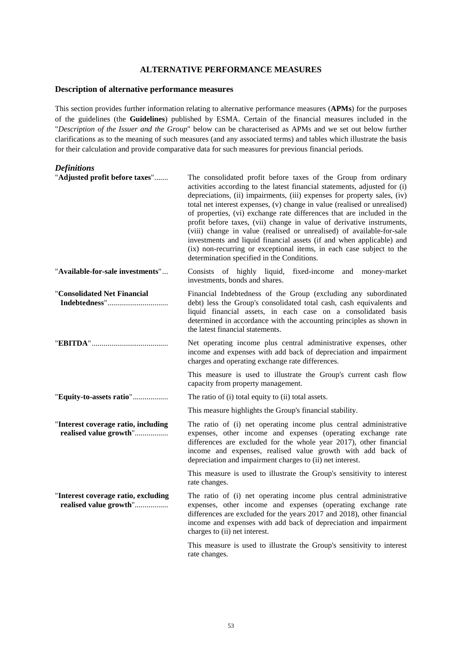#### **ALTERNATIVE PERFORMANCE MEASURES**

#### **Description of alternative performance measures**

This section provides further information relating to alternative performance measures (**APMs**) for the purposes of the guidelines (the **Guidelines**) published by ESMA. Certain of the financial measures included in the "*Description of the Issuer and the Group*" below can be characterised as APMs and we set out below further clarifications as to the meaning of such measures (and any associated terms) and tables which illustrate the basis for their calculation and provide comparative data for such measures for previous financial periods.

## *Definitions*

| "Adjusted profit before taxes"                                | The consolidated profit before taxes of the Group from ordinary<br>activities according to the latest financial statements, adjusted for (i)<br>depreciations, (ii) impairments, (iii) expenses for property sales, (iv)<br>total net interest expenses, (v) change in value (realised or unrealised)<br>of properties, (vi) exchange rate differences that are included in the<br>profit before taxes, (vii) change in value of derivative instruments,<br>(viii) change in value (realised or unrealised) of available-for-sale<br>investments and liquid financial assets (if and when applicable) and<br>(ix) non-recurring or exceptional items, in each case subject to the<br>determination specified in the Conditions. |
|---------------------------------------------------------------|---------------------------------------------------------------------------------------------------------------------------------------------------------------------------------------------------------------------------------------------------------------------------------------------------------------------------------------------------------------------------------------------------------------------------------------------------------------------------------------------------------------------------------------------------------------------------------------------------------------------------------------------------------------------------------------------------------------------------------|
| "Available-for-sale investments"                              | Consists of highly liquid, fixed-income and money-market<br>investments, bonds and shares.                                                                                                                                                                                                                                                                                                                                                                                                                                                                                                                                                                                                                                      |
| "Consolidated Net Financial                                   | Financial Indebtedness of the Group (excluding any subordinated<br>debt) less the Group's consolidated total cash, cash equivalents and<br>liquid financial assets, in each case on a consolidated basis<br>determined in accordance with the accounting principles as shown in<br>the latest financial statements.                                                                                                                                                                                                                                                                                                                                                                                                             |
|                                                               | Net operating income plus central administrative expenses, other<br>income and expenses with add back of depreciation and impairment<br>charges and operating exchange rate differences.                                                                                                                                                                                                                                                                                                                                                                                                                                                                                                                                        |
|                                                               | This measure is used to illustrate the Group's current cash flow<br>capacity from property management.                                                                                                                                                                                                                                                                                                                                                                                                                                                                                                                                                                                                                          |
| "Equity-to-assets ratio"                                      | The ratio of (i) total equity to (ii) total assets.                                                                                                                                                                                                                                                                                                                                                                                                                                                                                                                                                                                                                                                                             |
|                                                               | This measure highlights the Group's financial stability.                                                                                                                                                                                                                                                                                                                                                                                                                                                                                                                                                                                                                                                                        |
| "Interest coverage ratio, including<br>realised value growth" | The ratio of (i) net operating income plus central administrative<br>expenses, other income and expenses (operating exchange rate<br>differences are excluded for the whole year 2017), other financial<br>income and expenses, realised value growth with add back of<br>depreciation and impairment charges to (ii) net interest.                                                                                                                                                                                                                                                                                                                                                                                             |
|                                                               | This measure is used to illustrate the Group's sensitivity to interest<br>rate changes.                                                                                                                                                                                                                                                                                                                                                                                                                                                                                                                                                                                                                                         |
| "Interest coverage ratio, excluding<br>realised value growth" | The ratio of (i) net operating income plus central administrative<br>expenses, other income and expenses (operating exchange rate<br>differences are excluded for the years 2017 and 2018), other financial<br>income and expenses with add back of depreciation and impairment<br>charges to (ii) net interest.                                                                                                                                                                                                                                                                                                                                                                                                                |
|                                                               | This measure is used to illustrate the Group's sensitivity to interest<br>rate changes.                                                                                                                                                                                                                                                                                                                                                                                                                                                                                                                                                                                                                                         |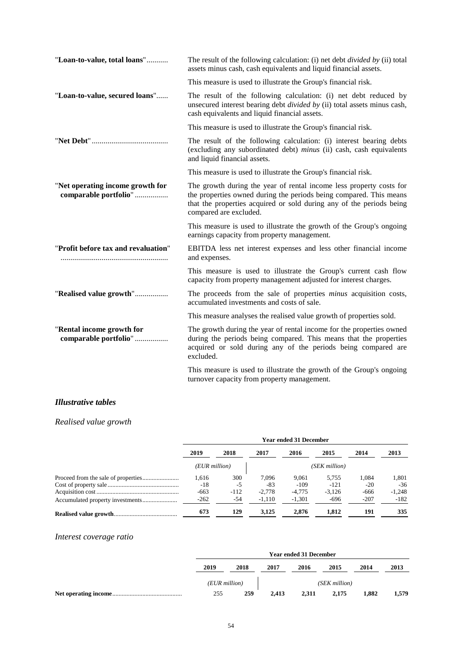| "Loan-to-value, total loans"                              | The result of the following calculation: (i) net debt <i>divided by</i> (ii) total<br>assets minus cash, cash equivalents and liquid financial assets.                                                                                      |
|-----------------------------------------------------------|---------------------------------------------------------------------------------------------------------------------------------------------------------------------------------------------------------------------------------------------|
|                                                           | This measure is used to illustrate the Group's financial risk.                                                                                                                                                                              |
| "Loan-to-value, secured loans"                            | The result of the following calculation: (i) net debt reduced by<br>unsecured interest bearing debt <i>divided by</i> (ii) total assets minus cash,<br>cash equivalents and liquid financial assets.                                        |
|                                                           | This measure is used to illustrate the Group's financial risk.                                                                                                                                                                              |
|                                                           | The result of the following calculation: (i) interest bearing debts<br>(excluding any subordinated debt) minus (ii) cash, cash equivalents<br>and liquid financial assets.                                                                  |
|                                                           | This measure is used to illustrate the Group's financial risk.                                                                                                                                                                              |
| "Net operating income growth for<br>comparable portfolio" | The growth during the year of rental income less property costs for<br>the properties owned during the periods being compared. This means<br>that the properties acquired or sold during any of the periods being<br>compared are excluded. |
|                                                           | This measure is used to illustrate the growth of the Group's ongoing<br>earnings capacity from property management.                                                                                                                         |
| "Profit before tax and revaluation"                       | EBITDA less net interest expenses and less other financial income<br>and expenses.                                                                                                                                                          |
|                                                           | This measure is used to illustrate the Group's current cash flow<br>capacity from property management adjusted for interest charges.                                                                                                        |
| "Realised value growth"                                   | The proceeds from the sale of properties <i>minus</i> acquisition costs,<br>accumulated investments and costs of sale.                                                                                                                      |
|                                                           | This measure analyses the realised value growth of properties sold.                                                                                                                                                                         |
| "Rental income growth for<br>comparable portfolio"        | The growth during the year of rental income for the properties owned<br>during the periods being compared. This means that the properties<br>acquired or sold during any of the periods being compared are<br>excluded.                     |
|                                                           | This measure is used to illustrate the growth of the Group's ongoing<br>turnover capacity from property management.                                                                                                                         |

# *Illustrative tables*

# *Realised value growth*

| <b>Year ended 31 December</b> |        |          |          |               |        |          |  |
|-------------------------------|--------|----------|----------|---------------|--------|----------|--|
| 2019                          | 2018   | 2017     | 2016     | 2015          | 2014   | 2013     |  |
| (EUR million)                 |        |          |          | (SEK million) |        |          |  |
| 1.616                         | 300    | 7.096    | 9.061    | 5.755         | 1.084  | 1,801    |  |
| $-18$                         | -5     | $-83$    | $-109$   | $-121$        | $-20$  | $-36$    |  |
| $-663$                        | $-112$ | $-2.778$ | $-4.775$ | $-3.126$      | $-666$ | $-1,248$ |  |
| $-262$                        | -54    | $-1,110$ | $-1,301$ | $-696$        | $-207$ | $-182$   |  |
| 673                           | 129    | 3,125    | 2.876    | 1.812         | 191    | 335      |  |

# *Interest coverage ratio*

| <b>Year ended 31 December</b> |      |       |       |               |       |       |
|-------------------------------|------|-------|-------|---------------|-------|-------|
| 2019                          | 2018 | 2017  | 2016  | 2015          | 2014  | 2013  |
| (EUR million)                 |      |       |       | (SEK million) |       |       |
| 255                           | 259  | 2,413 | 2.311 | 2.175         | 1.882 | 1,579 |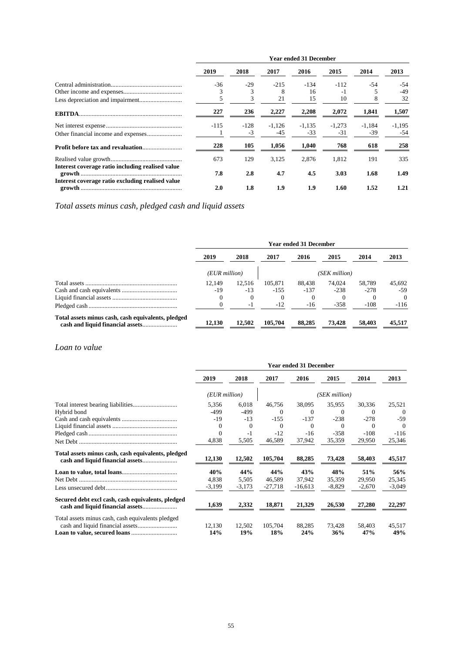|                                                  | <b>Year ended 31 December</b> |                |                 |                   |                 |               |                   |  |
|--------------------------------------------------|-------------------------------|----------------|-----------------|-------------------|-----------------|---------------|-------------------|--|
|                                                  | 2019                          | 2018           | 2017            | 2016              | 2015            | 2014          | 2013              |  |
|                                                  | $-36$                         | $-29$          | $-215$          | -134              | $-112$          | -54           | $-54$             |  |
|                                                  | 3                             |                | 8               | 16                | $-1$            |               | $-49$             |  |
|                                                  | 5                             | 3              | 21              | 15                | 10              | 8             | 32                |  |
| <b>EBITDA</b>                                    | 227                           | 236            | 2,227           | 2,208             | 2,072           | 1,841         | 1,507             |  |
|                                                  | $-115$                        | $-128$<br>$-3$ | $-1.126$<br>-45 | $-1.135$<br>$-33$ | $-1.273$<br>-31 | -1.184<br>-39 | $-1.195$<br>$-54$ |  |
|                                                  | 228                           | 105            | 1,056           | 1,040             | 768             | 618           | 258               |  |
|                                                  | 673                           | 129            | 3,125           | 2.876             | 1,812           | 191           | 335               |  |
| Interest coverage ratio including realised value | 7.8                           | 2.8            | 4.7             | 4.5               | 3.03            | 1.68          | 1.49              |  |
| Interest coverage ratio excluding realised value | 2.0                           | 1.8            | 1.9             | 1.9               | 1.60            | 1.52          | 1.21              |  |

*Total assets minus cash, pledged cash and liquid assets* 

|                                                    | <b>Year ended 31 December</b> |        |          |               |        |        |          |  |
|----------------------------------------------------|-------------------------------|--------|----------|---------------|--------|--------|----------|--|
|                                                    | 2019                          | 2018   | 2017     | 2016          | 2015   | 2014   | 2013     |  |
|                                                    | (EUR million)                 |        |          | (SEK million) |        |        |          |  |
|                                                    | 12.149                        | 12.516 | 105.871  | 88,438        | 74,024 | 58,789 | 45,692   |  |
|                                                    | $-19$                         | $-13$  | $-155$   | $-137$        | $-238$ | $-278$ | $-59$    |  |
|                                                    |                               |        | $\Omega$ | $\Omega$      |        |        | $\Omega$ |  |
|                                                    |                               | - 1    | $-12$    | $-16$         | $-358$ | $-108$ | $-116$   |  |
| Total assets minus cash, cash equivalents, pledged | 12,130                        | 12,502 | 105.704  | 88,285        | 73,428 | 58,403 | 45,517   |  |

#### *Loan to value*

|                                                    | <b>Year ended 31 December</b> |               |                |               |               |               |               |  |
|----------------------------------------------------|-------------------------------|---------------|----------------|---------------|---------------|---------------|---------------|--|
|                                                    | 2019                          | 2018          | 2017           | 2016          | 2015          | 2014          | 2013          |  |
|                                                    | (EUR million)                 |               |                |               | (SEK million) |               |               |  |
|                                                    | 5,356                         | 6.018         | 46.756         | 38,095        | 35,955        | 30,336        | 25,521        |  |
| Hybrid bond                                        | $-499$                        | $-499$        | $\Omega$       | $\Omega$      | $\Omega$      | 0             | $\Omega$      |  |
|                                                    | $-19$                         | $-13$         | $-155$         | $-137$        | $-238$        | $-278$        | $-59$         |  |
|                                                    | $\Omega$                      | $\Omega$      | $\Omega$       | $\Omega$      | 0             | 0             | $\Omega$      |  |
|                                                    | $\Omega$                      | $-1$          | $-12$          | $-16$         | $-358$        | $-108$        | $-116$        |  |
|                                                    | 4,838                         | 5,505         | 46,589         | 37,942        | 35,359        | 29,950        | 25,346        |  |
| Total assets minus cash, cash equivalents, pledged | 12,130                        | 12,502        | 105,704        | 88,285        | 73,428        | 58,403        | 45,517        |  |
|                                                    | 40%                           | 44%           | 44%            | 43%           | 48%           | 51%           | 56%           |  |
|                                                    | 4,838                         | 5,505         | 46,589         | 37,942        | 35,359        | 29,950        | 25,345        |  |
|                                                    | $-3,199$                      | $-3,173$      | $-27,718$      | $-16,613$     | $-8,829$      | $-2,670$      | $-3,049$      |  |
| Secured debt excl cash, cash equivalents, pledged  | 1,639                         | 2,332         | 18,871         | 21,329        | 26,530        | 27,280        | 22,297        |  |
| Total assets minus cash, cash equivalents pledged  | 12,130<br>14%                 | 12,502<br>19% | 105,704<br>18% | 88,285<br>24% | 73,428<br>36% | 58,403<br>47% | 45,517<br>49% |  |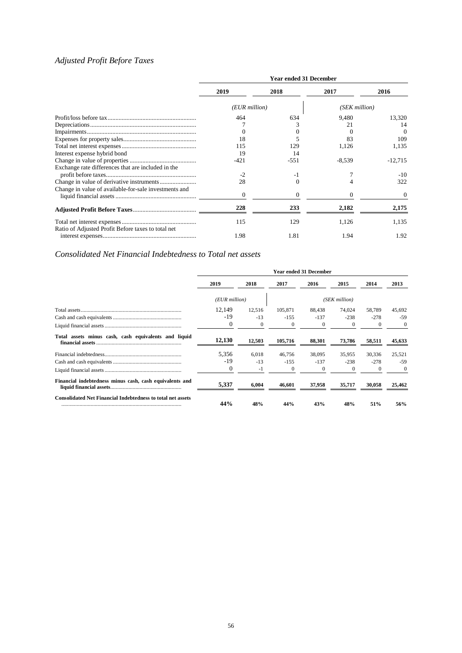# *Adjusted Profit Before Taxes*

|                                                       | <b>Year ended 31 December</b> |          |               |           |  |  |  |
|-------------------------------------------------------|-------------------------------|----------|---------------|-----------|--|--|--|
|                                                       | 2019                          | 2018     | 2017          | 2016      |  |  |  |
|                                                       | (EUR million)                 |          | (SEK million) |           |  |  |  |
|                                                       | 464                           | 634      | 9.480         | 13,320    |  |  |  |
|                                                       |                               |          | 21            | 14        |  |  |  |
|                                                       |                               |          |               | $\Omega$  |  |  |  |
|                                                       | 18                            |          | 83            | 109       |  |  |  |
|                                                       | 115                           | 129      | 1,126         | 1,135     |  |  |  |
| Interest expense hybrid bond                          | 19                            | 14       |               |           |  |  |  |
|                                                       | -421                          | $-551$   | $-8,539$      | $-12,715$ |  |  |  |
| Exchange rate differences that are included in the    |                               |          |               |           |  |  |  |
|                                                       | $-2$                          | $-1$     |               | $-10$     |  |  |  |
|                                                       | 28                            | $\Omega$ |               | 322       |  |  |  |
| Change in value of available-for-sale investments and | $\Omega$                      | $\Omega$ | $\Omega$      | $\Omega$  |  |  |  |
|                                                       | 228                           | 233      | 2,182         | 2,175     |  |  |  |
| Ratio of Adjusted Profit Before taxes to total net    | 115                           | 129      | 1,126         | 1,135     |  |  |  |
|                                                       | 1.98                          | 1.81     | 1.94          | 1.92      |  |  |  |

# *Consolidated Net Financial Indebtedness to Total net assets*

|                                                                    | <b>Year ended 31 December</b> |          |          |          |               |          |          |  |
|--------------------------------------------------------------------|-------------------------------|----------|----------|----------|---------------|----------|----------|--|
|                                                                    | 2019                          | 2018     | 2017     | 2016     | 2015          | 2014     | 2013     |  |
|                                                                    | (EUR million)                 |          |          |          | (SEK million) |          |          |  |
|                                                                    | 12,149                        | 12,516   | 105.871  | 88,438   | 74.024        | 58,789   | 45,692   |  |
|                                                                    | $-19$                         | $-13$    | $-155$   | $-137$   | $-238$        | $-278$   | -59      |  |
|                                                                    | $\mathbf{0}$                  | $\theta$ | $\theta$ | $\Omega$ | 0             | $\theta$ | $\theta$ |  |
| Total assets minus cash, cash equivalents and liquid               | 12,130                        | 12,503   | 105,716  | 88,301   | 73,786        | 58,511   | 45,633   |  |
|                                                                    | 5,356                         | 6.018    | 46,756   | 38,095   | 35,955        | 30,336   | 25,521   |  |
|                                                                    | $-19$                         | $-13$    | $-155$   | $-137$   | $-238$        | $-278$   | $-59$    |  |
|                                                                    | $\Omega$                      | $-1$     | $\theta$ | $\Omega$ | 0             | $\theta$ | $\theta$ |  |
| Financial indebtedness minus cash, cash equivalents and            | 5,337                         | 6,004    | 46,601   | 37,958   | 35,717        | 30,058   | 25,462   |  |
| <b>Consolidated Net Financial Indebtedness to total net assets</b> | 44%                           | 48%      | 44%      | 43%      | 48%           | 51%      | 56%      |  |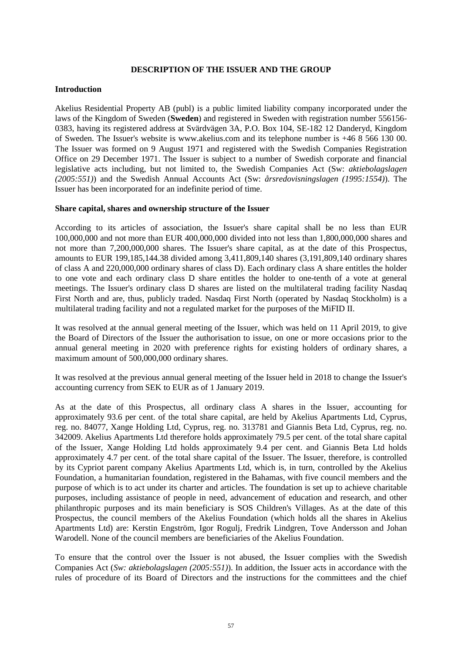#### **DESCRIPTION OF THE ISSUER AND THE GROUP**

#### **Introduction**

Akelius Residential Property AB (publ) is a public limited liability company incorporated under the laws of the Kingdom of Sweden (**Sweden**) and registered in Sweden with registration number 556156- 0383, having its registered address at Svärdvägen 3A, P.O. Box 104, SE-182 12 Danderyd, Kingdom of Sweden. The Issuer's website is www.akelius.com and its telephone number is +46 8 566 130 00. The Issuer was formed on 9 August 1971 and registered with the Swedish Companies Registration Office on 29 December 1971. The Issuer is subject to a number of Swedish corporate and financial legislative acts including, but not limited to, the Swedish Companies Act (Sw: *aktiebolagslagen (2005:551)*) and the Swedish Annual Accounts Act (Sw: *årsredovisningslagen (1995:1554)*). The Issuer has been incorporated for an indefinite period of time.

#### **Share capital, shares and ownership structure of the Issuer**

According to its articles of association, the Issuer's share capital shall be no less than EUR 100,000,000 and not more than EUR 400,000,000 divided into not less than 1,800,000,000 shares and not more than 7,200,000,000 shares. The Issuer's share capital, as at the date of this Prospectus, amounts to EUR 199,185,144.38 divided among 3,411,809,140 shares (3,191,809,140 ordinary shares of class A and 220,000,000 ordinary shares of class D). Each ordinary class A share entitles the holder to one vote and each ordinary class D share entitles the holder to one-tenth of a vote at general meetings. The Issuer's ordinary class D shares are listed on the multilateral trading facility Nasdaq First North and are, thus, publicly traded. Nasdaq First North (operated by Nasdaq Stockholm) is a multilateral trading facility and not a regulated market for the purposes of the MiFID II.

It was resolved at the annual general meeting of the Issuer, which was held on 11 April 2019, to give the Board of Directors of the Issuer the authorisation to issue, on one or more occasions prior to the annual general meeting in 2020 with preference rights for existing holders of ordinary shares, a maximum amount of 500,000,000 ordinary shares.

It was resolved at the previous annual general meeting of the Issuer held in 2018 to change the Issuer's accounting currency from SEK to EUR as of 1 January 2019.

As at the date of this Prospectus, all ordinary class A shares in the Issuer, accounting for approximately 93.6 per cent. of the total share capital, are held by Akelius Apartments Ltd, Cyprus, reg. no. 84077, Xange Holding Ltd, Cyprus, reg. no. 313781 and Giannis Beta Ltd, Cyprus, reg. no. 342009. Akelius Apartments Ltd therefore holds approximately 79.5 per cent. of the total share capital of the Issuer, Xange Holding Ltd holds approximately 9.4 per cent. and Giannis Beta Ltd holds approximately 4.7 per cent. of the total share capital of the Issuer. The Issuer, therefore, is controlled by its Cypriot parent company Akelius Apartments Ltd, which is, in turn, controlled by the Akelius Foundation, a humanitarian foundation, registered in the Bahamas, with five council members and the purpose of which is to act under its charter and articles. The foundation is set up to achieve charitable purposes, including assistance of people in need, advancement of education and research, and other philanthropic purposes and its main beneficiary is SOS Children's Villages. As at the date of this Prospectus, the council members of the Akelius Foundation (which holds all the shares in Akelius Apartments Ltd) are: Kerstin Engström, Igor Rogulj, Fredrik Lindgren, Tove Andersson and Johan Warodell. None of the council members are beneficiaries of the Akelius Foundation.

To ensure that the control over the Issuer is not abused, the Issuer complies with the Swedish Companies Act (*Sw: aktiebolagslagen (2005:551)*). In addition, the Issuer acts in accordance with the rules of procedure of its Board of Directors and the instructions for the committees and the chief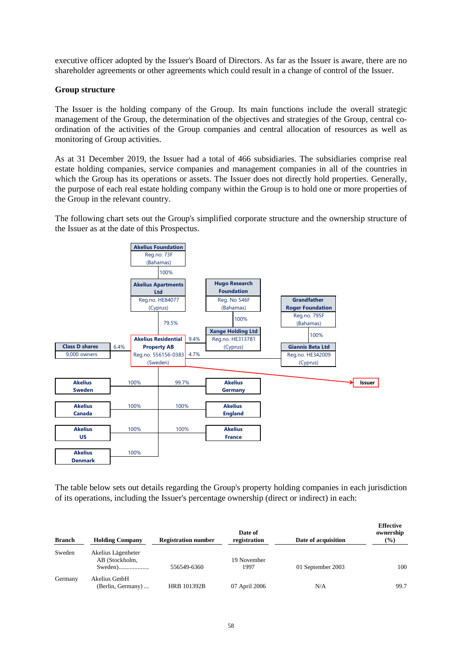executive officer adopted by the Issuer's Board of Directors. As far as the Issuer is aware, there are no shareholder agreements or other agreements which could result in a change of control of the Issuer.

# **Group structure**

The Issuer is the holding company of the Group. Its main functions include the overall strategic management of the Group, the determination of the objectives and strategies of the Group, central coordination of the activities of the Group companies and central allocation of resources as well as monitoring of Group activities.

As at 31 December 2019, the Issuer had a total of 466 subsidiaries. The subsidiaries comprise real estate holding companies, service companies and management companies in all of the countries in which the Group has its operations or assets. The Issuer does not directly hold properties. Generally, the purpose of each real estate holding company within the Group is to hold one or more properties of the Group in the relevant country.

The following chart sets out the Group's simplified corporate structure and the ownership structure of the Issuer as at the date of this Prospectus.



The table below sets out details regarding the Group's property holding companies in each jurisdiction of its operations, including the Issuer's percentage ownership (direct or indirect) in each:

| <b>Branch</b> | <b>Holding Company</b>               | <b>Registration number</b> | Date of<br>registration | Date of acquisition | <b>Effective</b><br>ownership<br>$(\%)$ |
|---------------|--------------------------------------|----------------------------|-------------------------|---------------------|-----------------------------------------|
| Sweden        | Akelius Lägenheter<br>AB (Stockholm, | 556549-6360                | 19 November<br>1997     | 01 September 2003   | 100                                     |
| Germany       | Akelius GmbH<br>(Berlin, Germany)    | <b>HRB 101392B</b>         | 07 April 2006           | N/A                 | 99.7                                    |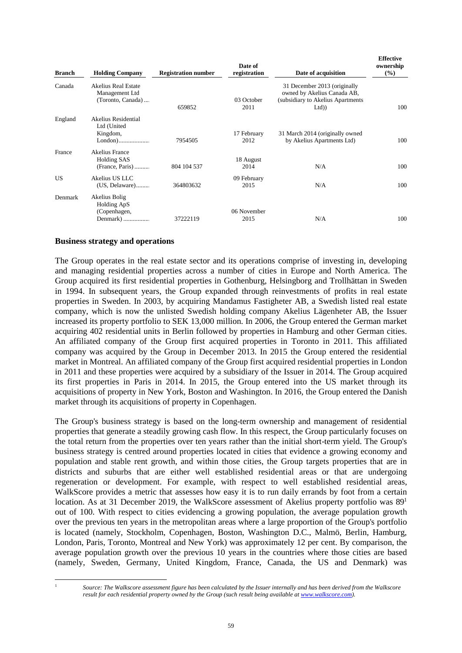| <b>Branch</b> | <b>Holding Company</b>                                         | <b>Registration number</b> | Date of<br>registration | Date of acquisition                                                                                       | <b>Effective</b><br>ownership<br>$\frac{9}{6}$ |
|---------------|----------------------------------------------------------------|----------------------------|-------------------------|-----------------------------------------------------------------------------------------------------------|------------------------------------------------|
| Canada        | Akelius Real Estate<br>Management Ltd<br>(Toronto, Canada)     | 659852                     | 03 October<br>2011      | 31 December 2013 (originally<br>owned by Akelius Canada AB,<br>(subsidiary to Akelius Apartments)<br>Ltd) | 100                                            |
| England       | Akelius Residential<br>Ltd (United<br>Kingdom,                 | 7954505                    | 17 February<br>2012     | 31 March 2014 (originally owned<br>by Akelius Apartments Ltd)                                             | 100                                            |
| France        | <b>Akelius France</b><br><b>Holding SAS</b><br>(France, Paris) | 804 104 537                | 18 August<br>2014       | N/A                                                                                                       | 100                                            |
| US.           | Akelius US LLC<br>(US, Delaware)                               | 364803632                  | 09 February<br>2015     | N/A                                                                                                       | 100                                            |
| Denmark       | Akelius Bolig<br>Holding ApS<br>(Copenhagen,<br>Denmark)       | 37222119                   | 06 November<br>2015     | N/A                                                                                                       | 100                                            |

#### **Business strategy and operations**

The Group operates in the real estate sector and its operations comprise of investing in, developing and managing residential properties across a number of cities in Europe and North America. The Group acquired its first residential properties in Gothenburg, Helsingborg and Trollhättan in Sweden in 1994. In subsequent years, the Group expanded through reinvestments of profits in real estate properties in Sweden. In 2003, by acquiring Mandamus Fastigheter AB, a Swedish listed real estate company, which is now the unlisted Swedish holding company Akelius Lägenheter AB, the Issuer increased its property portfolio to SEK 13,000 million. In 2006, the Group entered the German market acquiring 402 residential units in Berlin followed by properties in Hamburg and other German cities. An affiliated company of the Group first acquired properties in Toronto in 2011. This affiliated company was acquired by the Group in December 2013. In 2015 the Group entered the residential market in Montreal. An affiliated company of the Group first acquired residential properties in London in 2011 and these properties were acquired by a subsidiary of the Issuer in 2014. The Group acquired its first properties in Paris in 2014. In 2015, the Group entered into the US market through its acquisitions of property in New York, Boston and Washington. In 2016, the Group entered the Danish market through its acquisitions of property in Copenhagen.

The Group's business strategy is based on the long-term ownership and management of residential properties that generate a steadily growing cash flow. In this respect, the Group particularly focuses on the total return from the properties over ten years rather than the initial short-term yield. The Group's business strategy is centred around properties located in cities that evidence a growing economy and population and stable rent growth, and within those cities, the Group targets properties that are in districts and suburbs that are either well established residential areas or that are undergoing regeneration or development. For example, with respect to well established residential areas, WalkScore provides a metric that assesses how easy it is to run daily errands by foot from a certain location. As at 31 December 2019, the WalkScore assessment of Akelius property portfolio was 89<sup>1</sup> out of 100. With respect to cities evidencing a growing population, the average population growth over the previous ten years in the metropolitan areas where a large proportion of the Group's portfolio is located (namely, Stockholm, Copenhagen, Boston, Washington D.C., Malmö, Berlin, Hamburg, London, Paris, Toronto, Montreal and New York) was approximately 12 per cent. By comparison, the average population growth over the previous 10 years in the countries where those cities are based (namely, Sweden, Germany, United Kingdom, France, Canada, the US and Denmark) was

<sup>1</sup> *Source: The Walkscore assessment figure has been calculated by the Issuer internally and has been derived from the Walkscore result for each residential property owned by the Group (such result being available at www.walkscore.com).*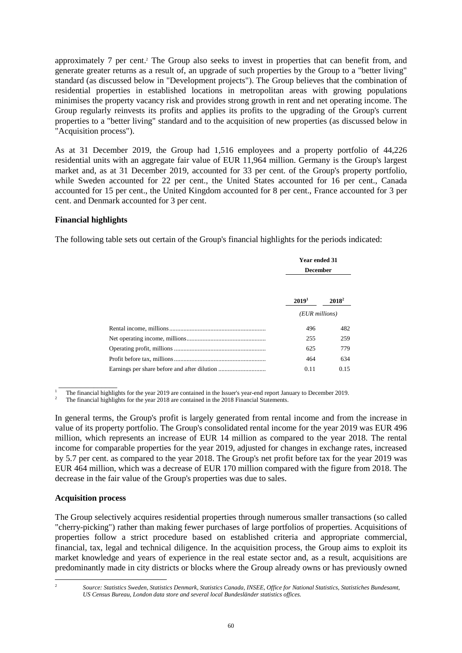approximately 7 per cent.<sup>2</sup> The Group also seeks to invest in properties that can benefit from, and generate greater returns as a result of, an upgrade of such properties by the Group to a "better living" standard (as discussed below in "Development projects"). The Group believes that the combination of residential properties in established locations in metropolitan areas with growing populations minimises the property vacancy risk and provides strong growth in rent and net operating income. The Group regularly reinvests its profits and applies its profits to the upgrading of the Group's current properties to a "better living" standard and to the acquisition of new properties (as discussed below in "Acquisition process").

As at 31 December 2019, the Group had 1,516 employees and a property portfolio of 44,226 residential units with an aggregate fair value of EUR 11,964 million. Germany is the Group's largest market and, as at 31 December 2019, accounted for 33 per cent. of the Group's property portfolio, while Sweden accounted for 22 per cent., the United States accounted for 16 per cent., Canada accounted for 15 per cent., the United Kingdom accounted for 8 per cent., France accounted for 3 per cent. and Denmark accounted for 3 per cent.

## **Financial highlights**

The following table sets out certain of the Group's financial highlights for the periods indicated:

| <b>Year ended 31</b> |                   |  |
|----------------------|-------------------|--|
| <b>December</b>      |                   |  |
|                      |                   |  |
| 2019 <sup>1</sup>    | 2018 <sup>2</sup> |  |
| (EUR millions)       |                   |  |
| 496                  | 482               |  |
| 255                  | 259               |  |
| 625                  | 779               |  |
| 464                  | 634               |  |
| 0.11                 | 0.15              |  |

 $\overline{\phantom{a}}$  , which is a set of the set of the set of the set of the set of the set of the set of the set of the set of the set of the set of the set of the set of the set of the set of the set of the set of the set of th <sup>1</sup>The financial highlights for the year 2019 are contained in the Issuer's year-end report January to December 2019.

2 The financial highlights for the year 2018 are contained in the 2018 Financial Statements.

In general terms, the Group's profit is largely generated from rental income and from the increase in value of its property portfolio. The Group's consolidated rental income for the year 2019 was EUR 496 million, which represents an increase of EUR 14 million as compared to the year 2018. The rental income for comparable properties for the year 2019, adjusted for changes in exchange rates, increased by 5.7 per cent. as compared to the year 2018. The Group's net profit before tax for the year 2019 was EUR 464 million, which was a decrease of EUR 170 million compared with the figure from 2018. The decrease in the fair value of the Group's properties was due to sales.

#### **Acquisition process**

The Group selectively acquires residential properties through numerous smaller transactions (so called "cherry-picking") rather than making fewer purchases of large portfolios of properties. Acquisitions of properties follow a strict procedure based on established criteria and appropriate commercial, financial, tax, legal and technical diligence. In the acquisition process, the Group aims to exploit its market knowledge and years of experience in the real estate sector and, as a result, acquisitions are predominantly made in city districts or blocks where the Group already owns or has previously owned

<sup>2</sup> *Source: Statistics Sweden, Statistics Denmark, Statistics Canada, INSEE, Office for National Statistics, Statistiches Bundesamt, US Census Bureau, London data store and several local Bundesländer statistics offices.*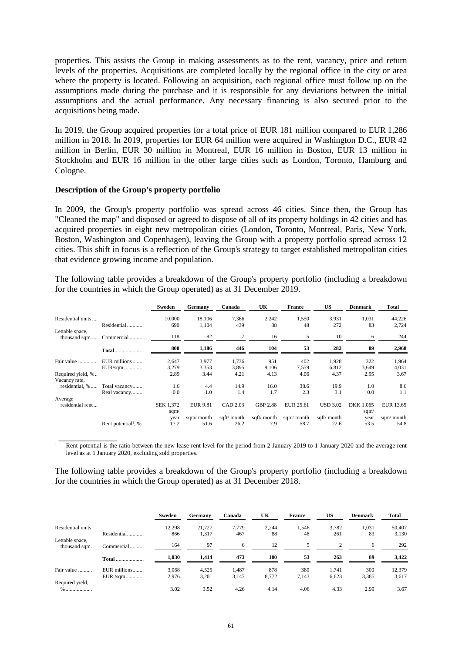properties. This assists the Group in making assessments as to the rent, vacancy, price and return levels of the properties. Acquisitions are completed locally by the regional office in the city or area where the property is located. Following an acquisition, each regional office must follow up on the assumptions made during the purchase and it is responsible for any deviations between the initial assumptions and the actual performance. Any necessary financing is also secured prior to the acquisitions being made.

In 2019, the Group acquired properties for a total price of EUR 181 million compared to EUR 1,286 million in 2018. In 2019, properties for EUR 64 million were acquired in Washington D.C., EUR 42 million in Berlin, EUR 30 million in Montreal, EUR 16 million in Boston, EUR 13 million in Stockholm and EUR 16 million in the other large cities such as London, Toronto, Hamburg and Cologne.

#### **Description of the Group's property portfolio**

In 2009, the Group's property portfolio was spread across 46 cities. Since then, the Group has "Cleaned the map" and disposed or agreed to dispose of all of its property holdings in 42 cities and has acquired properties in eight new metropolitan cities (London, Toronto, Montreal, Paris, New York, Boston, Washington and Copenhagen), leaving the Group with a property portfolio spread across 12 cities. This shift in focus is a reflection of the Group's strategy to target established metropolitan cities that evidence growing income and population.

The following table provides a breakdown of the Group's property portfolio (including a breakdown for the countries in which the Group operated) as at 31 December 2019.

|                   |                                     | Sweden           | <b>Germany</b>  | Canada     | UK              | <b>France</b> | <b>US</b>       | <b>Denmark</b> | <b>Total</b> |
|-------------------|-------------------------------------|------------------|-----------------|------------|-----------------|---------------|-----------------|----------------|--------------|
| Residential units |                                     | 10,000           | 18,106          | 7,366      | 2,242           | 1,550         | 3,931           | 1,031          | 44,226       |
|                   | Residential                         | 690              | 1,104           | 439        | 88              | 48            | 272             | 83             | 2,724        |
| Lettable space,   | thousand sqm Commercial             | 118              | 82              | 7          | 16              | 5             | 10              | 6              | 244          |
|                   | <b>Total</b>                        | 808              | 1,186           | 446        | 104             | 53            | 282             | 89             | 2,968        |
| Fair value        | EUR millions                        | 2,647            | 3,977           | 1,736      | 951             | 402           | 1,928           | 322            | 11,964       |
|                   | EUR/sqm                             | 3,279            | 3,353           | 3,895      | 9,106           | 7,559         | 6,812           | 3,649          | 4,031        |
| Required yield, % |                                     | 2.89             | 3.44            | 4.21       | 4.13            | 4.06          | 4.37            | 2.95           | 3.67         |
| Vacancy rate,     |                                     |                  |                 |            |                 |               |                 |                |              |
| residential, %    | Total vacancy                       | 1.6              | 4.4             | 14.9       | 16.0            | 38.6          | 19.9            | 1.0            | 8.6          |
|                   | Real vacancy                        | 0.0              | 1.0             | 1.4        | 1.7             | 2.3           | 3.1             | 0.0            | 1.1          |
| Average           |                                     |                  |                 |            |                 |               |                 |                |              |
| residential rent  |                                     | <b>SEK 1,372</b> | <b>EUR 9.81</b> | CAD 2.03   | <b>GBP 2.88</b> | EUR 25.61     | <b>USD 3.02</b> | DKK 1,065      | EUR 13.65    |
|                   |                                     | sqm $\sqrt$      |                 |            |                 |               |                 | sqm $\sqrt$    |              |
|                   |                                     | year             | sqm/ month      | sqft/month | sqft/ month     | sqm/ month    | sqft/ month     | year           | sqm/ month   |
|                   | Rent potential <sup>1</sup> , $%$ . | 17.2             | 51.6            | 26.2       | 7.9             | 58.7          | 22.6            | 53.5           | 54.8         |

 $\overline{\phantom{a}}$  , which is a set of the set of the set of the set of the set of the set of the set of the set of the set of the set of the set of the set of the set of the set of the set of the set of the set of the set of th 1 Rent potential is the ratio between the new lease rent level for the period from 2 January 2019 to 1 January 2020 and the average rent level as at 1 January 2020, excluding sold properties.

The following table provides a breakdown of the Group's property portfolio (including a breakdown for the countries in which the Group operated) as at 31 December 2018.

|                                  |              | Sweden | Germany | Canada | UK    | <b>France</b> | US    | <b>Denmark</b> | Total  |
|----------------------------------|--------------|--------|---------|--------|-------|---------------|-------|----------------|--------|
| Residential units                |              | 12,298 | 21.727  | 7.779  | 2.244 | 1.546         | 3.782 | 1.031          | 50,407 |
|                                  | Residential. | 866    | 1,317   | 467    | 88    | 48            | 261   | 83             | 3,130  |
| Lettable space,<br>thousand sqm. | Commercial   | 164    | 97      | 6      | 12    |               | ◠     | 6              | 292    |
|                                  | <b>Total</b> | 1,030  | 1,414   | 473    | 100   | 53            | 263   | 89             | 3,422  |
| Fair value                       | EUR millions | 3.068  | 4,525   | 1.487  | 878   | 380           | 1.741 | 300            | 12,379 |
|                                  | EUR /sqm     | 2,976  | 3,201   | 3,147  | 8,772 | 7,143         | 6,623 | 3,385          | 3,617  |
| Required yield,                  |              |        |         |        |       |               |       |                |        |
| $\%$                             |              | 3.02   | 3.52    | 4.26   | 4.14  | 4.06          | 4.33  | 2.99           | 3.67   |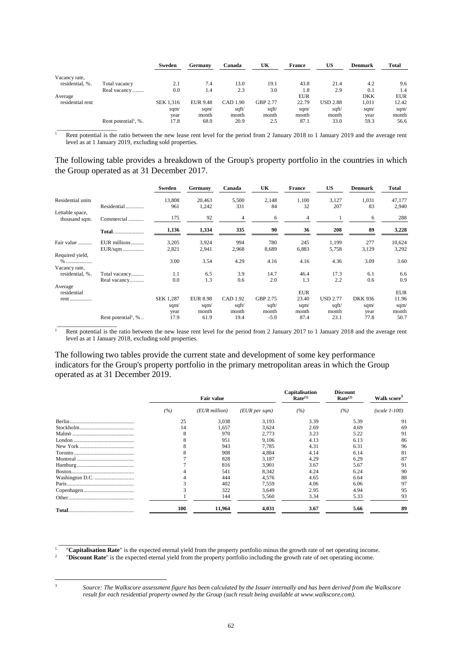|                  |                                     | Sweden    | Germany         | Canada   | UK       | <b>France</b> | <b>US</b>       | <b>Denmark</b> | Total      |
|------------------|-------------------------------------|-----------|-----------------|----------|----------|---------------|-----------------|----------------|------------|
| Vacancy rate,    |                                     |           |                 |          |          |               |                 |                |            |
| residential, %.  | Total vacancy                       | 2.1       | 7.4             | 13.0     | 19.1     | 43.8          | 21.4            | 4.2            | 9.6        |
|                  | Real vacancy                        | 0.0       | 1.4             | 2.3      | 3.0      | 1.8           | 2.9             | 0.1            | 1.4        |
| Average          |                                     |           |                 |          |          | <b>EUR</b>    |                 | <b>DKK</b>     | <b>EUR</b> |
| residential rent |                                     | SEK 1,316 | <b>EUR 9.48</b> | CAD 1.90 | GBP 2.77 | 22.79         | <b>USD 2.88</b> | 1,011          | 12.42      |
|                  |                                     | sqm/      | sgm/            | sqft/    | sqft/    | sqm/          | sqft/           | sqm $\sqrt$    | sqm/       |
|                  |                                     | year      | month           | month    | month    | month         | month           | year           | month      |
|                  | Rent potential <sup>1</sup> , $%$ . | 17.8      | 68.0            | 20.9     | 2.5      | 87.1          | 33.0            | 59.3           | 56.6       |
|                  |                                     |           |                 |          |          |               |                 |                |            |

 Rent potential is the ratio between the new lease rent level for the period from 2 January 2018 to 1 January 2019 and the average rent level as at 1 January 2019, excluding sold properties.

The following table provides a breakdown of the Group's property portfolio in the countries in which the Group operated as at 31 December 2017.

|                                  |                                 | Sweden           | Germany         | Canada   | UK       | <b>France</b> | <b>US</b>       | <b>Denmark</b> | Total       |
|----------------------------------|---------------------------------|------------------|-----------------|----------|----------|---------------|-----------------|----------------|-------------|
| Residential units                |                                 | 13,808           | 20,463          | 5,500    | 2,148    | 1,100         | 3,127           | 1,031          | 47,177      |
|                                  | Residential                     | 961              | 1,242           | 331      | 84       | 32            | 207             | 83             | 2,940       |
| Lettable space,<br>thousand sqm. | Commercial                      | 175              | 92              | 4        | 6        | 4             |                 | 6              | 288         |
|                                  | <b>Total</b>                    | 1,136            | 1,334           | 335      | 90       | 36            | 208             | 89             | 3,228       |
| Fair value                       | EUR millions                    | 3,205            | 3,924           | 994      | 780      | 245           | 1,199           | 277            | 10,624      |
|                                  | EUR/sqm                         | 2,821            | 2,941           | 2,968    | 8,689    | 6,883         | 5,758           | 3,129          | 3,292       |
| Required yield,                  |                                 |                  |                 |          |          |               |                 |                |             |
| $\%$                             |                                 | 3.00             | 3.54            | 4.29     | 4.16     | 4.16          | 4.36            | 3.09           | 3.60        |
| Vacancy rate,                    |                                 |                  |                 |          |          |               |                 |                |             |
| residential, %.                  | Total vacancy                   | 1.1              | 6.5             | 3.9      | 14.7     | 46.4          | 17.3            | 6.1            | 6.6         |
|                                  | Real vacancy                    | 0.0              | 1.3             | 0.6      | 2.0      | 1.3           | 2.2             | 0.6            | 0.9         |
| Average<br>residential           |                                 |                  |                 |          |          | <b>EUR</b>    |                 |                | <b>EUR</b>  |
| rent                             |                                 | <b>SEK 1,287</b> | <b>EUR 8.98</b> | CAD 1.92 | GBP 2.75 | 23.40         | <b>USD 2.77</b> | <b>DKK 936</b> | 11.96       |
|                                  |                                 | sqm/             | sqm $\sqrt$     | sqft/    | sqft/    | sqm/          | sqft/           | sqm/           | sqm $\sqrt$ |
|                                  |                                 | year             | month           | month    | month    | month         | month           | year           | month       |
|                                  | Rent potential <sup>1</sup> , % | 17.9             | 61.9            | 19.4     | $-5.0$   | 87.4          | 23.1            | 77.8           | 50.7        |
|                                  |                                 |                  |                 |          |          |               |                 |                |             |

1 Rent potential is the ratio between the new lease rent level for the period from 2 January 2017 to 1 January 2018 and the average rent level as at 1 January 2018, excluding sold properties.

The following two tables provide the current state and development of some key performance indicators for the Group's property portfolio in the primary metropolitan areas in which the Group operated as at 31 December 2019.

|     | <b>Fair value</b> |               | <b>Capitalisation</b><br>Rate <sup>(1)</sup> | <b>Discount</b><br>Rate <sup>(2)</sup> | Walk score <sup>3</sup> |  |
|-----|-------------------|---------------|----------------------------------------------|----------------------------------------|-------------------------|--|
| (%) | $(EUR$ million)   | (EUR per sqm) | (%)                                          | (%)                                    | $(scale 1-100)$         |  |
| 25  | 3,038             | 3,193         | 3.39                                         | 5.39                                   | 91                      |  |
| 14  | 1.657             | 3.624         | 2.69                                         | 4.69                                   | 69                      |  |
| 8   | 970               | 2.773         | 3.23                                         | 5.22                                   | 91                      |  |
|     | 951               | 9.106         | 4.13                                         | 6.13                                   | 86                      |  |
|     | 943               | 7.785         | 4.31                                         | 6.31                                   | 96                      |  |
|     | 908               | 4.884         | 4.14                                         | 6.14                                   | 81                      |  |
|     | 828               | 3,187         | 4.29                                         | 6.29                                   | 87                      |  |
|     | 816               | 3,901         | 3.67                                         | 5.67                                   | 91                      |  |
|     | 541               | 8,342         | 4.24                                         | 6.24                                   | 90                      |  |
|     | 444               | 4,576         | 4.65                                         | 6.64                                   | 88                      |  |
|     | 402               | 7.559         | 4.06                                         | 6.06                                   | 97                      |  |
|     | 322               | 3,649         | 2.95                                         | 4.94                                   | 95                      |  |
|     | 144               | 5,560         | 3.34                                         | 5.33                                   | 93                      |  |
| 100 | 11,964            | 4,031         | 3.67                                         | 5.66                                   | 89                      |  |

1 "**Capitalisation Rate**" is the expected eternal yield from the property portfolio minus the growth rate of net operating income.  $\overline{\phantom{a}}$ 

"**Discount Rate**" is the expected eternal yield from the property portfolio including the growth rate of net operating income.

 $\overline{\phantom{a}}$  , which is a set of the set of the set of the set of the set of the set of the set of the set of the set of the set of the set of the set of the set of the set of the set of the set of the set of the set of th

1

<sup>3</sup> *Source: The Walkscore assessment figure has been calculated by the Issuer internally and has been derived from the Walkscore result for each residential property owned by the Group (such result being available at www.walkscore.com).*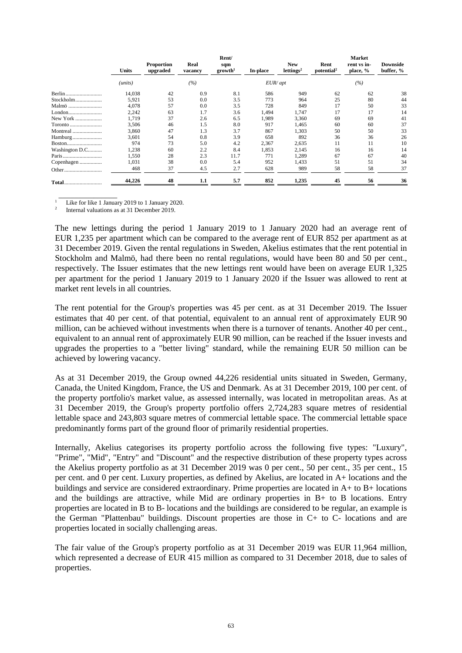|                | <b>Units</b> | <b>Proportion</b><br>upgraded | Real<br>vacancy | Rent/<br>sqm<br>growth <sup>1</sup> | In-place  | <b>New</b><br>lettings <sup>2</sup> | Rent<br>potential <sup>2</sup> | <b>Market</b><br>rent vs in-<br>place, % | <b>Downside</b><br>buffer, % |
|----------------|--------------|-------------------------------|-----------------|-------------------------------------|-----------|-------------------------------------|--------------------------------|------------------------------------------|------------------------------|
|                | (units)      |                               | (%)             |                                     | $EUR$ apt |                                     |                                | (%)                                      |                              |
|                | 14,038       | 42                            | 0.9             | 8.1                                 | 586       | 949                                 | 62                             | 62                                       | 38                           |
| Stockholm      | 5,921        | 53                            | 0.0             | 3.5                                 | 773       | 964                                 | 25                             | 80                                       | 44                           |
| Malmö          | 4,078        | 57                            | 0.0             | 3.5                                 | 728       | 849                                 | 17                             | 50                                       | 33                           |
| London         | 2,242        | 63                            | 1.7             | 3.6                                 | 1,494     | 1,747                               | 17                             | 17                                       | 14                           |
| New York       | 1,719        | 37                            | 2.6             | 6.5                                 | 1,989     | 3,360                               | 69                             | 69                                       | 41                           |
| Toronto        | 3,506        | 46                            | 1.5             | 8.0                                 | 917       | 1,465                               | 60                             | 60                                       | 37                           |
| Montreal       | 3,860        | 47                            | 1.3             | 3.7                                 | 867       | 1,303                               | 50                             | 50                                       | 33                           |
| Hamburg        | 3,601        | 54                            | 0.8             | 3.9                                 | 658       | 892                                 | 36                             | 36                                       | 26                           |
| Boston         | 974          | 73                            | 5.0             | 4.2                                 | 2,367     | 2,635                               | 11                             | 11                                       | 10                           |
| Washington D.C | 1,238        | 60                            | 2.2             | 8.4                                 | 1,853     | 2,145                               | 16                             | 16                                       | 14                           |
| Paris          | 1,550        | 28                            | 2.3             | 11.7                                | 771       | 1,289                               | 67                             | 67                                       | 40                           |
| Copenhagen     | 1,031        | 38                            | 0.0             | 5.4                                 | 952       | 1,433                               | 51                             | 51                                       | 34                           |
|                | 468          | 37                            | 4.5             | 2.7                                 | 628       | 989                                 | 58                             | 58                                       | 37                           |
| Total          | 44,226       | 48                            | 1.1             | 5.7                                 | 852       | 1,235                               | 45                             | 56                                       | 36                           |

 $\overline{\phantom{a}}$  , which is a set of the set of the set of the set of the set of the set of the set of the set of the set of the set of the set of the set of the set of the set of the set of the set of the set of the set of th 1 Like for like 1 January 2019 to 1 January 2020.

2 Internal valuations as at 31 December 2019.

The new lettings during the period 1 January 2019 to 1 January 2020 had an average rent of EUR 1,235 per apartment which can be compared to the average rent of EUR 852 per apartment as at 31 December 2019. Given the rental regulations in Sweden, Akelius estimates that the rent potential in Stockholm and Malmö, had there been no rental regulations, would have been 80 and 50 per cent., respectively. The Issuer estimates that the new lettings rent would have been on average EUR 1,325 per apartment for the period 1 January 2019 to 1 January 2020 if the Issuer was allowed to rent at market rent levels in all countries.

The rent potential for the Group's properties was 45 per cent. as at 31 December 2019. The Issuer estimates that 40 per cent. of that potential, equivalent to an annual rent of approximately EUR 90 million, can be achieved without investments when there is a turnover of tenants. Another 40 per cent., equivalent to an annual rent of approximately EUR 90 million, can be reached if the Issuer invests and upgrades the properties to a "better living" standard, while the remaining EUR 50 million can be achieved by lowering vacancy.

As at 31 December 2019, the Group owned 44,226 residential units situated in Sweden, Germany, Canada, the United Kingdom, France, the US and Denmark. As at 31 December 2019, 100 per cent. of the property portfolio's market value, as assessed internally, was located in metropolitan areas. As at 31 December 2019, the Group's property portfolio offers 2,724,283 square metres of residential lettable space and 243,803 square metres of commercial lettable space. The commercial lettable space predominantly forms part of the ground floor of primarily residential properties.

Internally, Akelius categorises its property portfolio across the following five types: "Luxury", "Prime", "Mid", "Entry" and "Discount" and the respective distribution of these property types across the Akelius property portfolio as at 31 December 2019 was 0 per cent., 50 per cent., 35 per cent., 15 per cent. and 0 per cent. Luxury properties, as defined by Akelius, are located in A+ locations and the buildings and service are considered extraordinary. Prime properties are located in A+ to B+ locations and the buildings are attractive, while Mid are ordinary properties in  $B$ + to B locations. Entry properties are located in B to B- locations and the buildings are considered to be regular, an example is the German "Plattenbau" buildings. Discount properties are those in C+ to C- locations and are properties located in socially challenging areas.

The fair value of the Group's property portfolio as at 31 December 2019 was EUR 11,964 million, which represented a decrease of EUR 415 million as compared to 31 December 2018, due to sales of properties.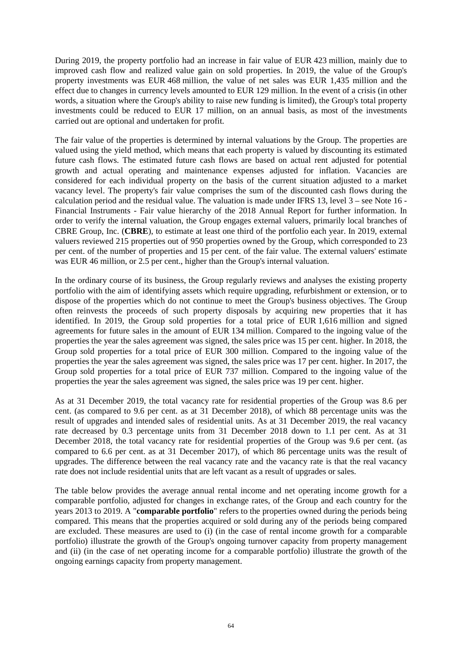During 2019, the property portfolio had an increase in fair value of EUR 423 million, mainly due to improved cash flow and realized value gain on sold properties. In 2019, the value of the Group's property investments was EUR 468 million, the value of net sales was EUR 1,435 million and the effect due to changes in currency levels amounted to EUR 129 million. In the event of a crisis (in other words, a situation where the Group's ability to raise new funding is limited), the Group's total property investments could be reduced to EUR 17 million, on an annual basis, as most of the investments carried out are optional and undertaken for profit.

The fair value of the properties is determined by internal valuations by the Group. The properties are valued using the yield method, which means that each property is valued by discounting its estimated future cash flows. The estimated future cash flows are based on actual rent adjusted for potential growth and actual operating and maintenance expenses adjusted for inflation. Vacancies are considered for each individual property on the basis of the current situation adjusted to a market vacancy level. The property's fair value comprises the sum of the discounted cash flows during the calculation period and the residual value. The valuation is made under IFRS 13, level 3 – see Note 16 - Financial Instruments - Fair value hierarchy of the 2018 Annual Report for further information. In order to verify the internal valuation, the Group engages external valuers, primarily local branches of CBRE Group, Inc. (**CBRE**), to estimate at least one third of the portfolio each year. In 2019, external valuers reviewed 215 properties out of 950 properties owned by the Group, which corresponded to 23 per cent. of the number of properties and 15 per cent. of the fair value. The external valuers' estimate was EUR 46 million, or 2.5 per cent., higher than the Group's internal valuation.

In the ordinary course of its business, the Group regularly reviews and analyses the existing property portfolio with the aim of identifying assets which require upgrading, refurbishment or extension, or to dispose of the properties which do not continue to meet the Group's business objectives. The Group often reinvests the proceeds of such property disposals by acquiring new properties that it has identified. In 2019, the Group sold properties for a total price of EUR 1,616 million and signed agreements for future sales in the amount of EUR 134 million. Compared to the ingoing value of the properties the year the sales agreement was signed, the sales price was 15 per cent. higher. In 2018, the Group sold properties for a total price of EUR 300 million. Compared to the ingoing value of the properties the year the sales agreement was signed, the sales price was 17 per cent. higher. In 2017, the Group sold properties for a total price of EUR 737 million. Compared to the ingoing value of the properties the year the sales agreement was signed, the sales price was 19 per cent. higher.

As at 31 December 2019, the total vacancy rate for residential properties of the Group was 8.6 per cent. (as compared to 9.6 per cent. as at 31 December 2018), of which 88 percentage units was the result of upgrades and intended sales of residential units. As at 31 December 2019, the real vacancy rate decreased by 0.3 percentage units from 31 December 2018 down to 1.1 per cent. As at 31 December 2018, the total vacancy rate for residential properties of the Group was 9.6 per cent. (as compared to 6.6 per cent. as at 31 December 2017), of which 86 percentage units was the result of upgrades. The difference between the real vacancy rate and the vacancy rate is that the real vacancy rate does not include residential units that are left vacant as a result of upgrades or sales.

The table below provides the average annual rental income and net operating income growth for a comparable portfolio, adjusted for changes in exchange rates, of the Group and each country for the years 2013 to 2019. A "**comparable portfolio**" refers to the properties owned during the periods being compared. This means that the properties acquired or sold during any of the periods being compared are excluded. These measures are used to (i) (in the case of rental income growth for a comparable portfolio) illustrate the growth of the Group's ongoing turnover capacity from property management and (ii) (in the case of net operating income for a comparable portfolio) illustrate the growth of the ongoing earnings capacity from property management.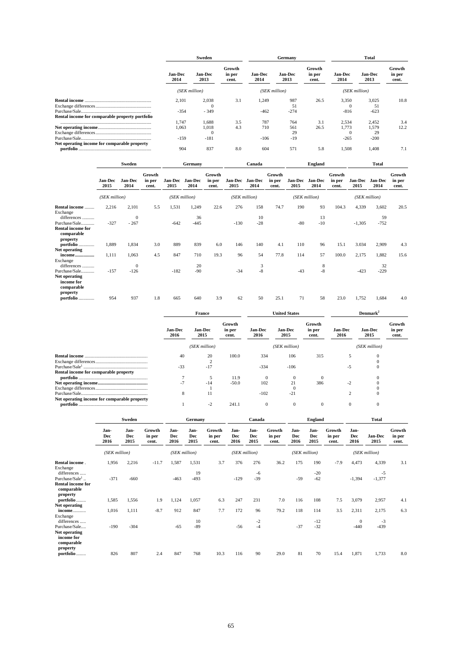|                                                 | Sweden                 |                        |                           |                        | Germany                |                           | <b>Total</b>           |                        |                           |  |
|-------------------------------------------------|------------------------|------------------------|---------------------------|------------------------|------------------------|---------------------------|------------------------|------------------------|---------------------------|--|
|                                                 | <b>Jan-Dec</b><br>2014 | <b>Jan-Dec</b><br>2013 | Growth<br>in per<br>cent. | <b>Jan-Dec</b><br>2014 | <b>Jan-Dec</b><br>2013 | Growth<br>in per<br>cent. | <b>Jan-Dec</b><br>2014 | <b>Jan-Dec</b><br>2013 | Growth<br>in per<br>cent. |  |
|                                                 | (SEK million)          |                        |                           |                        | (SEK million)          | (SEK million)             |                        |                        |                           |  |
|                                                 | 2,101                  | 2,038                  | 3.1                       | 1,249                  | 987                    | 26.5                      | 3,350                  | 3,025                  | 10.8                      |  |
|                                                 |                        |                        |                           |                        | 51                     |                           | $\Omega$               | 51                     |                           |  |
|                                                 | $-354$                 | $-349$                 |                           | $-462$                 | $-274$                 |                           | $-816$                 | $-623$                 |                           |  |
| Rental income for comparable property portfolio |                        |                        |                           |                        |                        |                           |                        |                        |                           |  |
|                                                 | 1.747                  | 1.688                  | 3.5                       | 787                    | 764                    | 3.1                       | 2,534                  | 2,452                  | 3.4                       |  |
|                                                 | 1.063                  | 1,018                  | 4.3                       | 710                    | 561                    | 26.5                      | 1.773                  | 1,579                  | 12.2                      |  |
|                                                 |                        |                        |                           |                        | 29                     |                           |                        | 29                     |                           |  |
|                                                 | $-159$                 | $-181$                 |                           | $-106$                 | $-19$                  |                           | $-265$                 | $-200$                 |                           |  |
| Net operating income for comparable property    |                        |                        |                           |                        |                        |                           |                        |                        |                           |  |
|                                                 | 904                    | 837                    | 8.0                       | 604                    | 571                    | 5.8                       | 1,508                  | 1.408                  | 7.1                       |  |

|                                                                        | Sweden<br>Germany      |                       |                           |                 | Canada          |                           | <b>England</b>         |                 |                           | <b>Total</b>           |                 |                           |                        |                        |                           |
|------------------------------------------------------------------------|------------------------|-----------------------|---------------------------|-----------------|-----------------|---------------------------|------------------------|-----------------|---------------------------|------------------------|-----------------|---------------------------|------------------------|------------------------|---------------------------|
|                                                                        | <b>Jan-Dec</b><br>2015 | Jan-Dec<br>2014       | Growth<br>in per<br>cent. | Jan-Dec<br>2015 | Jan-Dec<br>2014 | Growth<br>in per<br>cent. | <b>Jan-Dec</b><br>2015 | Jan-Dec<br>2014 | Growth<br>in per<br>cent. | <b>Jan-Dec</b><br>2015 | Jan-Dec<br>2014 | Growth<br>in per<br>cent. | <b>Jan-Dec</b><br>2015 | <b>Jan-Dec</b><br>2014 | Growth<br>in per<br>cent. |
|                                                                        | (SEK million)          |                       |                           |                 | (SEK million)   |                           |                        | (SEK million)   |                           |                        | (SEK million)   |                           |                        | (SEK million)          |                           |
| Rental income<br>Exchange<br>differences                               | 2,216                  | 2,101<br>$\mathbf{0}$ | 5.5                       | 1,531           | 1,249<br>36     | 22.6                      | 276                    | 158<br>10       | 74.7                      | 190                    | 93<br>13        | 104.3                     | 4,339                  | 3,602<br>59            | 20.5                      |
| Purchase/Sale<br><b>Rental income for</b><br>comparable<br>property    | $-327$                 | $-267$                |                           | $-642$          | $-445$          |                           | $-130$                 | $-28$           |                           | $-80$                  | $-10$           |                           | $-1,305$               | $-752$                 |                           |
| portfolio                                                              | 1,889                  | 1,834                 | 3.0                       | 889             | 839             | 6.0                       | 146                    | 140             | 4.1                       | 110                    | 96              | 15.1                      | 3.034                  | 2,909                  | 4.3                       |
| Net operating<br>income<br>Exchange<br>differences                     | 1,111                  | 1,063<br>$\mathbf{0}$ | 4.5                       | 847             | 710<br>20       | 19.3                      | 96                     | 54<br>3         | 77.8                      | 114                    | 57<br>8         | 100.0                     | 2,175                  | 1,882<br>32            | 15.6                      |
| Purchase/Sale<br>Net operating<br>income for<br>comparable<br>property | $-157$                 | $-126$                |                           | $-182$          | $-90$           |                           | $-34$                  | $-8$            |                           | $-43$                  | $-8$            |                           | $-423$                 | $-229$                 |                           |
| portfolio                                                              | 954                    | 937                   | 1.8                       | 665             | 640             | 3.9                       | 62                     | 50              | 25.1                      | 71                     | 58              | 23.0                      | 1.752                  | 1.684                  | 4.0                       |

|                                              | France                 |                        |                           |                        | <b>United States</b>   |                           | Demmark <sup>2</sup>   |                        |                           |  |
|----------------------------------------------|------------------------|------------------------|---------------------------|------------------------|------------------------|---------------------------|------------------------|------------------------|---------------------------|--|
|                                              | <b>Jan-Dec</b><br>2016 | <b>Jan-Dec</b><br>2015 | Growth<br>in per<br>cent. | <b>Jan-Dec</b><br>2016 | <b>Jan-Dec</b><br>2015 | Growth<br>in per<br>cent. | <b>Jan-Dec</b><br>2016 | <b>Jan-Dec</b><br>2015 | Growth<br>in per<br>cent. |  |
|                                              |                        | (SEK million)          |                           |                        | (SEK million)          |                           |                        | (SEK million)          |                           |  |
|                                              | 40                     | 20                     | 100.0                     | 334                    | 106                    | 315                       |                        |                        |                           |  |
|                                              |                        |                        |                           |                        |                        |                           |                        |                        |                           |  |
|                                              | $-33$                  | $-17$                  |                           | $-334$                 | $-106$                 |                           | $-5$                   |                        |                           |  |
| Rental income for comparable property        |                        |                        |                           |                        |                        |                           |                        |                        |                           |  |
|                                              |                        |                        | 11.9                      |                        | $\Omega$               |                           |                        |                        |                           |  |
|                                              | $-7$                   | $-14$                  | $-50.0$                   | 102                    | 21                     | 386                       | $-2$                   |                        |                           |  |
|                                              |                        |                        |                           |                        |                        |                           |                        |                        |                           |  |
|                                              | 8                      |                        |                           | $-102$                 | $-21$                  |                           | ◠                      |                        |                           |  |
| Net operating income for comparable property |                        |                        |                           |                        |                        |                           |                        |                        |                           |  |
|                                              |                        | $-2$                   | 241.1                     | $\Omega$               | $\Omega$               | $\Omega$                  | $\Omega$               |                        |                           |  |

|                                                                                  | Sweden              |                     | Germany                   | Canada                     |                     |                           | <b>England</b>      |                     |                           | <b>Total</b>        |                            |                           |                            |                 |                           |
|----------------------------------------------------------------------------------|---------------------|---------------------|---------------------------|----------------------------|---------------------|---------------------------|---------------------|---------------------|---------------------------|---------------------|----------------------------|---------------------------|----------------------------|-----------------|---------------------------|
|                                                                                  | Jan-<br>Dec<br>2016 | Jan-<br>Dec<br>2015 | Growth<br>in per<br>cent. | Jan-<br><b>Dec</b><br>2016 | Jan-<br>Dec<br>2015 | Growth<br>in per<br>cent. | Jan-<br>Dec<br>2016 | Jan-<br>Dec<br>2015 | Growth<br>in per<br>cent. | Jan-<br>Dec<br>2016 | Jan-<br><b>Dec</b><br>2015 | Growth<br>in per<br>cent. | Jan-<br><b>Dec</b><br>2016 | Jan-Dec<br>2015 | Growth<br>in per<br>cent. |
|                                                                                  | (SEK million)       |                     |                           | (SEK million)              |                     |                           | (SEK million)       |                     |                           |                     | (SEK million)              |                           |                            | (SEK million)   |                           |
| Rental income.<br>Exchange<br>differences                                        | 1,956               | 2,216               | $-11.7$                   | 1,587                      | 1,531<br>19         | 3.7                       | 376                 | 276<br>-6           | 36.2                      | 175                 | 190<br>$-20$               | $-7.9$                    | 4,473                      | 4,339<br>$-5$   | 3.1                       |
| Purchase/Sale <sup>1</sup><br><b>Rental income for</b><br>comparable<br>property | $-371$              | $-660$              |                           | $-463$                     | $-493$              |                           | $-129$              | $-39$               |                           | $-59$               | $-62$                      |                           | $-1,394$                   | $-1,377$        |                           |
| portfolio<br>Net operating                                                       | 1,585               | 1,556               | 1.9                       | 1,124                      | 1,057               | 6.3                       | 247                 | 231                 | 7.0                       | 116                 | 108                        | 7.5                       | 3,079                      | 2,957           | 4.1                       |
| income<br>Exchange                                                               | 1,016               | 1,111               | $-8.7$                    | 912                        | 847                 | 7.7                       | 172                 | 96                  | 79.2                      | 118                 | 114                        | 3.5                       | 2,311                      | 2,175           | 6.3                       |
| differences<br>Purchase/Sale<br>Net operating<br>income for<br>comparable        | $-190$              | $-304$              |                           | $-65$                      | 10<br>$-89$         |                           | $-56$               | $-2$<br>$-4$        |                           | $-37$               | $-12$<br>$-32$             |                           | $\theta$<br>$-440$         | $-3$<br>$-439$  |                           |
| property<br>portfolio                                                            | 826                 | 807                 | 2.4                       | 847                        | 768                 | 10.3                      | 116                 | 90                  | 29.0                      | 81                  | 70                         | 15.4                      | 1,871                      | 1,733           | 8.0                       |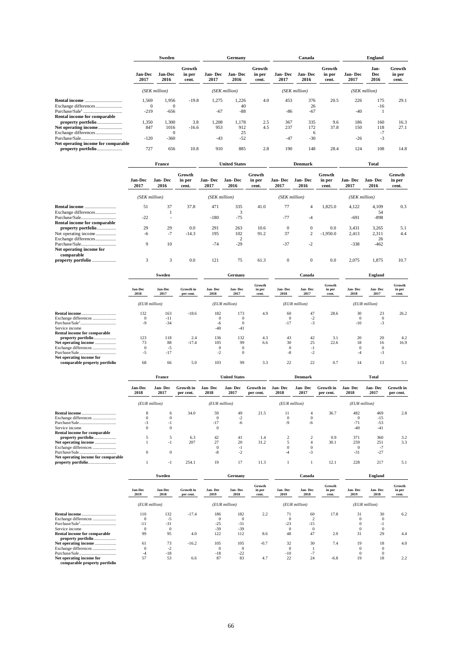|                                                                                                           | Sweden                      |                         |                           | Germany               |                             | Canada                    |                        |                          | <b>England</b>            |                     |                           |                           |
|-----------------------------------------------------------------------------------------------------------|-----------------------------|-------------------------|---------------------------|-----------------------|-----------------------------|---------------------------|------------------------|--------------------------|---------------------------|---------------------|---------------------------|---------------------------|
|                                                                                                           | <b>Jan-Dec</b><br>2017      | <b>Jan-Dec</b><br>2016  | Growth<br>in per<br>cent. | Jan-Dec<br>2017       | <b>Jan-Dec</b><br>2016      | Growth<br>in per<br>cent. | <b>Jan-Dec</b><br>2017 | Jan-Dec<br>2016          | Growth<br>in per<br>cent. | Jan-Dec<br>2017     | Jan-<br>Dec<br>2016       | Growth<br>in per<br>cent. |
|                                                                                                           | (SEK million)               |                         |                           | (SEK million)         |                             |                           |                        | (SEK million)            |                           | (SEK million)       |                           |                           |
| Exchange differences<br>Rental income for comparable                                                      | 1,569<br>$\Omega$<br>$-219$ | 1.956<br>$-656$         | $-19.8$                   | 1.275<br>$-67$        | 1.226<br>40<br>$-88$        | 4.0                       | 453<br>$-86$           | 376<br>26<br>$-67$       | 20.5                      | 226<br>$-40$        | 175<br>$-16$              | 29.1                      |
| property portfolio<br>Net operating income<br>Exchange differences<br>Net operating income for comparable | 1,350<br>847<br>$-120$      | 1,300<br>1016<br>$-360$ | 3.8<br>$-16.6$            | 1,208<br>953<br>$-43$ | 1.178<br>912<br>25<br>$-52$ | 2.5<br>4.5                | 367<br>237<br>$-47$    | 335<br>172<br>6<br>$-30$ | 9.6<br>37.8               | 186<br>150<br>$-26$ | 160<br>118<br>- 1<br>$-3$ | 16.3<br>27.1              |
| property portfolio                                                                                        | 727                         | 656                     | 10.8                      | 910                   | 885                         | 2.8                       | 190                    | 148                      | 28.4                      | 124                 | 108                       | 14.8                      |

|                                                         | France          |                 | <b>United States</b>          |                 | <b>Denmark</b>        |                           |                 | <b>Total</b>    |                           |                 |                 |                           |
|---------------------------------------------------------|-----------------|-----------------|-------------------------------|-----------------|-----------------------|---------------------------|-----------------|-----------------|---------------------------|-----------------|-----------------|---------------------------|
|                                                         | Jan-Dec<br>2017 | Jan-Dec<br>2016 | Growth<br>in per<br>cent.     | Jan-Dec<br>2017 | Jan-Dec<br>2016       | Growth<br>in per<br>cent. | Jan-Dec<br>2017 | Jan-Dec<br>2016 | Growth<br>in per<br>cent. | Jan-Dec<br>2017 | Jan-Dec<br>2016 | Growth<br>in per<br>cent. |
|                                                         |                 | (SEK million)   |                               |                 | (SEK million)         |                           |                 | (SEK million)   |                           |                 | (SEK million)   |                           |
| Rental income<br>Exchange differences                   | 51              | 37              | 37.8                          | 471             | 335<br>3              | 41.0                      | 77              | $\overline{4}$  | 1,825.0                   | 4,122           | 4,109<br>54     | 0.3                       |
| Purchase/Sale<br><b>Rental income for comparable</b>    | $-22$           |                 |                               | $-180$          | $-75$                 |                           | $-77$           | $-4$            |                           | $-691$          | $-898$          |                           |
| property portfolio                                      | 29              | 29              | 0.0                           | 291             | 263                   | 10.6                      | $\mathbf{0}$    | $\mathbf{0}$    | 0.0                       | 3,431           | 3,265           | 5.1                       |
| Net operating income<br>Exchange differences            | $-6$            | $-7$            | $-14.3$                       | 195             | 102<br>$\overline{2}$ | 91.2                      | 37              | 2               | $-1,950.0$                | 2,413           | 2,311<br>26     | 4.4                       |
| Purchase/Sale<br>Net operating income for<br>comparable | 9               | 10              |                               | $-74$           | $-29$                 |                           | $-37$           | $-2$            |                           | $-338$          | $-462$          |                           |
| property portfolio                                      | 3               | 3               | 0.0                           | 121             | 75                    | 61.3                      | $\mathbf{0}$    | $\mathbf{0}$    | 0.0                       | 2,075           | 1,875           | 10.7                      |
|                                                         |                 | Sweden          |                               |                 | Germany               |                           |                 | Canada          |                           |                 | <b>England</b>  |                           |
|                                                         | Jan-Dec<br>2018 | Jan-Dec<br>2017 | <b>Growth</b> in<br>per cent. | Jan-Dec<br>2018 | Jan-Dec<br>2017       | Growth<br>in per<br>cent. | Jan-Dec<br>2018 | Jan-Dec<br>2017 | Growth<br>in per<br>cent. | Jan-Dec<br>2018 | Jan-Dec<br>2017 | Growth<br>in per<br>cent. |

|                               | 2018          | 2017  | per cent. | 2018            | 2017  | cent. | 2018          | 2017 | cent. | 2018          | 2017     | cent. |
|-------------------------------|---------------|-------|-----------|-----------------|-------|-------|---------------|------|-------|---------------|----------|-------|
|                               | (EUR million) |       |           | $(EUR$ million) |       |       | (EUR million) |      |       | (EUR million) |          |       |
|                               | 132           | 163   | $-18.6$   | 182             | 173   | 4.9   | 60            | 47   | 28.6  | 30            | 23       | 26.2  |
| Exchange differences          | $\Omega$      | $-11$ |           | $\Omega$        |       |       |               | -2   |       |               |          |       |
|                               | $-9$          | $-34$ |           | -6              |       |       | $-17$         | -3   |       | $-10$         | $-3$     |       |
| Service income                |               |       |           | $-40$           | $-41$ |       |               |      |       |               |          |       |
| Rental income for comparable  |               |       |           |                 |       |       |               |      |       |               |          |       |
| property portfolio            | 123           | 118   | 2.4       | 136             | 132   | 4.3   | 43            | 42   | 3.1   | 20            | 20       |       |
| Net operating income          | 73            | 88    | $-17.4$   | 105             | 99    | 6.6   | 30            | 25   | 22.6  | 18            | 16       | 16.9  |
| Exchange differences          |               | $-5$  |           |                 |       |       |               | ÷.   |       |               | $\Omega$ |       |
|                               | -5            | $-17$ |           | -2              |       |       | -8            | -2   |       |               | $-3$     |       |
| Net operating income for      |               |       |           |                 |       |       |               |      |       |               |          |       |
| comparable property portfolio | 68            | 66    | 5.0       | 103             | 99    | 3.3   | າາ            | າາ   | 0.7   | 14            | 13       | 5.1   |

|                                     | France                 |                 |                        | <b>United States</b> |                        | <b>Denmark</b>         |                  |                 | Total                  |                        |                 |                               |
|-------------------------------------|------------------------|-----------------|------------------------|----------------------|------------------------|------------------------|------------------|-----------------|------------------------|------------------------|-----------------|-------------------------------|
|                                     | <b>Jan-Dec</b><br>2018 | Jan-Dec<br>2017 | Growth in<br>per cent. | Jan-Dec<br>2018      | <b>Jan-Dec</b><br>2017 | Growth in<br>per cent. | Jan- Dec<br>2018 | Jan-Dec<br>2017 | Growth in<br>per cent. | <b>Jan-Dec</b><br>2018 | Jan-Dec<br>2017 | <b>Growth</b> in<br>per cent. |
|                                     |                        | (EUR million)   |                        | (EUR million)        |                        |                        | $(EUR$ million)  |                 |                        | (EUR million)          |                 |                               |
|                                     | 8                      | 6               | 34.0                   | 59                   | 49                     | 21.5                   | 11               | 4               | 36.7                   | 482                    | 469             | 2.8                           |
| Exchange differences                |                        | $\Omega$        |                        | $\Omega$             | $-2$                   |                        |                  |                 |                        | 0                      | $-15$           |                               |
|                                     |                        |                 |                        | $-17$                | -6                     |                        | -9               | -6              |                        | $-71$                  | $-53$           |                               |
| Service income                      | $\Omega$               | $\mathbf{0}$    |                        | $\mathbf{0}$         |                        |                        |                  |                 |                        | $-40$                  | $-41$           |                               |
| Rental income for comparable        |                        |                 |                        |                      |                        |                        |                  |                 |                        |                        |                 |                               |
| property portfolio                  |                        |                 | 6.3                    | 42                   | 41                     | 1.4                    |                  |                 | 0.9                    | 371                    | 360             | 3.2                           |
| Net operating income                |                        | $-1$            | 207                    | 27                   | 20                     | 31.2                   |                  |                 | 30.1                   | 259                    | 251             | 3.3                           |
| Exchange differences                |                        |                 |                        | $\Omega$             | ÷.                     |                        |                  |                 |                        | $\Omega$               | $\sim$ 1        |                               |
|                                     | $\Omega$               | $\mathbf{0}$    |                        | $-8$                 | $-2$                   |                        | -4               | $-3$            |                        | $-31$                  | $-27$           |                               |
| Net operating income for comparable |                        |                 |                        |                      |                        |                        |                  |                 |                        |                        |                 |                               |
| property portfolio                  |                        | -1              | 254.1                  | 19                   | 17                     | 11.3                   |                  |                 | 12.1                   | 228                    | 217             | 5.1                           |

|                               | Sweden          |                        |                               |                 | Germany         |                           |                 | Canada          |                           | <b>England</b>  |                 |                           |
|-------------------------------|-----------------|------------------------|-------------------------------|-----------------|-----------------|---------------------------|-----------------|-----------------|---------------------------|-----------------|-----------------|---------------------------|
|                               | Jan-Dec<br>2019 | <b>Jan-Dec</b><br>2018 | <b>Growth</b> in<br>per cent. | Jan-Dec<br>2019 | Jan-Dec<br>2018 | Growth<br>in per<br>cent. | Jan-Dec<br>2019 | Jan-Dec<br>2018 | Growth<br>in per<br>cent. | Jan-Dec<br>2019 | Jan-Dec<br>2018 | Growth<br>in per<br>cent. |
|                               | (EUR million)   |                        |                               | (EUR million)   |                 |                           |                 | (EUR million)   |                           | $(EUR$ million) |                 |                           |
| <b>Rental income</b>          | 110             | 132                    | $-17.4$                       | 186             | 182             | 2.2                       | 71              | 60              | 17.8                      | 31              | 30              | 6.2                       |
| Exchange differences          | $\Omega$        | -5                     |                               |                 | $\Omega$        |                           |                 |                 |                           |                 |                 |                           |
| Purchase/Sale <sup>1</sup>    | $-11$           | $-31$                  |                               | $-25$           | $-31$           |                           | $-23$           | $-15$           |                           |                 | - 1             |                           |
| Service income                | $\Omega$        | $\Omega$               |                               | $-39$           | $-39$           |                           |                 |                 |                           |                 | $\Omega$        |                           |
| Rental income for comparable  | 99              | 95                     | 4.0                           | 122             | 112             | 8.6                       | 48              | 47              | 2.0                       | 31              | 29              | 4.4                       |
| property portfolio            |                 |                        |                               |                 |                 |                           |                 |                 |                           |                 |                 |                           |
| Net operating income          | 61              | 73                     | $-16.2$                       | 105             | 105             | $-0.7$                    | 32              | 30              | 7.4                       | 19              | 18              | 4.0                       |
| Exchange differences          | $\Omega$        | $-2$                   |                               | $\Omega$        | $\Omega$        |                           |                 |                 |                           |                 | $\Omega$        |                           |
| Purchase/Sale                 |                 | $-18$                  |                               | $-18$           | $-22$           |                           | $-10$           | $-7$            |                           |                 | $\Omega$        |                           |
| Net operating income for      | 57              | 53                     | 6.6                           | 87              | 83              | 4.7                       | 22              | 24              | $-6.8$                    | 19              | 18              | 2.2                       |
| comparable property portfolio |                 |                        |                               |                 |                 |                           |                 |                 |                           |                 |                 |                           |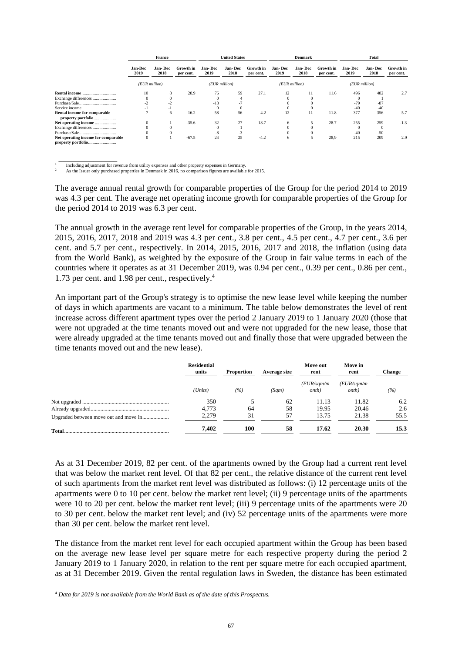|                                     | <b>France</b>          |                  | <b>United States</b>   |                 | <b>Denmark</b>  |                        |                 | Total           |                        |                  |                 |                        |
|-------------------------------------|------------------------|------------------|------------------------|-----------------|-----------------|------------------------|-----------------|-----------------|------------------------|------------------|-----------------|------------------------|
|                                     | <b>Jan-Dec</b><br>2019 | Jan- Dec<br>2018 | Growth in<br>per cent. | Jan-Dec<br>2019 | Jan-Dec<br>2018 | Growth in<br>per cent. | Jan-Dec<br>2019 | Jan-Dec<br>2018 | Growth in<br>per cent. | Jan- Dec<br>2019 | Jan-Dec<br>2018 | Growth in<br>per cent. |
|                                     | (EUR million)          |                  | (EUR million)          |                 |                 | $(EUR$ million)        |                 | (EUR million)   |                        |                  |                 |                        |
| <b>Rental income</b>                | 10                     | 8                | 28.9                   | 76              | 59              | 27.1                   | 12              | 11              | 11.6                   | 496              | 482             | 2.7                    |
| Exchange differences                |                        |                  |                        |                 |                 |                        |                 |                 |                        |                  |                 |                        |
| Purchase/Sale                       |                        |                  |                        | $-18$           |                 |                        |                 |                 |                        | $-79$            | $-87$           |                        |
| Service income                      |                        | - 1              |                        | $\Omega$        |                 |                        |                 |                 |                        | $-40$            | $-40$           |                        |
| Rental income for comparable        |                        | 6                | 16.2                   | 58              | 56              | 4.2                    | 12              | 11              | 11.8                   | 377              | 356             | 5.7                    |
| property portfolio                  |                        |                  |                        |                 |                 |                        |                 |                 |                        |                  |                 |                        |
| Net operating income                | $\Omega$               |                  | $-35.6$                | 32              | 27              | 18.7                   | 6               |                 | 28.7                   | 255              | 259             | $-1.3$                 |
| Exchange differences                |                        |                  |                        | $\Omega$        |                 |                        |                 |                 |                        | $\Omega$         |                 |                        |
| Purchase/Sale                       |                        |                  |                        | -8              | -3              |                        |                 |                 |                        | $-40$            | $-50$           |                        |
| Net operating income for comparable | $^{0}$                 |                  | $-67.5$                | 24              | 25              | $-4.2$                 | 6               |                 | 28,9                   | 215              | 209             | 2.9                    |
| property portfolio                  |                        |                  |                        |                 |                 |                        |                 |                 |                        |                  |                 |                        |

 $\overline{\phantom{a}}$   $\overline{\phantom{a}}$   $\overline{\phantom{a}}$   $\overline{\phantom{a}}$   $\overline{\phantom{a}}$   $\overline{\phantom{a}}$   $\overline{\phantom{a}}$   $\overline{\phantom{a}}$   $\overline{\phantom{a}}$   $\overline{\phantom{a}}$   $\overline{\phantom{a}}$   $\overline{\phantom{a}}$   $\overline{\phantom{a}}$   $\overline{\phantom{a}}$   $\overline{\phantom{a}}$   $\overline{\phantom{a}}$   $\overline{\phantom{a}}$   $\overline{\phantom{a}}$   $\overline{\$ 1 Including adjustment for revenue from utility expenses and other property expenses in Germany.

<sup>2</sup> As the Issuer only purchased properties in Denmark in 2016, no comparison figures are available for 2015.

The average annual rental growth for comparable properties of the Group for the period 2014 to 2019 was 4.3 per cent. The average net operating income growth for comparable properties of the Group for the period 2014 to 2019 was 6.3 per cent.

The annual growth in the average rent level for comparable properties of the Group, in the years 2014, 2015, 2016, 2017, 2018 and 2019 was 4.3 per cent., 3.8 per cent., 4.5 per cent., 4.7 per cent., 3.6 per cent. and 5.7 per cent., respectively. In 2014, 2015, 2016, 2017 and 2018, the inflation (using data from the World Bank), as weighted by the exposure of the Group in fair value terms in each of the countries where it operates as at 31 December 2019, was 0.94 per cent., 0.39 per cent., 0.86 per cent., 1.73 per cent. and 1.98 per cent., respectively.<sup>4</sup>

An important part of the Group's strategy is to optimise the new lease level while keeping the number of days in which apartments are vacant to a minimum. The table below demonstrates the level of rent increase across different apartment types over the period 2 January 2019 to 1 January 2020 (those that were not upgraded at the time tenants moved out and were not upgraded for the new lease, those that were already upgraded at the time tenants moved out and finally those that were upgraded between the time tenants moved out and the new lease).

| <b>Residential</b><br>units | <b>Proportion</b> | Average size | Move out<br>rent            | Move in<br>rent              | <b>Change</b> |
|-----------------------------|-------------------|--------------|-----------------------------|------------------------------|---------------|
| (Units)                     | (%)               | (Sqm)        | (EUR/sqm/m<br><i>onth</i> ) | (EUR/sqm/m)<br><i>onth</i> ) | (%)           |
| 350                         |                   | 62           | 11.13                       | 11.82                        | 6.2           |
| 4.773                       | -64               | 58           | 19.95                       | 20.46                        | 2.6           |
| 2.279                       | 31                | 57           | 13.75                       | 21.38                        | 55.5          |
| 7.402                       | 100               | 58           | 17.62                       | 20.30                        | 15.3          |

As at 31 December 2019, 82 per cent. of the apartments owned by the Group had a current rent level that was below the market rent level. Of that 82 per cent., the relative distance of the current rent level of such apartments from the market rent level was distributed as follows: (i) 12 percentage units of the apartments were 0 to 10 per cent. below the market rent level; (ii) 9 percentage units of the apartments were 10 to 20 per cent. below the market rent level; (iii) 9 percentage units of the apartments were 20 to 30 per cent. below the market rent level; and (iv) 52 percentage units of the apartments were more than 30 per cent. below the market rent level.

The distance from the market rent level for each occupied apartment within the Group has been based on the average new lease level per square metre for each respective property during the period 2 January 2019 to 1 January 2020, in relation to the rent per square metre for each occupied apartment, as at 31 December 2019. Given the rental regulation laws in Sweden, the distance has been estimated

<sup>4</sup> *Data for 2019 is not available from the World Bank as of the date of this Prospectus.*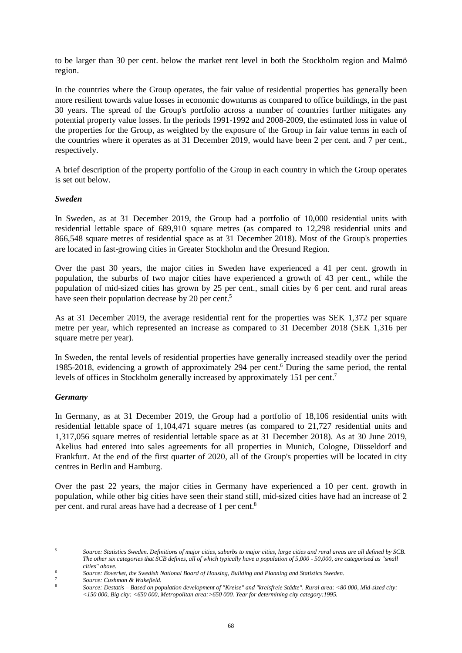to be larger than 30 per cent. below the market rent level in both the Stockholm region and Malmö region.

In the countries where the Group operates, the fair value of residential properties has generally been more resilient towards value losses in economic downturns as compared to office buildings, in the past 30 years. The spread of the Group's portfolio across a number of countries further mitigates any potential property value losses. In the periods 1991-1992 and 2008-2009, the estimated loss in value of the properties for the Group, as weighted by the exposure of the Group in fair value terms in each of the countries where it operates as at 31 December 2019, would have been 2 per cent. and 7 per cent., respectively.

A brief description of the property portfolio of the Group in each country in which the Group operates is set out below.

## *Sweden*

In Sweden, as at 31 December 2019, the Group had a portfolio of 10,000 residential units with residential lettable space of 689,910 square metres (as compared to 12,298 residential units and 866,548 square metres of residential space as at 31 December 2018). Most of the Group's properties are located in fast-growing cities in Greater Stockholm and the Öresund Region.

Over the past 30 years, the major cities in Sweden have experienced a 41 per cent. growth in population, the suburbs of two major cities have experienced a growth of 43 per cent., while the population of mid-sized cities has grown by 25 per cent., small cities by 6 per cent. and rural areas have seen their population decrease by 20 per cent.<sup>5</sup>

As at 31 December 2019, the average residential rent for the properties was SEK 1,372 per square metre per year, which represented an increase as compared to 31 December 2018 (SEK 1,316 per square metre per year).

In Sweden, the rental levels of residential properties have generally increased steadily over the period 1985-2018, evidencing a growth of approximately 294 per cent.<sup>6</sup> During the same period, the rental levels of offices in Stockholm generally increased by approximately 151 per cent.<sup>7</sup>

## *Germany*

In Germany, as at 31 December 2019, the Group had a portfolio of 18,106 residential units with residential lettable space of 1,104,471 square metres (as compared to 21,727 residential units and 1,317,056 square metres of residential lettable space as at 31 December 2018). As at 30 June 2019, Akelius had entered into sales agreements for all properties in Munich, Cologne, Düsseldorf and Frankfurt. At the end of the first quarter of 2020, all of the Group's properties will be located in city centres in Berlin and Hamburg.

Over the past 22 years, the major cities in Germany have experienced a 10 per cent. growth in population, while other big cities have seen their stand still, mid-sized cities have had an increase of 2 per cent. and rural areas have had a decrease of 1 per cent.<sup>8</sup>

<sup>5</sup> *Source: Statistics Sweden. Definitions of major cities, suburbs to major cities, large cities and rural areas are all defined by SCB. The other six categories that SCB defines, all of which typically have a population of 5,000 - 50,000, are categorised as "small cities" above.*

<sup>6</sup> *Source: Boverket, the Swedish National Board of Housing, Building and Planning and Statistics Sweden.*

<sup>7</sup> *Source: Cushman & Wakefield.*

<sup>8</sup> *Source: Destatis – Based on population development of "Kreise" and "kreisfreie Städte". Rural area: <80 000, Mid-sized city: <150 000, Big city: <650 000, Metropolitan area:>650 000. Year for determining city category:1995.*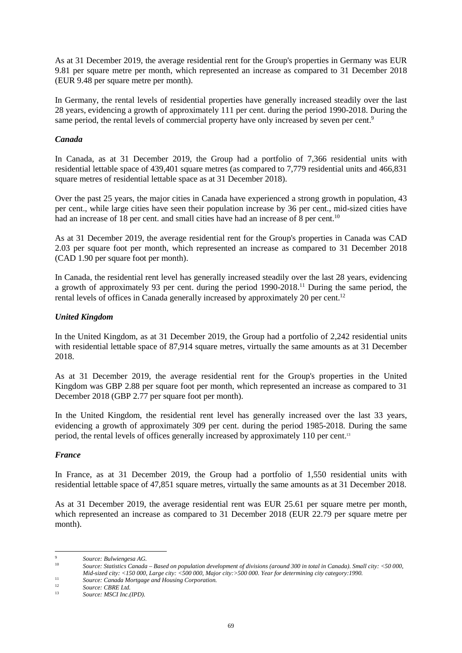As at 31 December 2019, the average residential rent for the Group's properties in Germany was EUR 9.81 per square metre per month, which represented an increase as compared to 31 December 2018 (EUR 9.48 per square metre per month).

In Germany, the rental levels of residential properties have generally increased steadily over the last 28 years, evidencing a growth of approximately 111 per cent. during the period 1990-2018. During the same period, the rental levels of commercial property have only increased by seven per cent.<sup>9</sup>

## *Canada*

In Canada, as at 31 December 2019, the Group had a portfolio of 7,366 residential units with residential lettable space of 439,401 square metres (as compared to 7,779 residential units and 466,831 square metres of residential lettable space as at 31 December 2018).

Over the past 25 years, the major cities in Canada have experienced a strong growth in population, 43 per cent., while large cities have seen their population increase by 36 per cent., mid-sized cities have had an increase of 18 per cent. and small cities have had an increase of 8 per cent.<sup>10</sup>

As at 31 December 2019, the average residential rent for the Group's properties in Canada was CAD 2.03 per square foot per month, which represented an increase as compared to 31 December 2018 (CAD 1.90 per square foot per month).

In Canada, the residential rent level has generally increased steadily over the last 28 years, evidencing a growth of approximately 93 per cent. during the period 1990-2018.<sup>11</sup> During the same period, the rental levels of offices in Canada generally increased by approximately 20 per cent.<sup>12</sup>

# *United Kingdom*

In the United Kingdom, as at 31 December 2019, the Group had a portfolio of 2,242 residential units with residential lettable space of 87,914 square metres, virtually the same amounts as at 31 December 2018.

As at 31 December 2019, the average residential rent for the Group's properties in the United Kingdom was GBP 2.88 per square foot per month, which represented an increase as compared to 31 December 2018 (GBP 2.77 per square foot per month).

In the United Kingdom, the residential rent level has generally increased over the last 33 years, evidencing a growth of approximately 309 per cent. during the period 1985-2018. During the same period, the rental levels of offices generally increased by approximately 110 per cent.<sup>13</sup>

## *France*

In France, as at 31 December 2019, the Group had a portfolio of 1,550 residential units with residential lettable space of 47,851 square metres, virtually the same amounts as at 31 December 2018.

As at 31 December 2019, the average residential rent was EUR 25.61 per square metre per month, which represented an increase as compared to 31 December 2018 (EUR 22.79 per square metre per month).

<sup>9</sup> *Source: Bulwiengesa AG.*

<sup>10</sup> *Source: Statistics Canada – Based on population development of divisions (around 300 in total in Canada). Small city: <50 000, Mid-sized city: <150 000, Large city: <500 000, Major city:>500 000. Year for determining city category:1990.*

<sup>11</sup> **Source: Canada Mortgage and Housing Corporation.**<br><sup>11</sup> **Source: Canada Mortgage and Housing Corporation.** 

<sup>&</sup>lt;sup>12</sup> *Source: CBRE Ltd.*<br><sup>13</sup> *Source: MSCL luga* 

<sup>13</sup> *Source: MSCI Inc.(IPD).*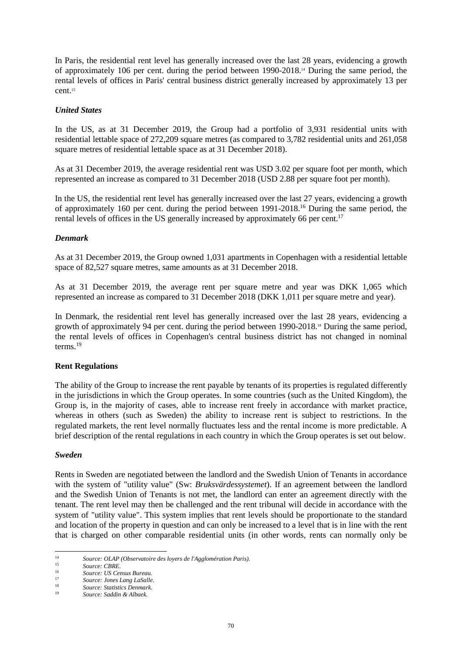In Paris, the residential rent level has generally increased over the last 28 years, evidencing a growth of approximately 106 per cent. during the period between 1990-2018.14 During the same period, the rental levels of offices in Paris' central business district generally increased by approximately 13 per cent.<sup>15</sup>

## *United States*

In the US, as at 31 December 2019, the Group had a portfolio of 3,931 residential units with residential lettable space of 272,209 square metres (as compared to 3,782 residential units and 261,058 square metres of residential lettable space as at 31 December 2018).

As at 31 December 2019, the average residential rent was USD 3.02 per square foot per month, which represented an increase as compared to 31 December 2018 (USD 2.88 per square foot per month).

In the US, the residential rent level has generally increased over the last 27 years, evidencing a growth of approximately 160 per cent. during the period between 1991-2018.<sup>16</sup> During the same period, the rental levels of offices in the US generally increased by approximately 66 per cent.<sup>17</sup>

## *Denmark*

As at 31 December 2019, the Group owned 1,031 apartments in Copenhagen with a residential lettable space of 82,527 square metres, same amounts as at 31 December 2018.

As at 31 December 2019, the average rent per square metre and year was DKK 1,065 which represented an increase as compared to 31 December 2018 (DKK 1,011 per square metre and year).

In Denmark, the residential rent level has generally increased over the last 28 years, evidencing a growth of approximately 94 per cent. during the period between 1990-2018.18 During the same period, the rental levels of offices in Copenhagen's central business district has not changed in nominal terms<sup>19</sup>

## **Rent Regulations**

The ability of the Group to increase the rent payable by tenants of its properties is regulated differently in the jurisdictions in which the Group operates. In some countries (such as the United Kingdom), the Group is, in the majority of cases, able to increase rent freely in accordance with market practice, whereas in others (such as Sweden) the ability to increase rent is subject to restrictions. In the regulated markets, the rent level normally fluctuates less and the rental income is more predictable. A brief description of the rental regulations in each country in which the Group operates is set out below.

## *Sweden*

Rents in Sweden are negotiated between the landlord and the Swedish Union of Tenants in accordance with the system of "utility value" (Sw: *Bruksvärdessystemet*). If an agreement between the landlord and the Swedish Union of Tenants is not met, the landlord can enter an agreement directly with the tenant. The rent level may then be challenged and the rent tribunal will decide in accordance with the system of "utility value". This system implies that rent levels should be proportionate to the standard and location of the property in question and can only be increased to a level that is in line with the rent that is charged on other comparable residential units (in other words, rents can normally only be

<sup>14</sup> *Source: OLAP (Observatoire des loyers de l'Agglomération Paris).*

<sup>15</sup> *Source: CBRE.*

<sup>16</sup> *Source: US Census Bureau.*

<sup>17</sup> *Source: Jones Lang LaSalle.*

<sup>18</sup> *Source: Statistics Denmark.* <sup>19</sup> *Source: Saddin & Albaek.*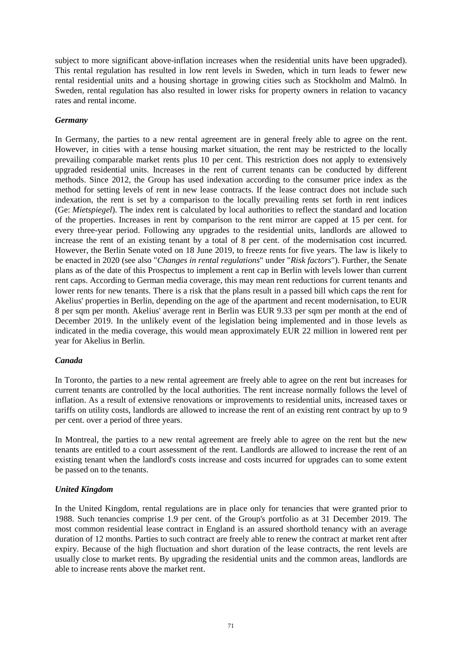subject to more significant above-inflation increases when the residential units have been upgraded). This rental regulation has resulted in low rent levels in Sweden, which in turn leads to fewer new rental residential units and a housing shortage in growing cities such as Stockholm and Malmö. In Sweden, rental regulation has also resulted in lower risks for property owners in relation to vacancy rates and rental income.

## *Germany*

In Germany, the parties to a new rental agreement are in general freely able to agree on the rent. However, in cities with a tense housing market situation, the rent may be restricted to the locally prevailing comparable market rents plus 10 per cent. This restriction does not apply to extensively upgraded residential units. Increases in the rent of current tenants can be conducted by different methods. Since 2012, the Group has used indexation according to the consumer price index as the method for setting levels of rent in new lease contracts. If the lease contract does not include such indexation, the rent is set by a comparison to the locally prevailing rents set forth in rent indices (Ge: *Mietspiegel*). The index rent is calculated by local authorities to reflect the standard and location of the properties. Increases in rent by comparison to the rent mirror are capped at 15 per cent. for every three-year period. Following any upgrades to the residential units, landlords are allowed to increase the rent of an existing tenant by a total of 8 per cent. of the modernisation cost incurred. However, the Berlin Senate voted on 18 June 2019, to freeze rents for five years. The law is likely to be enacted in 2020 (see also "*Changes in rental regulations*" under "*Risk factors*"). Further, the Senate plans as of the date of this Prospectus to implement a rent cap in Berlin with levels lower than current rent caps. According to German media coverage, this may mean rent reductions for current tenants and lower rents for new tenants. There is a risk that the plans result in a passed bill which caps the rent for Akelius' properties in Berlin, depending on the age of the apartment and recent modernisation, to EUR 8 per sqm per month. Akelius' average rent in Berlin was EUR 9.33 per sqm per month at the end of December 2019. In the unlikely event of the legislation being implemented and in those levels as indicated in the media coverage, this would mean approximately EUR 22 million in lowered rent per year for Akelius in Berlin.

## *Canada*

In Toronto, the parties to a new rental agreement are freely able to agree on the rent but increases for current tenants are controlled by the local authorities. The rent increase normally follows the level of inflation. As a result of extensive renovations or improvements to residential units, increased taxes or tariffs on utility costs, landlords are allowed to increase the rent of an existing rent contract by up to 9 per cent. over a period of three years.

In Montreal, the parties to a new rental agreement are freely able to agree on the rent but the new tenants are entitled to a court assessment of the rent. Landlords are allowed to increase the rent of an existing tenant when the landlord's costs increase and costs incurred for upgrades can to some extent be passed on to the tenants.

# *United Kingdom*

In the United Kingdom, rental regulations are in place only for tenancies that were granted prior to 1988. Such tenancies comprise 1.9 per cent. of the Group's portfolio as at 31 December 2019. The most common residential lease contract in England is an assured shorthold tenancy with an average duration of 12 months. Parties to such contract are freely able to renew the contract at market rent after expiry. Because of the high fluctuation and short duration of the lease contracts, the rent levels are usually close to market rents. By upgrading the residential units and the common areas, landlords are able to increase rents above the market rent.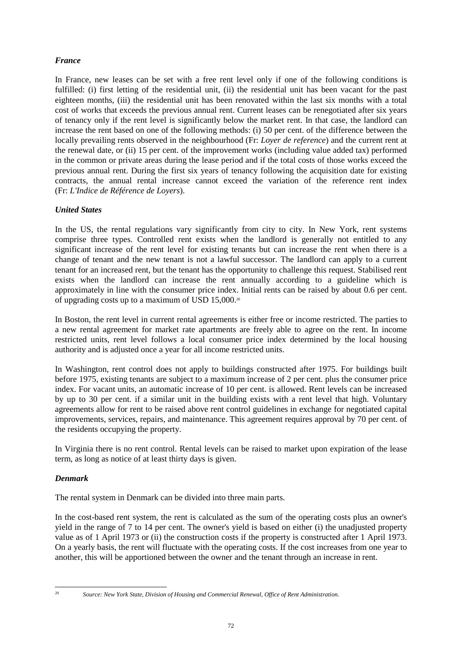# *France*

In France, new leases can be set with a free rent level only if one of the following conditions is fulfilled: (i) first letting of the residential unit, (ii) the residential unit has been vacant for the past eighteen months, (iii) the residential unit has been renovated within the last six months with a total cost of works that exceeds the previous annual rent. Current leases can be renegotiated after six years of tenancy only if the rent level is significantly below the market rent. In that case, the landlord can increase the rent based on one of the following methods: (i) 50 per cent. of the difference between the locally prevailing rents observed in the neighbourhood (Fr: *Loyer de reference*) and the current rent at the renewal date, or (ii) 15 per cent. of the improvement works (including value added tax) performed in the common or private areas during the lease period and if the total costs of those works exceed the previous annual rent. During the first six years of tenancy following the acquisition date for existing contracts, the annual rental increase cannot exceed the variation of the reference rent index (Fr: *L'Indice de Référence de Loyers*).

# *United States*

In the US, the rental regulations vary significantly from city to city. In New York, rent systems comprise three types. Controlled rent exists when the landlord is generally not entitled to any significant increase of the rent level for existing tenants but can increase the rent when there is a change of tenant and the new tenant is not a lawful successor. The landlord can apply to a current tenant for an increased rent, but the tenant has the opportunity to challenge this request. Stabilised rent exists when the landlord can increase the rent annually according to a guideline which is approximately in line with the consumer price index. Initial rents can be raised by about 0.6 per cent. of upgrading costs up to a maximum of USD 15,000.<sup>20</sup>

In Boston, the rent level in current rental agreements is either free or income restricted. The parties to a new rental agreement for market rate apartments are freely able to agree on the rent. In income restricted units, rent level follows a local consumer price index determined by the local housing authority and is adjusted once a year for all income restricted units.

In Washington, rent control does not apply to buildings constructed after 1975. For buildings built before 1975, existing tenants are subject to a maximum increase of 2 per cent. plus the consumer price index. For vacant units, an automatic increase of 10 per cent. is allowed. Rent levels can be increased by up to 30 per cent. if a similar unit in the building exists with a rent level that high. Voluntary agreements allow for rent to be raised above rent control guidelines in exchange for negotiated capital improvements, services, repairs, and maintenance. This agreement requires approval by 70 per cent. of the residents occupying the property.

In Virginia there is no rent control. Rental levels can be raised to market upon expiration of the lease term, as long as notice of at least thirty days is given.

# *Denmark*

The rental system in Denmark can be divided into three main parts.

In the cost-based rent system, the rent is calculated as the sum of the operating costs plus an owner's yield in the range of 7 to 14 per cent. The owner's yield is based on either (i) the unadjusted property value as of 1 April 1973 or (ii) the construction costs if the property is constructed after 1 April 1973. On a yearly basis, the rent will fluctuate with the operating costs. If the cost increases from one year to another, this will be apportioned between the owner and the tenant through an increase in rent.

<sup>20</sup> *Source: New York State, Division of Housing and Commercial Renewal, Office of Rent Administration.*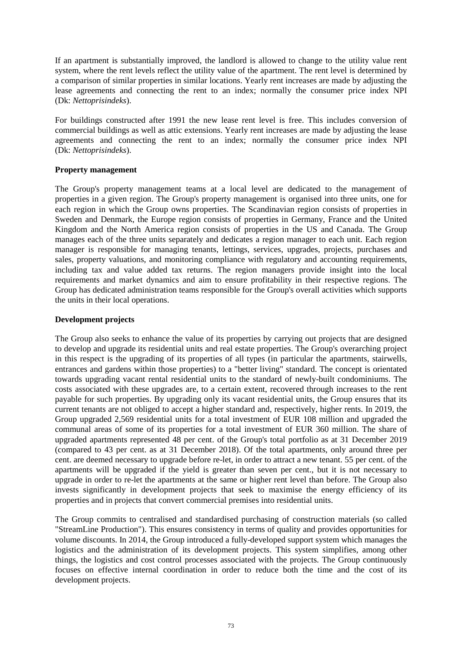If an apartment is substantially improved, the landlord is allowed to change to the utility value rent system, where the rent levels reflect the utility value of the apartment. The rent level is determined by a comparison of similar properties in similar locations. Yearly rent increases are made by adjusting the lease agreements and connecting the rent to an index; normally the consumer price index NPI (Dk: *Nettoprisindeks*).

For buildings constructed after 1991 the new lease rent level is free. This includes conversion of commercial buildings as well as attic extensions. Yearly rent increases are made by adjusting the lease agreements and connecting the rent to an index; normally the consumer price index NPI (Dk: *Nettoprisindeks*).

## **Property management**

The Group's property management teams at a local level are dedicated to the management of properties in a given region. The Group's property management is organised into three units, one for each region in which the Group owns properties. The Scandinavian region consists of properties in Sweden and Denmark, the Europe region consists of properties in Germany, France and the United Kingdom and the North America region consists of properties in the US and Canada. The Group manages each of the three units separately and dedicates a region manager to each unit. Each region manager is responsible for managing tenants, lettings, services, upgrades, projects, purchases and sales, property valuations, and monitoring compliance with regulatory and accounting requirements, including tax and value added tax returns. The region managers provide insight into the local requirements and market dynamics and aim to ensure profitability in their respective regions. The Group has dedicated administration teams responsible for the Group's overall activities which supports the units in their local operations.

## **Development projects**

The Group also seeks to enhance the value of its properties by carrying out projects that are designed to develop and upgrade its residential units and real estate properties. The Group's overarching project in this respect is the upgrading of its properties of all types (in particular the apartments, stairwells, entrances and gardens within those properties) to a "better living" standard. The concept is orientated towards upgrading vacant rental residential units to the standard of newly-built condominiums. The costs associated with these upgrades are, to a certain extent, recovered through increases to the rent payable for such properties. By upgrading only its vacant residential units, the Group ensures that its current tenants are not obliged to accept a higher standard and, respectively, higher rents. In 2019, the Group upgraded 2,569 residential units for a total investment of EUR 108 million and upgraded the communal areas of some of its properties for a total investment of EUR 360 million. The share of upgraded apartments represented 48 per cent. of the Group's total portfolio as at 31 December 2019 (compared to 43 per cent. as at 31 December 2018). Of the total apartments, only around three per cent. are deemed necessary to upgrade before re-let, in order to attract a new tenant. 55 per cent. of the apartments will be upgraded if the yield is greater than seven per cent., but it is not necessary to upgrade in order to re-let the apartments at the same or higher rent level than before. The Group also invests significantly in development projects that seek to maximise the energy efficiency of its properties and in projects that convert commercial premises into residential units.

The Group commits to centralised and standardised purchasing of construction materials (so called "StreamLine Production"). This ensures consistency in terms of quality and provides opportunities for volume discounts. In 2014, the Group introduced a fully-developed support system which manages the logistics and the administration of its development projects. This system simplifies, among other things, the logistics and cost control processes associated with the projects. The Group continuously focuses on effective internal coordination in order to reduce both the time and the cost of its development projects.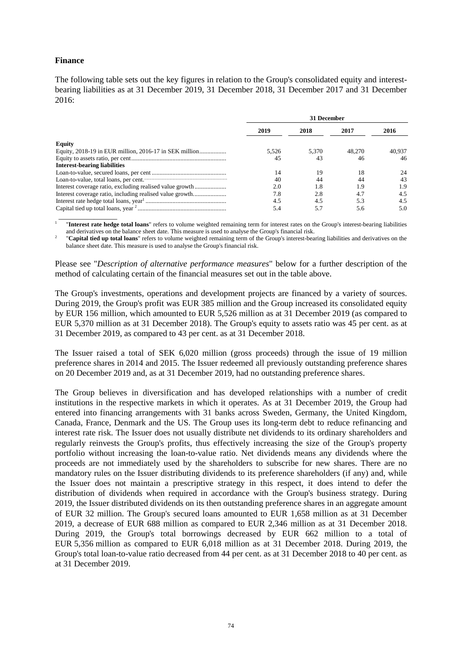## **Finance**

The following table sets out the key figures in relation to the Group's consolidated equity and interestbearing liabilities as at 31 December 2019, 31 December 2018, 31 December 2017 and 31 December 2016:

|                                                          | 31 December |       |        |        |  |  |  |  |
|----------------------------------------------------------|-------------|-------|--------|--------|--|--|--|--|
|                                                          | 2019        | 2018  | 2017   | 2016   |  |  |  |  |
| Equity                                                   |             |       |        |        |  |  |  |  |
|                                                          | 5.526       | 5.370 | 48,270 | 40.937 |  |  |  |  |
|                                                          | 45          | 43    | 46     | 46     |  |  |  |  |
| <b>Interest-bearing liabilities</b>                      |             |       |        |        |  |  |  |  |
|                                                          | 14          | 19    | 18     | 24     |  |  |  |  |
|                                                          | 40          | 44    | 44     | 43     |  |  |  |  |
| Interest coverage ratio, excluding realised value growth | 2.0         | 1.8   | 1.9    | 1.9    |  |  |  |  |
|                                                          | 7.8         | 2.8   | 4.7    | 4.5    |  |  |  |  |
|                                                          | 4.5         | 4.5   | 5.3    | 4.5    |  |  |  |  |
|                                                          | 5.4         | 5.7   | 5.6    | 5.0    |  |  |  |  |

 $\overline{\phantom{a}}$  , which is a set of the set of the set of the set of the set of the set of the set of the set of the set of the set of the set of the set of the set of the set of the set of the set of the set of the set of th 1 "**Interest rate hedge total loans**" refers to volume weighted remaining term for interest rates on the Group's interest-bearing liabilities and derivatives on the balance sheet date. This measure is used to analyse the Group's financial risk.

2 "**Capital tied up total loans**" refers to volume weighted remaining term of the Group's interest-bearing liabilities and derivatives on the balance sheet date. This measure is used to analyse the Group's financial risk.

Please see "*Description of alternative performance measures*" below for a further description of the method of calculating certain of the financial measures set out in the table above.

The Group's investments, operations and development projects are financed by a variety of sources. During 2019, the Group's profit was EUR 385 million and the Group increased its consolidated equity by EUR 156 million, which amounted to EUR 5,526 million as at 31 December 2019 (as compared to EUR 5,370 million as at 31 December 2018). The Group's equity to assets ratio was 45 per cent. as at 31 December 2019, as compared to 43 per cent. as at 31 December 2018.

The Issuer raised a total of SEK 6,020 million (gross proceeds) through the issue of 19 million preference shares in 2014 and 2015. The Issuer redeemed all previously outstanding preference shares on 20 December 2019 and, as at 31 December 2019, had no outstanding preference shares.

The Group believes in diversification and has developed relationships with a number of credit institutions in the respective markets in which it operates. As at 31 December 2019, the Group had entered into financing arrangements with 31 banks across Sweden, Germany, the United Kingdom, Canada, France, Denmark and the US. The Group uses its long-term debt to reduce refinancing and interest rate risk. The Issuer does not usually distribute net dividends to its ordinary shareholders and regularly reinvests the Group's profits, thus effectively increasing the size of the Group's property portfolio without increasing the loan-to-value ratio. Net dividends means any dividends where the proceeds are not immediately used by the shareholders to subscribe for new shares. There are no mandatory rules on the Issuer distributing dividends to its preference shareholders (if any) and, while the Issuer does not maintain a prescriptive strategy in this respect, it does intend to defer the distribution of dividends when required in accordance with the Group's business strategy. During 2019, the Issuer distributed dividends on its then outstanding preference shares in an aggregate amount of EUR 32 million. The Group's secured loans amounted to EUR 1,658 million as at 31 December 2019, a decrease of EUR 688 million as compared to EUR 2,346 million as at 31 December 2018. During 2019, the Group's total borrowings decreased by EUR 662 million to a total of EUR 5,356 million as compared to EUR 6,018 million as at 31 December 2018. During 2019, the Group's total loan-to-value ratio decreased from 44 per cent. as at 31 December 2018 to 40 per cent. as at 31 December 2019.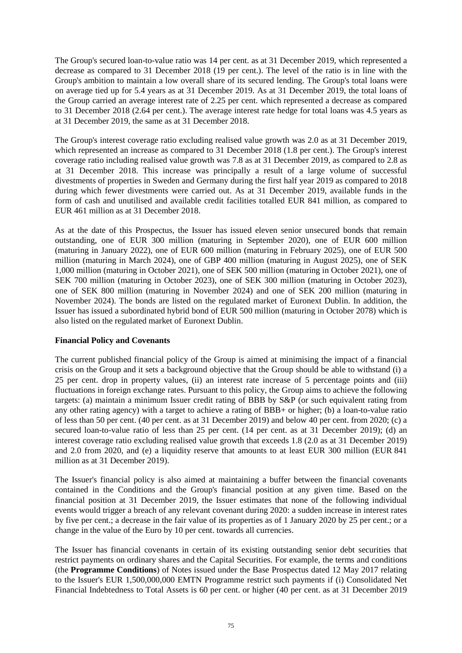The Group's secured loan-to-value ratio was 14 per cent. as at 31 December 2019, which represented a decrease as compared to 31 December 2018 (19 per cent.). The level of the ratio is in line with the Group's ambition to maintain a low overall share of its secured lending. The Group's total loans were on average tied up for 5.4 years as at 31 December 2019. As at 31 December 2019, the total loans of the Group carried an average interest rate of 2.25 per cent. which represented a decrease as compared to 31 December 2018 (2.64 per cent.). The average interest rate hedge for total loans was 4.5 years as at 31 December 2019, the same as at 31 December 2018.

The Group's interest coverage ratio excluding realised value growth was 2.0 as at 31 December 2019, which represented an increase as compared to 31 December 2018 (1.8 per cent.). The Group's interest coverage ratio including realised value growth was 7.8 as at 31 December 2019, as compared to 2.8 as at 31 December 2018. This increase was principally a result of a large volume of successful divestments of properties in Sweden and Germany during the first half year 2019 as compared to 2018 during which fewer divestments were carried out. As at 31 December 2019, available funds in the form of cash and unutilised and available credit facilities totalled EUR 841 million, as compared to EUR 461 million as at 31 December 2018.

As at the date of this Prospectus, the Issuer has issued eleven senior unsecured bonds that remain outstanding, one of EUR 300 million (maturing in September 2020), one of EUR 600 million (maturing in January 2022), one of EUR 600 million (maturing in February 2025), one of EUR 500 million (maturing in March 2024), one of GBP 400 million (maturing in August 2025), one of SEK 1,000 million (maturing in October 2021), one of SEK 500 million (maturing in October 2021), one of SEK 700 million (maturing in October 2023), one of SEK 300 million (maturing in October 2023), one of SEK 800 million (maturing in November 2024) and one of SEK 200 million (maturing in November 2024). The bonds are listed on the regulated market of Euronext Dublin. In addition, the Issuer has issued a subordinated hybrid bond of EUR 500 million (maturing in October 2078) which is also listed on the regulated market of Euronext Dublin.

## **Financial Policy and Covenants**

The current published financial policy of the Group is aimed at minimising the impact of a financial crisis on the Group and it sets a background objective that the Group should be able to withstand (i) a 25 per cent. drop in property values, (ii) an interest rate increase of 5 percentage points and (iii) fluctuations in foreign exchange rates. Pursuant to this policy, the Group aims to achieve the following targets: (a) maintain a minimum Issuer credit rating of BBB by S&P (or such equivalent rating from any other rating agency) with a target to achieve a rating of BBB+ or higher; (b) a loan-to-value ratio of less than 50 per cent. (40 per cent. as at 31 December 2019) and below 40 per cent. from 2020; (c) a secured loan-to-value ratio of less than 25 per cent. (14 per cent. as at 31 December 2019); (d) an interest coverage ratio excluding realised value growth that exceeds 1.8 (2.0 as at 31 December 2019) and 2.0 from 2020, and (e) a liquidity reserve that amounts to at least EUR 300 million (EUR 841 million as at 31 December 2019).

The Issuer's financial policy is also aimed at maintaining a buffer between the financial covenants contained in the Conditions and the Group's financial position at any given time. Based on the financial position at 31 December 2019, the Issuer estimates that none of the following individual events would trigger a breach of any relevant covenant during 2020: a sudden increase in interest rates by five per cent.; a decrease in the fair value of its properties as of 1 January 2020 by 25 per cent.; or a change in the value of the Euro by 10 per cent. towards all currencies.

The Issuer has financial covenants in certain of its existing outstanding senior debt securities that restrict payments on ordinary shares and the Capital Securities. For example, the terms and conditions (the **Programme Conditions**) of Notes issued under the Base Prospectus dated 12 May 2017 relating to the Issuer's EUR 1,500,000,000 EMTN Programme restrict such payments if (i) Consolidated Net Financial Indebtedness to Total Assets is 60 per cent. or higher (40 per cent. as at 31 December 2019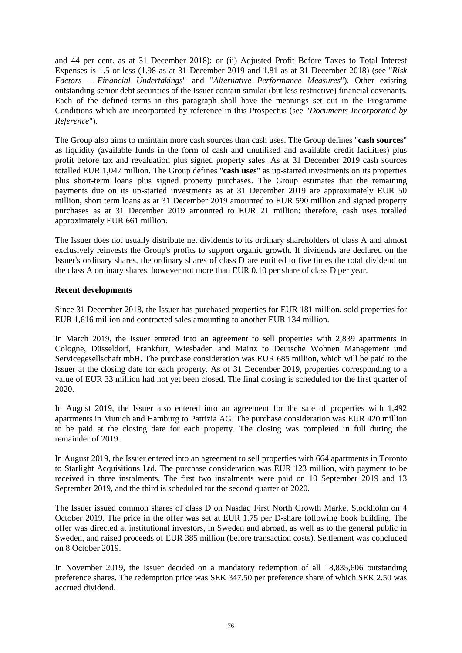and 44 per cent. as at 31 December 2018); or (ii) Adjusted Profit Before Taxes to Total Interest Expenses is 1.5 or less (1.98 as at 31 December 2019 and 1.81 as at 31 December 2018) (see "*Risk Factors – Financial Undertakings*" and "*Alternative Performance Measures*"). Other existing outstanding senior debt securities of the Issuer contain similar (but less restrictive) financial covenants. Each of the defined terms in this paragraph shall have the meanings set out in the Programme Conditions which are incorporated by reference in this Prospectus (see "*Documents Incorporated by Reference*").

The Group also aims to maintain more cash sources than cash uses. The Group defines "**cash sources**" as liquidity (available funds in the form of cash and unutilised and available credit facilities) plus profit before tax and revaluation plus signed property sales. As at 31 December 2019 cash sources totalled EUR 1,047 million. The Group defines "**cash uses**" as up-started investments on its properties plus short-term loans plus signed property purchases. The Group estimates that the remaining payments due on its up-started investments as at 31 December 2019 are approximately EUR 50 million, short term loans as at 31 December 2019 amounted to EUR 590 million and signed property purchases as at 31 December 2019 amounted to EUR 21 million: therefore, cash uses totalled approximately EUR 661 million.

The Issuer does not usually distribute net dividends to its ordinary shareholders of class A and almost exclusively reinvests the Group's profits to support organic growth. If dividends are declared on the Issuer's ordinary shares, the ordinary shares of class D are entitled to five times the total dividend on the class A ordinary shares, however not more than EUR 0.10 per share of class D per year.

## **Recent developments**

Since 31 December 2018, the Issuer has purchased properties for EUR 181 million, sold properties for EUR 1,616 million and contracted sales amounting to another EUR 134 million.

In March 2019, the Issuer entered into an agreement to sell properties with 2,839 apartments in Cologne, Düsseldorf, Frankfurt, Wiesbaden and Mainz to Deutsche Wohnen Management und Servicegesellschaft mbH. The purchase consideration was EUR 685 million, which will be paid to the Issuer at the closing date for each property. As of 31 December 2019, properties corresponding to a value of EUR 33 million had not yet been closed. The final closing is scheduled for the first quarter of 2020.

In August 2019, the Issuer also entered into an agreement for the sale of properties with 1,492 apartments in Munich and Hamburg to Patrizia AG. The purchase consideration was EUR 420 million to be paid at the closing date for each property. The closing was completed in full during the remainder of 2019.

In August 2019, the Issuer entered into an agreement to sell properties with 664 apartments in Toronto to Starlight Acquisitions Ltd. The purchase consideration was EUR 123 million, with payment to be received in three instalments. The first two instalments were paid on 10 September 2019 and 13 September 2019, and the third is scheduled for the second quarter of 2020.

The Issuer issued common shares of class D on Nasdaq First North Growth Market Stockholm on 4 October 2019. The price in the offer was set at EUR 1.75 per D-share following book building. The offer was directed at institutional investors, in Sweden and abroad, as well as to the general public in Sweden, and raised proceeds of EUR 385 million (before transaction costs). Settlement was concluded on 8 October 2019.

In November 2019, the Issuer decided on a mandatory redemption of all 18,835,606 outstanding preference shares. The redemption price was SEK 347.50 per preference share of which SEK 2.50 was accrued dividend.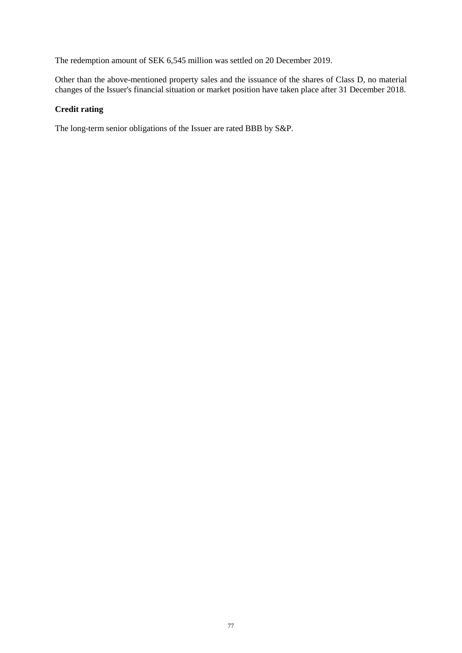The redemption amount of SEK 6,545 million was settled on 20 December 2019.

Other than the above-mentioned property sales and the issuance of the shares of Class D, no material changes of the Issuer's financial situation or market position have taken place after 31 December 2018.

## **Credit rating**

The long-term senior obligations of the Issuer are rated BBB by S&P.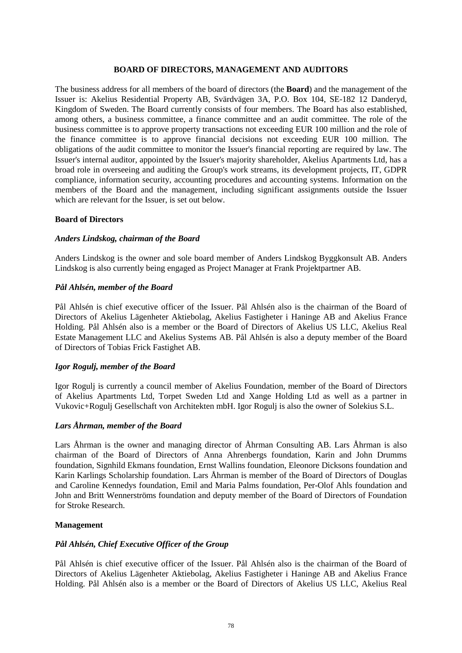## **BOARD OF DIRECTORS, MANAGEMENT AND AUDITORS**

The business address for all members of the board of directors (the **Board**) and the management of the Issuer is: Akelius Residential Property AB, Svärdvägen 3A, P.O. Box 104, SE-182 12 Danderyd, Kingdom of Sweden. The Board currently consists of four members. The Board has also established, among others, a business committee, a finance committee and an audit committee. The role of the business committee is to approve property transactions not exceeding EUR 100 million and the role of the finance committee is to approve financial decisions not exceeding EUR 100 million. The obligations of the audit committee to monitor the Issuer's financial reporting are required by law. The Issuer's internal auditor, appointed by the Issuer's majority shareholder, Akelius Apartments Ltd, has a broad role in overseeing and auditing the Group's work streams, its development projects, IT, GDPR compliance, information security, accounting procedures and accounting systems. Information on the members of the Board and the management, including significant assignments outside the Issuer which are relevant for the Issuer, is set out below.

## **Board of Directors**

#### *Anders Lindskog, chairman of the Board*

Anders Lindskog is the owner and sole board member of Anders Lindskog Byggkonsult AB. Anders Lindskog is also currently being engaged as Project Manager at Frank Projektpartner AB.

#### *Pål Ahlsén, member of the Board*

Pål Ahlsén is chief executive officer of the Issuer. Pål Ahlsén also is the chairman of the Board of Directors of Akelius Lägenheter Aktiebolag, Akelius Fastigheter i Haninge AB and Akelius France Holding. Pål Ahlsén also is a member or the Board of Directors of Akelius US LLC, Akelius Real Estate Management LLC and Akelius Systems AB. Pål Ahlsén is also a deputy member of the Board of Directors of Tobias Frick Fastighet AB.

## *Igor Rogulj, member of the Board*

Igor Rogulj is currently a council member of Akelius Foundation, member of the Board of Directors of Akelius Apartments Ltd, Torpet Sweden Ltd and Xange Holding Ltd as well as a partner in Vukovic+Rogulj Gesellschaft von Architekten mbH. Igor Rogulj is also the owner of Solekius S.L.

## *Lars Åhrman, member of the Board*

Lars Åhrman is the owner and managing director of Åhrman Consulting AB. Lars Åhrman is also chairman of the Board of Directors of Anna Ahrenbergs foundation, Karin and John Drumms foundation, Signhild Ekmans foundation, Ernst Wallins foundation, Eleonore Dicksons foundation and Karin Karlings Scholarship foundation. Lars Åhrman is member of the Board of Directors of Douglas and Caroline Kennedys foundation, Emil and Maria Palms foundation, Per-Olof Ahls foundation and John and Britt Wennerströms foundation and deputy member of the Board of Directors of Foundation for Stroke Research.

#### **Management**

## *Pål Ahlsén, Chief Executive Officer of the Group*

Pål Ahlsén is chief executive officer of the Issuer. Pål Ahlsén also is the chairman of the Board of Directors of Akelius Lägenheter Aktiebolag, Akelius Fastigheter i Haninge AB and Akelius France Holding. Pål Ahlsén also is a member or the Board of Directors of Akelius US LLC, Akelius Real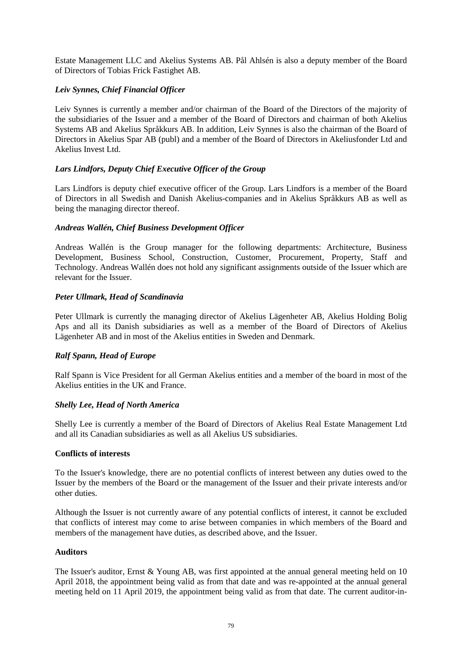Estate Management LLC and Akelius Systems AB. Pål Ahlsén is also a deputy member of the Board of Directors of Tobias Frick Fastighet AB.

## *Leiv Synnes, Chief Financial Officer*

Leiv Synnes is currently a member and/or chairman of the Board of the Directors of the majority of the subsidiaries of the Issuer and a member of the Board of Directors and chairman of both Akelius Systems AB and Akelius Språkkurs AB. In addition, Leiv Synnes is also the chairman of the Board of Directors in Akelius Spar AB (publ) and a member of the Board of Directors in Akeliusfonder Ltd and Akelius Invest Ltd.

## *Lars Lindfors, Deputy Chief Executive Officer of the Group*

Lars Lindfors is deputy chief executive officer of the Group. Lars Lindfors is a member of the Board of Directors in all Swedish and Danish Akelius-companies and in Akelius Språkkurs AB as well as being the managing director thereof.

## *Andreas Wallén, Chief Business Development Officer*

Andreas Wallén is the Group manager for the following departments: Architecture, Business Development, Business School, Construction, Customer, Procurement, Property, Staff and Technology. Andreas Wallén does not hold any significant assignments outside of the Issuer which are relevant for the Issuer.

## *Peter Ullmark, Head of Scandinavia*

Peter Ullmark is currently the managing director of Akelius Lägenheter AB, Akelius Holding Bolig Aps and all its Danish subsidiaries as well as a member of the Board of Directors of Akelius Lägenheter AB and in most of the Akelius entities in Sweden and Denmark.

## *Ralf Spann, Head of Europe*

Ralf Spann is Vice President for all German Akelius entities and a member of the board in most of the Akelius entities in the UK and France.

## *Shelly Lee, Head of North America*

Shelly Lee is currently a member of the Board of Directors of Akelius Real Estate Management Ltd and all its Canadian subsidiaries as well as all Akelius US subsidiaries.

# **Conflicts of interests**

To the Issuer's knowledge, there are no potential conflicts of interest between any duties owed to the Issuer by the members of the Board or the management of the Issuer and their private interests and/or other duties.

Although the Issuer is not currently aware of any potential conflicts of interest, it cannot be excluded that conflicts of interest may come to arise between companies in which members of the Board and members of the management have duties, as described above, and the Issuer.

## **Auditors**

The Issuer's auditor, Ernst & Young AB, was first appointed at the annual general meeting held on 10 April 2018, the appointment being valid as from that date and was re-appointed at the annual general meeting held on 11 April 2019, the appointment being valid as from that date. The current auditor-in-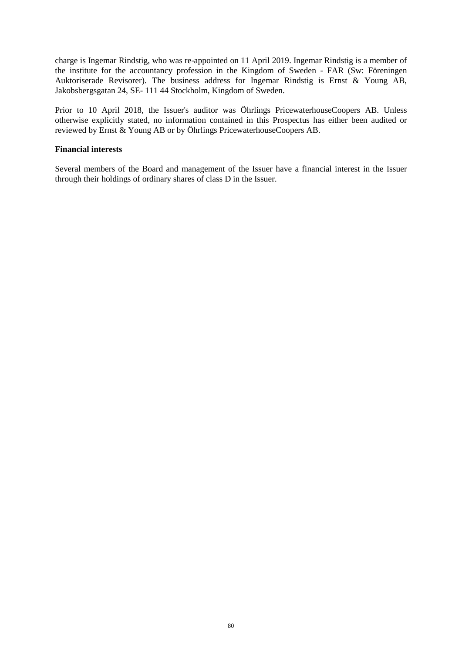charge is Ingemar Rindstig, who was re-appointed on 11 April 2019. Ingemar Rindstig is a member of the institute for the accountancy profession in the Kingdom of Sweden - FAR (Sw: Föreningen Auktoriserade Revisorer). The business address for Ingemar Rindstig is Ernst & Young AB, Jakobsbergsgatan 24, SE- 111 44 Stockholm, Kingdom of Sweden.

Prior to 10 April 2018, the Issuer's auditor was Öhrlings PricewaterhouseCoopers AB. Unless otherwise explicitly stated, no information contained in this Prospectus has either been audited or reviewed by Ernst & Young AB or by Öhrlings PricewaterhouseCoopers AB.

## **Financial interests**

Several members of the Board and management of the Issuer have a financial interest in the Issuer through their holdings of ordinary shares of class D in the Issuer.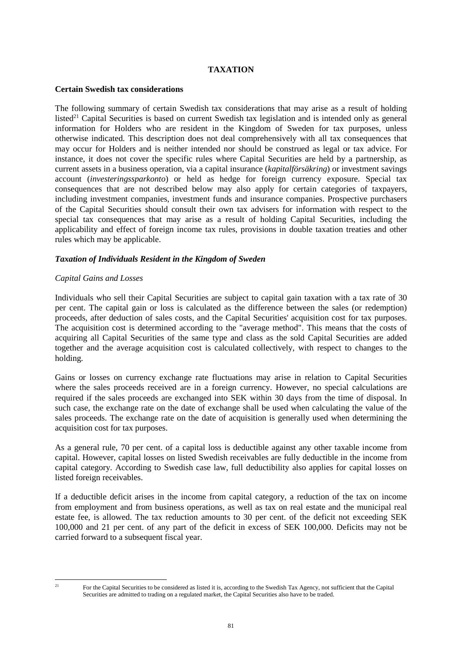## **TAXATION**

## **Certain Swedish tax considerations**

The following summary of certain Swedish tax considerations that may arise as a result of holding listed<sup>21</sup> Capital Securities is based on current Swedish tax legislation and is intended only as general information for Holders who are resident in the Kingdom of Sweden for tax purposes, unless otherwise indicated. This description does not deal comprehensively with all tax consequences that may occur for Holders and is neither intended nor should be construed as legal or tax advice. For instance, it does not cover the specific rules where Capital Securities are held by a partnership, as current assets in a business operation, via a capital insurance (*kapitalförsäkring*) or investment savings account (*investeringssparkonto*) or held as hedge for foreign currency exposure. Special tax consequences that are not described below may also apply for certain categories of taxpayers, including investment companies, investment funds and insurance companies. Prospective purchasers of the Capital Securities should consult their own tax advisers for information with respect to the special tax consequences that may arise as a result of holding Capital Securities, including the applicability and effect of foreign income tax rules, provisions in double taxation treaties and other rules which may be applicable.

## *Taxation of Individuals Resident in the Kingdom of Sweden*

## *Capital Gains and Losses*

Individuals who sell their Capital Securities are subject to capital gain taxation with a tax rate of 30 per cent. The capital gain or loss is calculated as the difference between the sales (or redemption) proceeds, after deduction of sales costs, and the Capital Securities' acquisition cost for tax purposes. The acquisition cost is determined according to the "average method". This means that the costs of acquiring all Capital Securities of the same type and class as the sold Capital Securities are added together and the average acquisition cost is calculated collectively, with respect to changes to the holding.

Gains or losses on currency exchange rate fluctuations may arise in relation to Capital Securities where the sales proceeds received are in a foreign currency. However, no special calculations are required if the sales proceeds are exchanged into SEK within 30 days from the time of disposal. In such case, the exchange rate on the date of exchange shall be used when calculating the value of the sales proceeds. The exchange rate on the date of acquisition is generally used when determining the acquisition cost for tax purposes.

As a general rule, 70 per cent. of a capital loss is deductible against any other taxable income from capital. However, capital losses on listed Swedish receivables are fully deductible in the income from capital category. According to Swedish case law, full deductibility also applies for capital losses on listed foreign receivables.

If a deductible deficit arises in the income from capital category, a reduction of the tax on income from employment and from business operations, as well as tax on real estate and the municipal real estate fee, is allowed. The tax reduction amounts to 30 per cent. of the deficit not exceeding SEK 100,000 and 21 per cent. of any part of the deficit in excess of SEK 100,000. Deficits may not be carried forward to a subsequent fiscal year.

<sup>&</sup>lt;sup>21</sup> For the Capital Securities to be considered as listed it is, according to the Swedish Tax Agency, not sufficient that the Capital Securities are admitted to trading on a regulated market, the Capital Securities also have to be traded.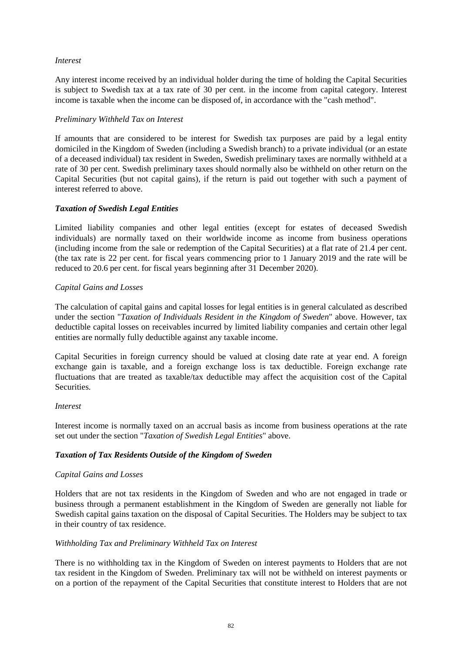## *Interest*

Any interest income received by an individual holder during the time of holding the Capital Securities is subject to Swedish tax at a tax rate of 30 per cent. in the income from capital category. Interest income is taxable when the income can be disposed of, in accordance with the "cash method".

## *Preliminary Withheld Tax on Interest*

If amounts that are considered to be interest for Swedish tax purposes are paid by a legal entity domiciled in the Kingdom of Sweden (including a Swedish branch) to a private individual (or an estate of a deceased individual) tax resident in Sweden, Swedish preliminary taxes are normally withheld at a rate of 30 per cent. Swedish preliminary taxes should normally also be withheld on other return on the Capital Securities (but not capital gains), if the return is paid out together with such a payment of interest referred to above.

## *Taxation of Swedish Legal Entities*

Limited liability companies and other legal entities (except for estates of deceased Swedish individuals) are normally taxed on their worldwide income as income from business operations (including income from the sale or redemption of the Capital Securities) at a flat rate of 21.4 per cent. (the tax rate is 22 per cent. for fiscal years commencing prior to 1 January 2019 and the rate will be reduced to 20.6 per cent. for fiscal years beginning after 31 December 2020).

## *Capital Gains and Losses*

The calculation of capital gains and capital losses for legal entities is in general calculated as described under the section "*Taxation of Individuals Resident in the Kingdom of Sweden*" above. However, tax deductible capital losses on receivables incurred by limited liability companies and certain other legal entities are normally fully deductible against any taxable income.

Capital Securities in foreign currency should be valued at closing date rate at year end. A foreign exchange gain is taxable, and a foreign exchange loss is tax deductible. Foreign exchange rate fluctuations that are treated as taxable/tax deductible may affect the acquisition cost of the Capital Securities.

## *Interest*

Interest income is normally taxed on an accrual basis as income from business operations at the rate set out under the section "*Taxation of Swedish Legal Entities*" above.

# *Taxation of Tax Residents Outside of the Kingdom of Sweden*

## *Capital Gains and Losses*

Holders that are not tax residents in the Kingdom of Sweden and who are not engaged in trade or business through a permanent establishment in the Kingdom of Sweden are generally not liable for Swedish capital gains taxation on the disposal of Capital Securities. The Holders may be subject to tax in their country of tax residence.

## *Withholding Tax and Preliminary Withheld Tax on Interest*

There is no withholding tax in the Kingdom of Sweden on interest payments to Holders that are not tax resident in the Kingdom of Sweden. Preliminary tax will not be withheld on interest payments or on a portion of the repayment of the Capital Securities that constitute interest to Holders that are not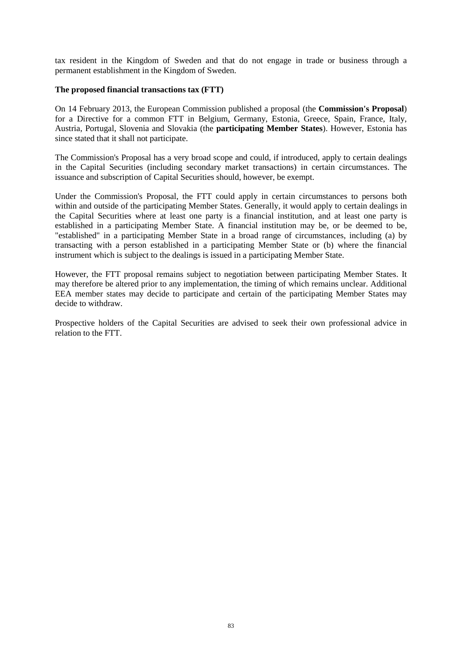tax resident in the Kingdom of Sweden and that do not engage in trade or business through a permanent establishment in the Kingdom of Sweden.

#### **The proposed financial transactions tax (FTT)**

On 14 February 2013, the European Commission published a proposal (the **Commission's Proposal**) for a Directive for a common FTT in Belgium, Germany, Estonia, Greece, Spain, France, Italy, Austria, Portugal, Slovenia and Slovakia (the **participating Member States**). However, Estonia has since stated that it shall not participate.

The Commission's Proposal has a very broad scope and could, if introduced, apply to certain dealings in the Capital Securities (including secondary market transactions) in certain circumstances. The issuance and subscription of Capital Securities should, however, be exempt.

Under the Commission's Proposal, the FTT could apply in certain circumstances to persons both within and outside of the participating Member States. Generally, it would apply to certain dealings in the Capital Securities where at least one party is a financial institution, and at least one party is established in a participating Member State. A financial institution may be, or be deemed to be, "established" in a participating Member State in a broad range of circumstances, including (a) by transacting with a person established in a participating Member State or (b) where the financial instrument which is subject to the dealings is issued in a participating Member State.

However, the FTT proposal remains subject to negotiation between participating Member States. It may therefore be altered prior to any implementation, the timing of which remains unclear. Additional EEA member states may decide to participate and certain of the participating Member States may decide to withdraw.

Prospective holders of the Capital Securities are advised to seek their own professional advice in relation to the FTT.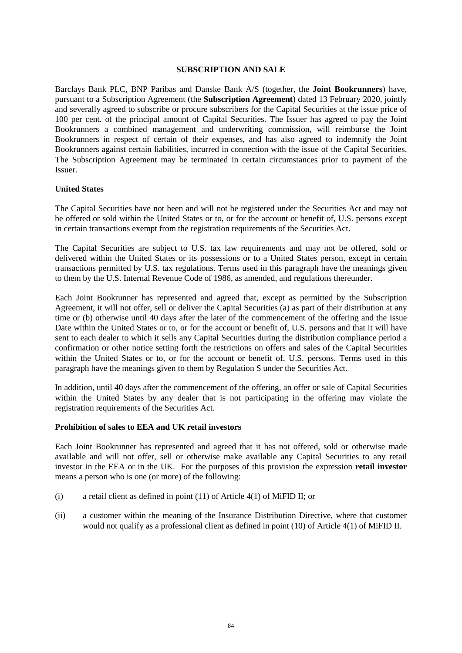#### **SUBSCRIPTION AND SALE**

Barclays Bank PLC, BNP Paribas and Danske Bank A/S (together, the **Joint Bookrunners**) have, pursuant to a Subscription Agreement (the **Subscription Agreement**) dated 13 February 2020, jointly and severally agreed to subscribe or procure subscribers for the Capital Securities at the issue price of 100 per cent. of the principal amount of Capital Securities. The Issuer has agreed to pay the Joint Bookrunners a combined management and underwriting commission, will reimburse the Joint Bookrunners in respect of certain of their expenses, and has also agreed to indemnify the Joint Bookrunners against certain liabilities, incurred in connection with the issue of the Capital Securities. The Subscription Agreement may be terminated in certain circumstances prior to payment of the Issuer.

#### **United States**

The Capital Securities have not been and will not be registered under the Securities Act and may not be offered or sold within the United States or to, or for the account or benefit of, U.S. persons except in certain transactions exempt from the registration requirements of the Securities Act.

The Capital Securities are subject to U.S. tax law requirements and may not be offered, sold or delivered within the United States or its possessions or to a United States person, except in certain transactions permitted by U.S. tax regulations. Terms used in this paragraph have the meanings given to them by the U.S. Internal Revenue Code of 1986, as amended, and regulations thereunder.

Each Joint Bookrunner has represented and agreed that, except as permitted by the Subscription Agreement, it will not offer, sell or deliver the Capital Securities (a) as part of their distribution at any time or (b) otherwise until 40 days after the later of the commencement of the offering and the Issue Date within the United States or to, or for the account or benefit of, U.S. persons and that it will have sent to each dealer to which it sells any Capital Securities during the distribution compliance period a confirmation or other notice setting forth the restrictions on offers and sales of the Capital Securities within the United States or to, or for the account or benefit of, U.S. persons. Terms used in this paragraph have the meanings given to them by Regulation S under the Securities Act.

In addition, until 40 days after the commencement of the offering, an offer or sale of Capital Securities within the United States by any dealer that is not participating in the offering may violate the registration requirements of the Securities Act.

## **Prohibition of sales to EEA and UK retail investors**

Each Joint Bookrunner has represented and agreed that it has not offered, sold or otherwise made available and will not offer, sell or otherwise make available any Capital Securities to any retail investor in the EEA or in the UK. For the purposes of this provision the expression **retail investor** means a person who is one (or more) of the following:

- (i) a retail client as defined in point (11) of Article 4(1) of MiFID II; or
- (ii) a customer within the meaning of the Insurance Distribution Directive, where that customer would not qualify as a professional client as defined in point (10) of Article 4(1) of MiFID II.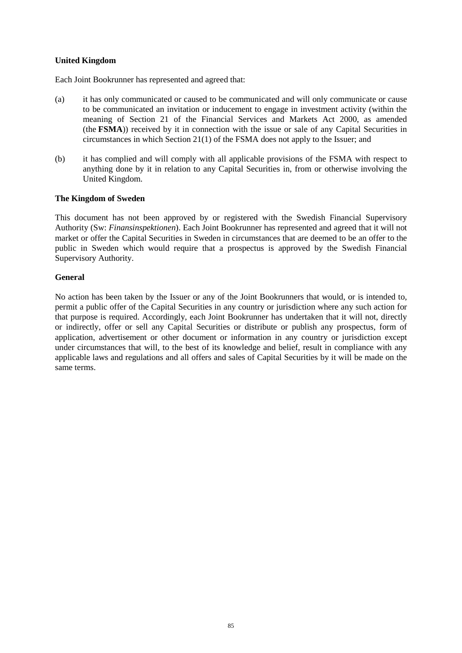## **United Kingdom**

Each Joint Bookrunner has represented and agreed that:

- (a) it has only communicated or caused to be communicated and will only communicate or cause to be communicated an invitation or inducement to engage in investment activity (within the meaning of Section 21 of the Financial Services and Markets Act 2000, as amended (the **FSMA**)) received by it in connection with the issue or sale of any Capital Securities in circumstances in which Section 21(1) of the FSMA does not apply to the Issuer; and
- (b) it has complied and will comply with all applicable provisions of the FSMA with respect to anything done by it in relation to any Capital Securities in, from or otherwise involving the United Kingdom.

## **The Kingdom of Sweden**

This document has not been approved by or registered with the Swedish Financial Supervisory Authority (Sw: *Finansinspektionen*). Each Joint Bookrunner has represented and agreed that it will not market or offer the Capital Securities in Sweden in circumstances that are deemed to be an offer to the public in Sweden which would require that a prospectus is approved by the Swedish Financial Supervisory Authority.

## **General**

No action has been taken by the Issuer or any of the Joint Bookrunners that would, or is intended to, permit a public offer of the Capital Securities in any country or jurisdiction where any such action for that purpose is required. Accordingly, each Joint Bookrunner has undertaken that it will not, directly or indirectly, offer or sell any Capital Securities or distribute or publish any prospectus, form of application, advertisement or other document or information in any country or jurisdiction except under circumstances that will, to the best of its knowledge and belief, result in compliance with any applicable laws and regulations and all offers and sales of Capital Securities by it will be made on the same terms.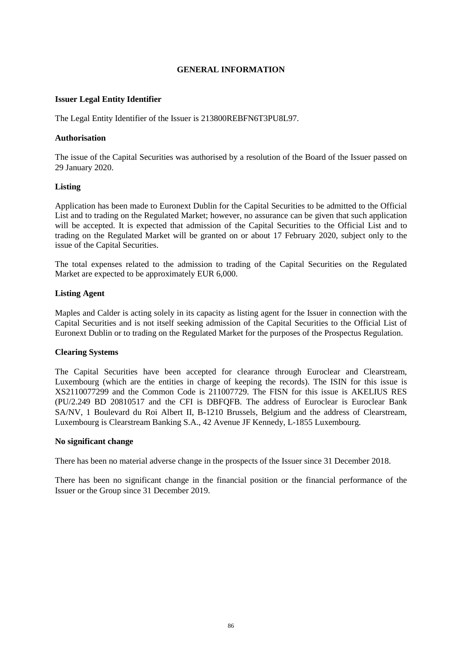## **GENERAL INFORMATION**

## **Issuer Legal Entity Identifier**

The Legal Entity Identifier of the Issuer is 213800REBFN6T3PU8L97.

#### **Authorisation**

The issue of the Capital Securities was authorised by a resolution of the Board of the Issuer passed on 29 January 2020.

#### **Listing**

Application has been made to Euronext Dublin for the Capital Securities to be admitted to the Official List and to trading on the Regulated Market; however, no assurance can be given that such application will be accepted. It is expected that admission of the Capital Securities to the Official List and to trading on the Regulated Market will be granted on or about 17 February 2020, subject only to the issue of the Capital Securities.

The total expenses related to the admission to trading of the Capital Securities on the Regulated Market are expected to be approximately EUR 6,000.

#### **Listing Agent**

Maples and Calder is acting solely in its capacity as listing agent for the Issuer in connection with the Capital Securities and is not itself seeking admission of the Capital Securities to the Official List of Euronext Dublin or to trading on the Regulated Market for the purposes of the Prospectus Regulation.

## **Clearing Systems**

The Capital Securities have been accepted for clearance through Euroclear and Clearstream, Luxembourg (which are the entities in charge of keeping the records). The ISIN for this issue is XS2110077299 and the Common Code is 211007729. The FISN for this issue is AKELIUS RES (PU/2.249 BD 20810517 and the CFI is DBFQFB. The address of Euroclear is Euroclear Bank SA/NV, 1 Boulevard du Roi Albert II, B-1210 Brussels, Belgium and the address of Clearstream, Luxembourg is Clearstream Banking S.A., 42 Avenue JF Kennedy, L-1855 Luxembourg.

#### **No significant change**

There has been no material adverse change in the prospects of the Issuer since 31 December 2018.

There has been no significant change in the financial position or the financial performance of the Issuer or the Group since 31 December 2019.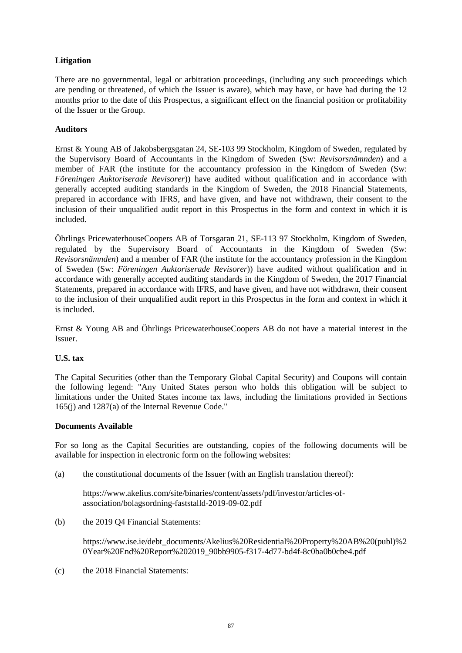# **Litigation**

There are no governmental, legal or arbitration proceedings, (including any such proceedings which are pending or threatened, of which the Issuer is aware), which may have, or have had during the 12 months prior to the date of this Prospectus, a significant effect on the financial position or profitability of the Issuer or the Group.

## **Auditors**

Ernst & Young AB of Jakobsbergsgatan 24, SE-103 99 Stockholm, Kingdom of Sweden, regulated by the Supervisory Board of Accountants in the Kingdom of Sweden (Sw: *Revisorsnämnden*) and a member of FAR (the institute for the accountancy profession in the Kingdom of Sweden (Sw: *Föreningen Auktoriserade Revisorer*)) have audited without qualification and in accordance with generally accepted auditing standards in the Kingdom of Sweden, the 2018 Financial Statements, prepared in accordance with IFRS, and have given, and have not withdrawn, their consent to the inclusion of their unqualified audit report in this Prospectus in the form and context in which it is included.

Öhrlings PricewaterhouseCoopers AB of Torsgaran 21, SE-113 97 Stockholm, Kingdom of Sweden, regulated by the Supervisory Board of Accountants in the Kingdom of Sweden (Sw: *Revisorsnämnden*) and a member of FAR (the institute for the accountancy profession in the Kingdom of Sweden (Sw: *Föreningen Auktoriserade Revisorer*)) have audited without qualification and in accordance with generally accepted auditing standards in the Kingdom of Sweden, the 2017 Financial Statements, prepared in accordance with IFRS, and have given, and have not withdrawn, their consent to the inclusion of their unqualified audit report in this Prospectus in the form and context in which it is included.

Ernst & Young AB and Öhrlings PricewaterhouseCoopers AB do not have a material interest in the Issuer.

## **U.S. tax**

The Capital Securities (other than the Temporary Global Capital Security) and Coupons will contain the following legend: "Any United States person who holds this obligation will be subject to limitations under the United States income tax laws, including the limitations provided in Sections 165(j) and 1287(a) of the Internal Revenue Code."

## **Documents Available**

For so long as the Capital Securities are outstanding, copies of the following documents will be available for inspection in electronic form on the following websites:

(a) the constitutional documents of the Issuer (with an English translation thereof):

https://www.akelius.com/site/binaries/content/assets/pdf/investor/articles-ofassociation/bolagsordning-faststalld-2019-09-02.pdf

(b) the 2019 Q4 Financial Statements:

https://www.ise.ie/debt\_documents/Akelius%20Residential%20Property%20AB%20(publ)%2 0Year%20End%20Report%202019\_90bb9905-f317-4d77-bd4f-8c0ba0b0cbe4.pdf

(c) the 2018 Financial Statements: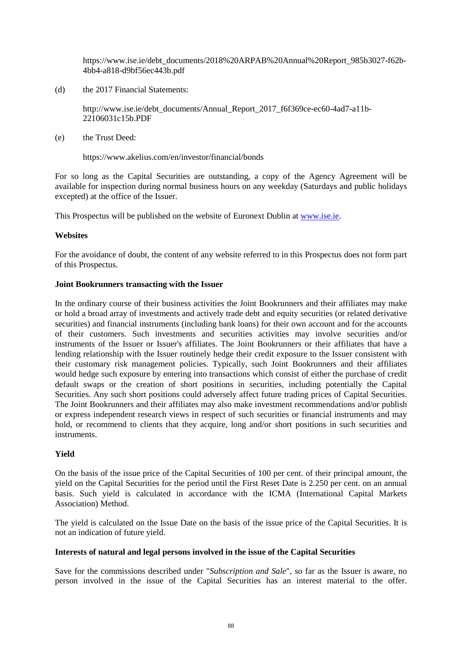https://www.ise.ie/debt\_documents/2018%20ARPAB%20Annual%20Report\_985b3027-f62b-4bb4-a818-d9bf56ec443b.pdf

(d) the 2017 Financial Statements:

http://www.ise.ie/debt\_documents/Annual\_Report\_2017\_f6f369ce-ec60-4ad7-a11b-22106031c15b.PDF

(e) the Trust Deed:

https://www.akelius.com/en/investor/financial/bonds

For so long as the Capital Securities are outstanding, a copy of the Agency Agreement will be available for inspection during normal business hours on any weekday (Saturdays and public holidays excepted) at the office of the Issuer.

This Prospectus will be published on the website of Euronext Dublin at www.ise.ie.

## **Websites**

For the avoidance of doubt, the content of any website referred to in this Prospectus does not form part of this Prospectus.

## **Joint Bookrunners transacting with the Issuer**

In the ordinary course of their business activities the Joint Bookrunners and their affiliates may make or hold a broad array of investments and actively trade debt and equity securities (or related derivative securities) and financial instruments (including bank loans) for their own account and for the accounts of their customers. Such investments and securities activities may involve securities and/or instruments of the Issuer or Issuer's affiliates. The Joint Bookrunners or their affiliates that have a lending relationship with the Issuer routinely hedge their credit exposure to the Issuer consistent with their customary risk management policies. Typically, such Joint Bookrunners and their affiliates would hedge such exposure by entering into transactions which consist of either the purchase of credit default swaps or the creation of short positions in securities, including potentially the Capital Securities. Any such short positions could adversely affect future trading prices of Capital Securities. The Joint Bookrunners and their affiliates may also make investment recommendations and/or publish or express independent research views in respect of such securities or financial instruments and may hold, or recommend to clients that they acquire, long and/or short positions in such securities and instruments.

# **Yield**

On the basis of the issue price of the Capital Securities of 100 per cent. of their principal amount, the yield on the Capital Securities for the period until the First Reset Date is 2.250 per cent. on an annual basis. Such yield is calculated in accordance with the ICMA (International Capital Markets Association) Method.

The yield is calculated on the Issue Date on the basis of the issue price of the Capital Securities. It is not an indication of future yield.

## **Interests of natural and legal persons involved in the issue of the Capital Securities**

Save for the commissions described under "*Subscription and Sale*", so far as the Issuer is aware, no person involved in the issue of the Capital Securities has an interest material to the offer.